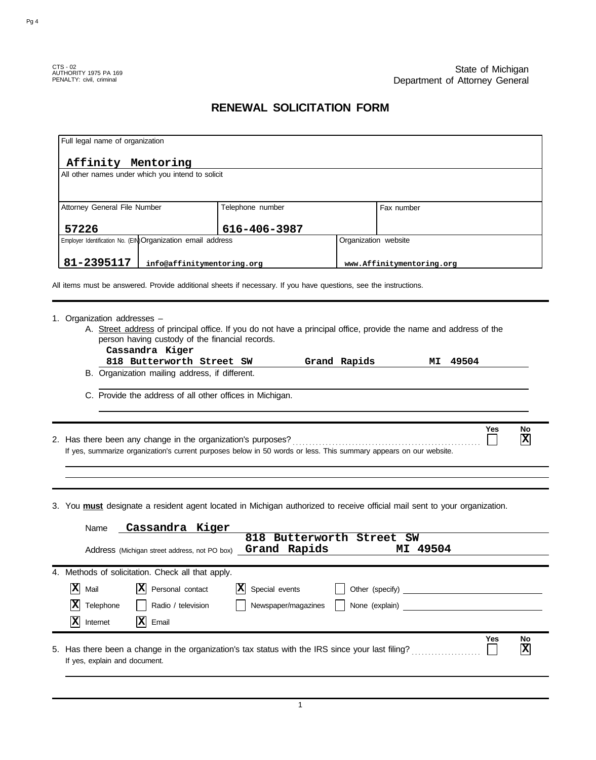CTS - 02<br>AUTHORITY 1975 PA 169<br>PENALTY: civil, criminal

## **RENEWAL SOLICITATION FORM**

| Full legal name of organization                                                                                                  |                           |                      |                               |                             |
|----------------------------------------------------------------------------------------------------------------------------------|---------------------------|----------------------|-------------------------------|-----------------------------|
| Affinity Mentoring                                                                                                               |                           |                      |                               |                             |
| All other names under which you intend to solicit                                                                                |                           |                      |                               |                             |
| Attorney General File Number                                                                                                     | Telephone number          |                      | Fax number                    |                             |
|                                                                                                                                  |                           |                      |                               |                             |
| 57226<br>Employer Identification No. (EIN Organization email address                                                             | 616-406-3987              |                      |                               |                             |
|                                                                                                                                  |                           | Organization website |                               |                             |
| 81-2395117<br>info@affinitymentoring.org                                                                                         |                           |                      | www.Affinitymentoring.org     |                             |
| All items must be answered. Provide additional sheets if necessary. If you have questions, see the instructions.                 |                           |                      |                               |                             |
|                                                                                                                                  |                           |                      |                               |                             |
| 1. Organization addresses -                                                                                                      |                           |                      |                               |                             |
| A. Street address of principal office. If you do not have a principal office, provide the name and address of the                |                           |                      |                               |                             |
| person having custody of the financial records.<br>Cassandra Kiger                                                               |                           |                      |                               |                             |
| 818 Butterworth Street SW                                                                                                        |                           | Grand Rapids         | 49504<br>MI                   |                             |
| B. Organization mailing address, if different.                                                                                   |                           |                      |                               |                             |
| C. Provide the address of all other offices in Michigan.                                                                         |                           |                      |                               |                             |
|                                                                                                                                  |                           |                      |                               |                             |
| 2. Has there been any change in the organization's purposes?                                                                     |                           |                      |                               | Yes<br>No<br>$ \mathbf{x} $ |
| If yes, summarize organization's current purposes below in 50 words or less. This summary appears on our website.                |                           |                      |                               |                             |
|                                                                                                                                  |                           |                      |                               |                             |
|                                                                                                                                  |                           |                      |                               |                             |
| 3. You <b>must</b> designate a resident agent located in Michigan authorized to receive official mail sent to your organization. |                           |                      |                               |                             |
|                                                                                                                                  |                           |                      |                               |                             |
| Cassandra Kiger<br>Name                                                                                                          | 818 Butterworth Street SW |                      |                               |                             |
| Address (Michigan street address, not PO box)                                                                                    | Grand Rapids              |                      | 49504<br>MΙ                   |                             |
| 4. Methods of solicitation. Check all that apply.                                                                                |                           |                      |                               |                             |
| x <br> X <br>Mail<br>Personal contact                                                                                            | Special events<br>ΙXΙ     |                      |                               |                             |
| $ {\bf X} $<br>Telephone<br>Radio / television                                                                                   | Newspaper/magazines       |                      | None (explain) None (explain) |                             |
| X<br>$ {\tt X} $<br>Internet<br>Email                                                                                            |                           |                      |                               |                             |
|                                                                                                                                  |                           |                      |                               | Yes<br>No                   |
| 5. Has there been a change in the organization's tax status with the IRS since your last filing?                                 |                           |                      |                               | $ \mathbf{x} $              |
| If yes, explain and document.                                                                                                    |                           |                      |                               |                             |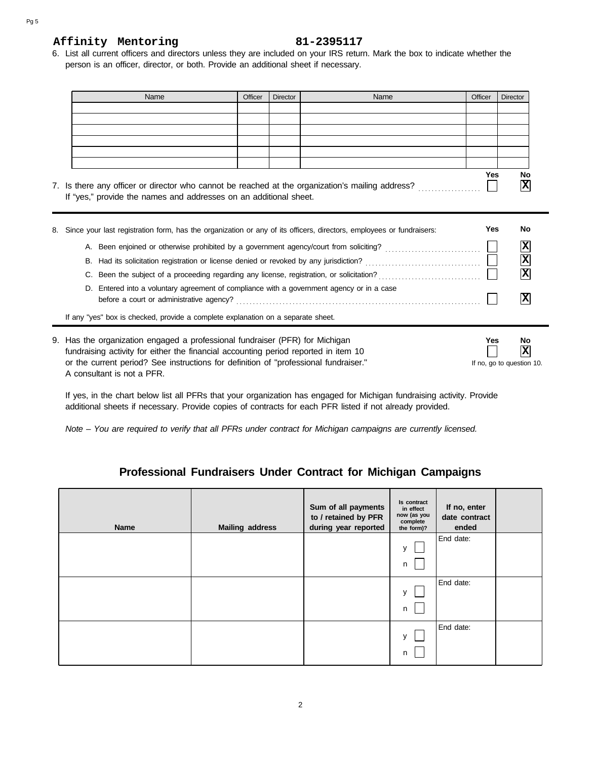#### **Affinity Mentoring 81-2395117**

person is an officer, director, or both. Provide an additional sheet if necessary. 6. List all current officers and directors unless they are included on your IRS return. Mark the box to indicate whether the

| Name                                                                                                                                                                                                                                                                                      | Officer | Director | Name | Officer | Director                              |
|-------------------------------------------------------------------------------------------------------------------------------------------------------------------------------------------------------------------------------------------------------------------------------------------|---------|----------|------|---------|---------------------------------------|
|                                                                                                                                                                                                                                                                                           |         |          |      |         |                                       |
|                                                                                                                                                                                                                                                                                           |         |          |      |         |                                       |
|                                                                                                                                                                                                                                                                                           |         |          |      |         |                                       |
|                                                                                                                                                                                                                                                                                           |         |          |      |         |                                       |
| 7. Is there any officer or director who cannot be reached at the organization's mailing address?<br>If "yes," provide the names and addresses on an additional sheet.                                                                                                                     |         |          |      | Yes     | No<br> x                              |
| 8. Since your last registration form, has the organization or any of its officers, directors, employees or fundraisers:                                                                                                                                                                   |         |          |      | Yes     | No                                    |
|                                                                                                                                                                                                                                                                                           |         |          |      |         |                                       |
| $\frac{X}{X}$                                                                                                                                                                                                                                                                             |         |          |      |         |                                       |
|                                                                                                                                                                                                                                                                                           |         |          |      |         |                                       |
| D. Entered into a voluntary agreement of compliance with a government agency or in a case                                                                                                                                                                                                 |         |          |      |         | $ \mathbf{x} $                        |
| If any "yes" box is checked, provide a complete explanation on a separate sheet.                                                                                                                                                                                                          |         |          |      |         |                                       |
| 9. Has the organization engaged a professional fundraiser (PFR) for Michigan<br>fundraising activity for either the financial accounting period reported in item 10<br>or the current period? See instructions for definition of "professional fundraiser."<br>A consultant is not a PFR. |         |          |      | Yes     | No<br>ΙX<br>If no, go to question 10. |

If yes, in the chart below list all PFRs that your organization has engaged for Michigan fundraising activity. Provide additional sheets if necessary. Provide copies of contracts for each PFR listed if not already provided.

*Note – You are required to verify that all PFRs under contract for Michigan campaigns are currently licensed.*

### **Professional Fundraisers Under Contract for Michigan Campaigns**

| <b>Name</b> | <b>Mailing address</b> | Sum of all payments<br>to / retained by PFR<br>during year reported | Is contract<br>in effect<br>now (as you<br>complete<br>the form)? | If no, enter<br>date contract<br>ended |  |
|-------------|------------------------|---------------------------------------------------------------------|-------------------------------------------------------------------|----------------------------------------|--|
|             |                        |                                                                     | y<br>n                                                            | End date:                              |  |
|             |                        |                                                                     | y.<br>n                                                           | End date:                              |  |
|             |                        |                                                                     | <b>V</b><br>n                                                     | End date:                              |  |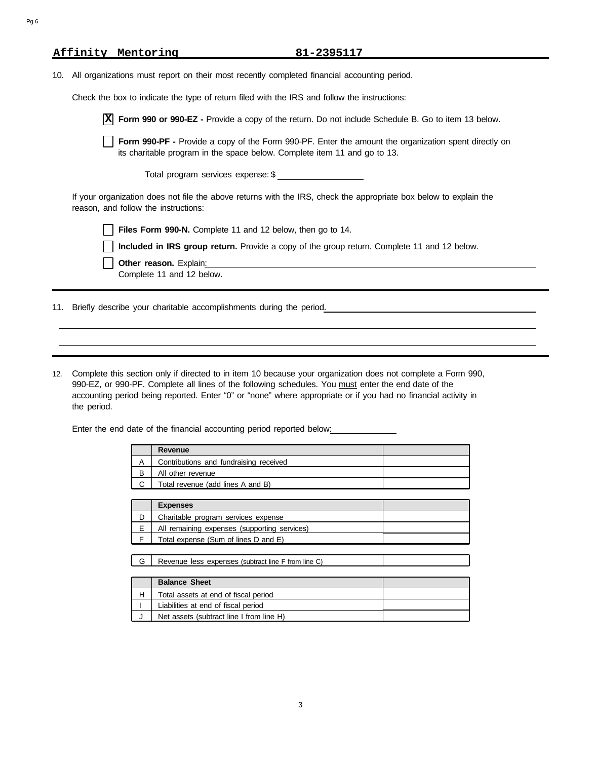|     |                                                                                                                                                           | Affinity Mentoring                                  | 81-2395117                                                                                                                                                                        |  |
|-----|-----------------------------------------------------------------------------------------------------------------------------------------------------------|-----------------------------------------------------|-----------------------------------------------------------------------------------------------------------------------------------------------------------------------------------|--|
| 10. |                                                                                                                                                           |                                                     | All organizations must report on their most recently completed financial accounting period.                                                                                       |  |
|     |                                                                                                                                                           |                                                     | Check the box to indicate the type of return filed with the IRS and follow the instructions:                                                                                      |  |
|     |                                                                                                                                                           |                                                     | $ X $ Form 990 or 990-EZ - Provide a copy of the return. Do not include Schedule B. Go to item 13 below.                                                                          |  |
|     |                                                                                                                                                           |                                                     | Form 990-PF - Provide a copy of the Form 990-PF. Enter the amount the organization spent directly on<br>its charitable program in the space below. Complete item 11 and go to 13. |  |
|     |                                                                                                                                                           |                                                     | Total program services expense: \$                                                                                                                                                |  |
|     | If your organization does not file the above returns with the IRS, check the appropriate box below to explain the<br>reason, and follow the instructions: |                                                     |                                                                                                                                                                                   |  |
|     |                                                                                                                                                           |                                                     | Files Form 990-N. Complete 11 and 12 below, then go to 14.                                                                                                                        |  |
|     |                                                                                                                                                           |                                                     | Included in IRS group return. Provide a copy of the group return. Complete 11 and 12 below.                                                                                       |  |
|     |                                                                                                                                                           | Other reason. Explain:<br>Complete 11 and 12 below. |                                                                                                                                                                                   |  |
|     |                                                                                                                                                           |                                                     | 11. Briefly describe your charitable accomplishments during the period.                                                                                                           |  |

12. Complete this section only if directed to in item 10 because your organization does not complete a Form 990, 990-EZ, or 990-PF. Complete all lines of the following schedules. You must enter the end date of the the period. accounting period being reported. Enter "0" or "none" where appropriate or if you had no financial activity in

Enter the end date of the financial accounting period reported below:

|   | Revenue                                |  |
|---|----------------------------------------|--|
| Α | Contributions and fundraising received |  |
| B | All other revenue                      |  |
|   | Total revenue (add lines A and B)      |  |
|   |                                        |  |

| <b>Expenses</b>                              |  |
|----------------------------------------------|--|
| Charitable program services expense          |  |
| All remaining expenses (supporting services) |  |
| Total expense (Sum of lines D and E)         |  |

G Revenue less expenses (subtract line F from line C)

|   | <b>Balance Sheet</b>                     |  |
|---|------------------------------------------|--|
| н | Total assets at end of fiscal period     |  |
|   | Liabilities at end of fiscal period      |  |
|   | Net assets (subtract line I from line H) |  |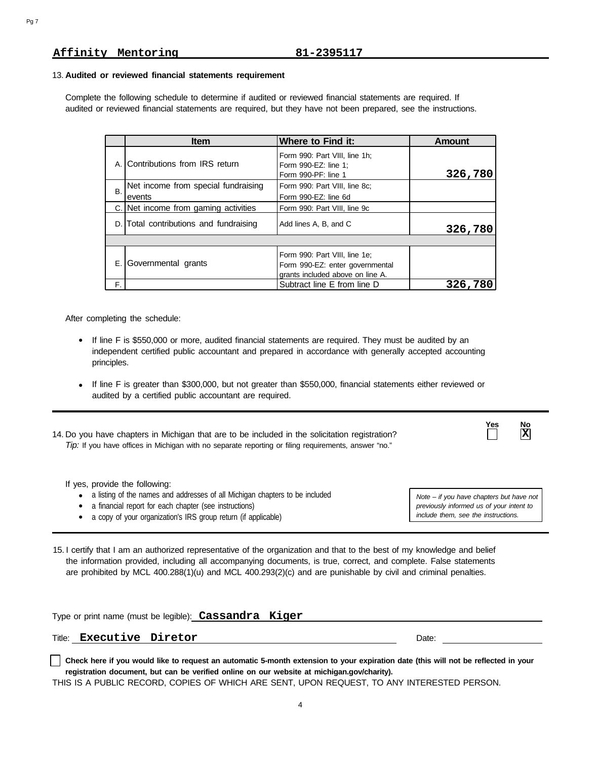#### **Affinity Mentoring 81-2395117**

#### **Audited or reviewed financial statements requirement** 13.

Complete the following schedule to determine if audited or reviewed financial statements are required. If audited or reviewed financial statements are required, but they have not been prepared, see the instructions.

|           | <b>Item</b>                            | Where to Find it:                                                                                    | Amount  |
|-----------|----------------------------------------|------------------------------------------------------------------------------------------------------|---------|
|           | A. Contributions from IRS return       | Form 990: Part VIII, line 1h;<br>Form 990-EZ: line 1;<br>Form 990-PF: line 1                         | 326,780 |
| <b>B.</b> | Net income from special fundraising    | Form 990: Part VIII, line 8c;                                                                        |         |
|           | events                                 | Form 990-EZ: line 6d                                                                                 |         |
|           | C. Net income from gaming activities   | Form 990: Part VIII. line 9c                                                                         |         |
|           | D. Total contributions and fundraising | Add lines A, B, and C                                                                                | 326,780 |
|           |                                        |                                                                                                      |         |
| E.I       | Governmental grants                    | Form 990: Part VIII, line 1e;<br>Form 990-EZ: enter governmental<br>grants included above on line A. |         |
| F.        |                                        | Subtract line E from line D                                                                          | 326,780 |

After completing the schedule:

- If line F is \$550,000 or more, audited financial statements are required. They must be audited by an independent certified public accountant and prepared in accordance with generally accepted accounting principles.
- If line F is greater than \$300,000, but not greater than \$550,000, financial statements either reviewed or audited by a certified public accountant are required.
- 14. Do you have chapters in Michigan that are to be included in the solicitation registration? *Tip:* If you have offices in Michigan with no separate reporting or filing requirements, answer "no."

If yes, provide the following:

- a listing of the names and addresses of all Michigan chapters to be included
- a financial report for each chapter (see instructions)
- a copy of your organization's IRS group return (if applicable)

15. I certify that I am an authorized representative of the organization and that to the best of my knowledge and belief the information provided, including all accompanying documents, is true, correct, and complete. False statements are prohibited by MCL 400.288(1)(u) and MCL 400.293(2)(c) and are punishable by civil and criminal penalties.

| Type or print name (must be legible): Cassandra Kiger |       |
|-------------------------------------------------------|-------|
| <b>Executive Diretor</b><br>Title:                    | Date: |

*include them, see the instructions. previously informed us of your intent to Note – if you have chapters but have not*

**Yes No**

**X**

**Check here if you would like to request an automatic 5-month extension to your expiration date (this will not be reflected in your registration document, but can be verified online on our website at michigan.gov/charity).**

THIS IS A PUBLIC RECORD, COPIES OF WHICH ARE SENT, UPON REQUEST, TO ANY INTERESTED PERSON.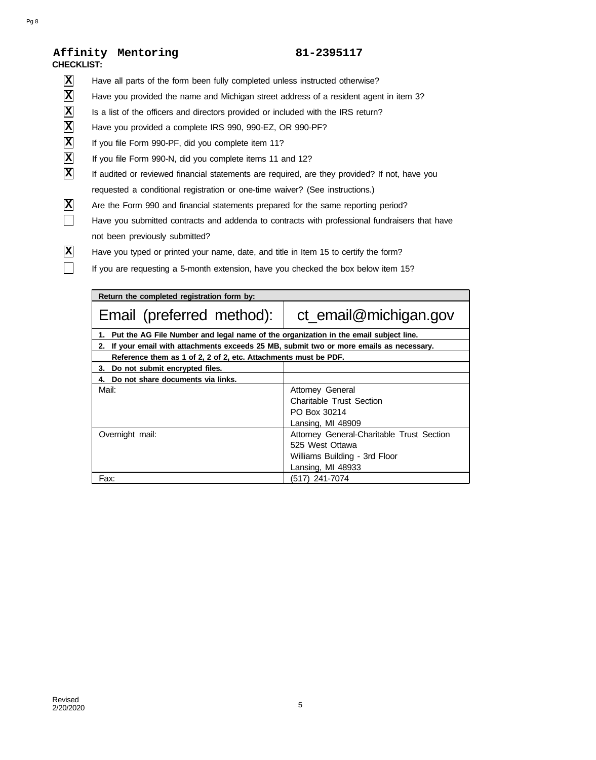| <b>CHECKLIST:</b> | Affinity Mentoring                                                                    | 81-2395117 |
|-------------------|---------------------------------------------------------------------------------------|------------|
| x                 | Have all parts of the form been fully completed unless instructed otherwise?          |            |
| 図                 | Have you provided the name and Michigan street address of a resident agent in item 3? |            |
| 区                 | Is a list of the officers and directors provided or included with the IRS return?     |            |
| 区                 | Have you provided a complete IRS 990, 990-EZ, OR 990-PF?                              |            |
| 図                 | If you file Form 990-PF, did you complete item 11?                                    |            |
| $ \mathbf{x} $    | If you file Form 990-N, did you complete items 11 and 12?                             |            |

| $ \mathbf{x} $ | If audited or reviewed financial statements are required, are they provided? If not, have you |
|----------------|-----------------------------------------------------------------------------------------------|
|                | requested a conditional registration or one-time waiver? (See instructions.)                  |

Are the Form 990 and financial statements prepared for the same reporting period? **X**

 $\Box$ Have you submitted contracts and addenda to contracts with professional fundraisers that have not been previously submitted?

Have you typed or printed your name, date, and title in Item 15 to certify the form? **X**

If you are requesting a 5-month extension, have you checked the box below item 15?

| Return the completed registration form by:                                                  |                                           |  |
|---------------------------------------------------------------------------------------------|-------------------------------------------|--|
| Email (preferred method):                                                                   | ct_email@michigan.gov                     |  |
| Put the AG File Number and legal name of the organization in the email subject line.<br>1.  |                                           |  |
| If your email with attachments exceeds 25 MB, submit two or more emails as necessary.<br>2. |                                           |  |
| Reference them as 1 of 2, 2 of 2, etc. Attachments must be PDF.                             |                                           |  |
| Do not submit encrypted files.<br>3.                                                        |                                           |  |
| Do not share documents via links.<br>4.                                                     |                                           |  |
| Mail:                                                                                       | Attorney General                          |  |
|                                                                                             | Charitable Trust Section                  |  |
|                                                                                             | PO Box 30214                              |  |
|                                                                                             | Lansing, MI 48909                         |  |
| Overnight mail:                                                                             | Attorney General-Charitable Trust Section |  |
|                                                                                             | 525 West Ottawa                           |  |
|                                                                                             | Williams Building - 3rd Floor             |  |
|                                                                                             | Lansing, MI 48933                         |  |
| Fax:                                                                                        | (517) 241-7074                            |  |

 $\Box$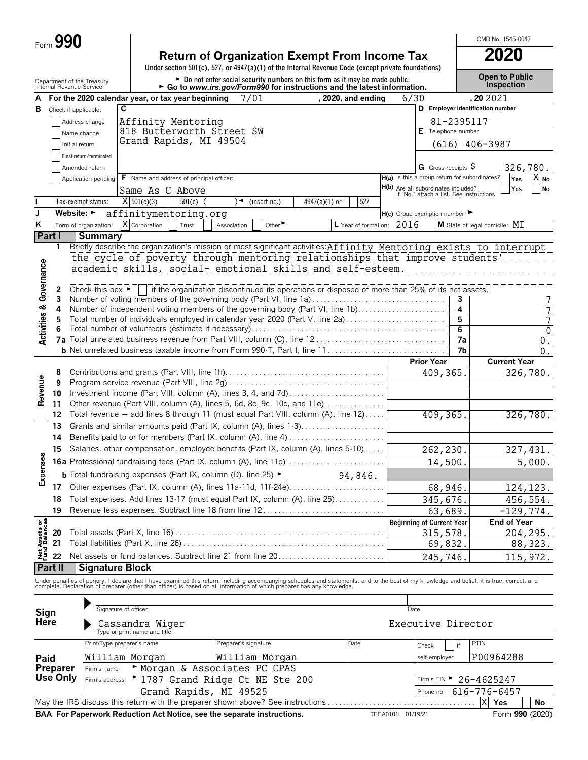| Form $\bm{J}$ | 990 |
|---------------|-----|
|---------------|-----|

|                                        | Form $990$           |                                                        |                                                                                                                                                    |            |                             |                                                                                                                                                           |               |                           |      |                                                                                 |                 | OMB No. 1545-0047                                                                                                                                                                                                                 |
|----------------------------------------|----------------------|--------------------------------------------------------|----------------------------------------------------------------------------------------------------------------------------------------------------|------------|-----------------------------|-----------------------------------------------------------------------------------------------------------------------------------------------------------|---------------|---------------------------|------|---------------------------------------------------------------------------------|-----------------|-----------------------------------------------------------------------------------------------------------------------------------------------------------------------------------------------------------------------------------|
|                                        |                      |                                                        |                                                                                                                                                    |            |                             | <b>Return of Organization Exempt From Income Tax</b>                                                                                                      |               |                           |      |                                                                                 |                 | 2020                                                                                                                                                                                                                              |
|                                        |                      |                                                        |                                                                                                                                                    |            |                             | Under section 501(c), 527, or 4947(a)(1) of the Internal Revenue Code (except private foundations)                                                        |               |                           |      |                                                                                 |                 | <b>Open to Public</b>                                                                                                                                                                                                             |
|                                        |                      | Department of the Treasury<br>Internal Revenue Service |                                                                                                                                                    |            |                             | ► Do not enter social security numbers on this form as it may be made public.<br>► Go to www.irs.gov/Form990 for instructions and the latest information. |               |                           |      |                                                                                 |                 | <b>Inspection</b>                                                                                                                                                                                                                 |
|                                        |                      |                                                        | For the 2020 calendar year, or tax year beginning                                                                                                  |            | 7/01                        |                                                                                                                                                           |               | , 2020, and ending        | 6/30 |                                                                                 |                 | , 20 20 21                                                                                                                                                                                                                        |
| в                                      |                      | Check if applicable:                                   | $\overline{c}$                                                                                                                                     |            |                             |                                                                                                                                                           |               |                           |      |                                                                                 |                 | D Employer identification number                                                                                                                                                                                                  |
|                                        |                      | Address change                                         | Affinity Mentoring                                                                                                                                 |            |                             |                                                                                                                                                           |               |                           |      |                                                                                 | 81-2395117      |                                                                                                                                                                                                                                   |
|                                        |                      | Name change                                            | 818 Butterworth Street SW<br>Grand Rapids, MI 49504                                                                                                |            |                             |                                                                                                                                                           |               |                           |      | E Telephone number                                                              |                 |                                                                                                                                                                                                                                   |
|                                        |                      | Initial return                                         |                                                                                                                                                    |            |                             |                                                                                                                                                           |               |                           |      |                                                                                 |                 | $(616)$ 406-3987                                                                                                                                                                                                                  |
|                                        |                      | Final return/terminated<br>Amended return              |                                                                                                                                                    |            |                             |                                                                                                                                                           |               |                           |      | G Gross receipts $\sqrt{5}$                                                     |                 | 326,780.                                                                                                                                                                                                                          |
|                                        |                      | Application pending                                    | F Name and address of principal officer:                                                                                                           |            |                             |                                                                                                                                                           |               |                           |      | H(a) Is this a group return for subordinates?                                   |                 | $X_{\mathsf{No}}$<br>Yes                                                                                                                                                                                                          |
|                                        |                      |                                                        | Same As C Above                                                                                                                                    |            |                             |                                                                                                                                                           |               |                           |      | H(b) Are all subordinates included?<br>If "No," attach a list. See instructions |                 | Yes<br>No                                                                                                                                                                                                                         |
|                                        |                      | Tax-exempt status:                                     | $X$ 501(c)(3)                                                                                                                                      | $501(c)$ ( | $\rightarrow$               | (insert no.)                                                                                                                                              | 4947(a)(1) or | 527                       |      |                                                                                 |                 |                                                                                                                                                                                                                                   |
|                                        |                      | Website: $\blacktriangleright$                         | affinitymentoring.org                                                                                                                              |            |                             |                                                                                                                                                           |               |                           |      | $H(c)$ Group exemption number                                                   |                 |                                                                                                                                                                                                                                   |
|                                        |                      | Form of organization:                                  | X Corporation                                                                                                                                      | Trust      | Association                 | Other <sup>&gt;</sup>                                                                                                                                     |               | L Year of formation: 2016 |      |                                                                                 |                 | <b>M</b> State of legal domicile: $MI$                                                                                                                                                                                            |
|                                        | Part I               | Summary                                                |                                                                                                                                                    |            |                             |                                                                                                                                                           |               |                           |      |                                                                                 |                 |                                                                                                                                                                                                                                   |
|                                        | 1                    |                                                        | the cycle of poverty through mentoring relationships that improve students'                                                                        |            |                             |                                                                                                                                                           |               |                           |      |                                                                                 |                 | Briefly describe the organization's mission or most significant activities: Affinity Mentoring exists to interrupt                                                                                                                |
|                                        |                      |                                                        | academic skills, social- emotional skills and self-esteem.                                                                                         |            |                             |                                                                                                                                                           |               |                           |      |                                                                                 |                 |                                                                                                                                                                                                                                   |
| <b>Activities &amp; Governance</b>     |                      |                                                        |                                                                                                                                                    |            |                             |                                                                                                                                                           |               |                           |      |                                                                                 |                 |                                                                                                                                                                                                                                   |
|                                        | 2                    | Check this box $\blacktriangleright$                   |                                                                                                                                                    |            |                             | if the organization discontinued its operations or disposed of more than 25% of its net assets.                                                           |               |                           |      |                                                                                 |                 |                                                                                                                                                                                                                                   |
|                                        | 3<br>4               |                                                        | Number of voting members of the governing body (Part VI, line 1a)<br>Number of independent voting members of the governing body (Part VI, line 1b) |            |                             |                                                                                                                                                           |               |                           |      |                                                                                 | 3               | 7                                                                                                                                                                                                                                 |
|                                        | 5                    |                                                        | Total number of individuals employed in calendar year 2020 (Part V, line 2a)                                                                       |            |                             |                                                                                                                                                           |               |                           |      |                                                                                 | 4<br>5          | 7<br>7                                                                                                                                                                                                                            |
|                                        |                      |                                                        |                                                                                                                                                    |            |                             |                                                                                                                                                           |               |                           |      |                                                                                 | $\overline{6}$  | $\mathbf 0$                                                                                                                                                                                                                       |
|                                        |                      |                                                        |                                                                                                                                                    |            |                             |                                                                                                                                                           |               |                           |      |                                                                                 | $\overline{7a}$ | $0$ .                                                                                                                                                                                                                             |
|                                        |                      |                                                        |                                                                                                                                                    |            |                             |                                                                                                                                                           |               |                           |      |                                                                                 | 7b              | $0$ .                                                                                                                                                                                                                             |
|                                        | 8                    |                                                        |                                                                                                                                                    |            |                             |                                                                                                                                                           |               |                           |      | <b>Prior Year</b>                                                               |                 | <b>Current Year</b>                                                                                                                                                                                                               |
|                                        | 9                    |                                                        |                                                                                                                                                    |            |                             |                                                                                                                                                           |               |                           |      | 409,365.                                                                        |                 | 326,780.                                                                                                                                                                                                                          |
| Revenue                                | 10                   |                                                        | Investment income (Part VIII, column (A), lines 3, 4, and 7d)                                                                                      |            |                             |                                                                                                                                                           |               |                           |      |                                                                                 |                 |                                                                                                                                                                                                                                   |
|                                        | 11                   |                                                        | Other revenue (Part VIII, column (A), lines 5, 6d, 8c, 9c, 10c, and 11e)                                                                           |            |                             |                                                                                                                                                           |               |                           |      |                                                                                 |                 |                                                                                                                                                                                                                                   |
|                                        | 12                   |                                                        | Total revenue - add lines 8 through 11 (must equal Part VIII, column (A), line 12)                                                                 |            |                             |                                                                                                                                                           |               |                           |      | 409,365.                                                                        |                 | 326,780.                                                                                                                                                                                                                          |
|                                        | 13                   |                                                        | Grants and similar amounts paid (Part IX, column (A), lines 1-3)                                                                                   |            |                             |                                                                                                                                                           |               |                           |      |                                                                                 |                 |                                                                                                                                                                                                                                   |
|                                        | 14<br>15             |                                                        | Benefits paid to or for members (Part IX, column (A), line 4)<br>Salaries, other compensation, employee benefits (Part IX, column (A), lines 5-10) |            |                             |                                                                                                                                                           |               |                           |      |                                                                                 |                 |                                                                                                                                                                                                                                   |
| U)<br>٥                                |                      |                                                        |                                                                                                                                                    |            |                             |                                                                                                                                                           |               |                           |      | 262,230.<br>14,500.                                                             |                 | 327, 431.                                                                                                                                                                                                                         |
| Expense                                |                      |                                                        | <b>b</b> Total fundraising expenses (Part IX, column (D), line 25) $\blacktriangleright$                                                           |            |                             |                                                                                                                                                           |               |                           |      |                                                                                 |                 | 5,000.                                                                                                                                                                                                                            |
|                                        |                      |                                                        | Other expenses (Part IX, column (A), lines 11a-11d, 11f-24e)                                                                                       |            |                             |                                                                                                                                                           |               | 94,846.                   |      |                                                                                 |                 |                                                                                                                                                                                                                                   |
|                                        | 17<br>18             |                                                        | Total expenses. Add lines 13-17 (must equal Part IX, column (A), line 25)                                                                          |            |                             |                                                                                                                                                           |               |                           |      | 68,946.<br>345,676.                                                             |                 | 124, 123.<br>456,554.                                                                                                                                                                                                             |
|                                        | 19                   |                                                        | Revenue less expenses. Subtract line 18 from line 12                                                                                               |            |                             |                                                                                                                                                           |               |                           |      | 63,689.                                                                         |                 | $-129,774.$                                                                                                                                                                                                                       |
|                                        |                      |                                                        |                                                                                                                                                    |            |                             |                                                                                                                                                           |               |                           |      | <b>Beginning of Current Year</b>                                                |                 | <b>End of Year</b>                                                                                                                                                                                                                |
| <b>Net Assets or<br/>Fund Balances</b> | 20                   |                                                        |                                                                                                                                                    |            |                             |                                                                                                                                                           |               |                           |      | 315,578.                                                                        |                 | 204,295.                                                                                                                                                                                                                          |
|                                        | 21                   |                                                        |                                                                                                                                                    |            |                             |                                                                                                                                                           |               |                           |      | 69,832.                                                                         |                 | 88,323.                                                                                                                                                                                                                           |
|                                        | 22                   |                                                        |                                                                                                                                                    |            |                             |                                                                                                                                                           |               |                           |      | 245,746.                                                                        |                 | 115,972.                                                                                                                                                                                                                          |
|                                        | Part II              | <b>Signature Block</b>                                 |                                                                                                                                                    |            |                             |                                                                                                                                                           |               |                           |      |                                                                                 |                 |                                                                                                                                                                                                                                   |
|                                        |                      |                                                        |                                                                                                                                                    |            |                             |                                                                                                                                                           |               |                           |      |                                                                                 |                 | Under penalties of perjury, I declare that I have examined this return, including accompanying schedules and statements, and to the best of my knowledge and belief, it is true, correct, and<br>complete. Declaration of prepare |
|                                        |                      |                                                        |                                                                                                                                                    |            |                             |                                                                                                                                                           |               |                           |      |                                                                                 |                 |                                                                                                                                                                                                                                   |
| Sign                                   |                      |                                                        | Signature of officer                                                                                                                               |            |                             |                                                                                                                                                           |               |                           |      | Date                                                                            |                 |                                                                                                                                                                                                                                   |
| Here                                   |                      |                                                        | Cassandra Wiger                                                                                                                                    |            |                             |                                                                                                                                                           |               |                           |      | Executive Director                                                              |                 |                                                                                                                                                                                                                                   |
|                                        |                      |                                                        | Type or print name and title                                                                                                                       |            |                             |                                                                                                                                                           |               |                           |      |                                                                                 |                 |                                                                                                                                                                                                                                   |
|                                        |                      |                                                        | Print/Type preparer's name                                                                                                                         |            | Preparer's signature        |                                                                                                                                                           |               | Date                      |      | Check                                                                           | if              | PTIN                                                                                                                                                                                                                              |
| Paid                                   |                      |                                                        | William Morgan                                                                                                                                     |            |                             | William Morgan                                                                                                                                            |               |                           |      | self-employed                                                                   |                 | P00964288                                                                                                                                                                                                                         |
|                                        | Preparer<br>Use Only | Firm's name<br>Firm's address                          |                                                                                                                                                    |            | Morgan & Associates PC CPAS |                                                                                                                                                           |               |                           |      |                                                                                 |                 |                                                                                                                                                                                                                                   |
|                                        |                      |                                                        |                                                                                                                                                    |            |                             | "1787 Grand Ridge Ct NE Ste 200                                                                                                                           |               |                           |      |                                                                                 |                 | Firm's EIN > 26-4625247                                                                                                                                                                                                           |

May the IRS discuss this return with the preparer shown above? See instructions. . . . . . . . . . . . . . . . . . . . . . . . . . . . . . . . . . . . . . . . **Yes No BAA For Paperwork Reduction Act Notice, see the separate instructions.** TEEA0101L 01/19/21 Form 990 (2020)

Grand Rapids, MI 49525

Phone no. 616-776-6457

X Yes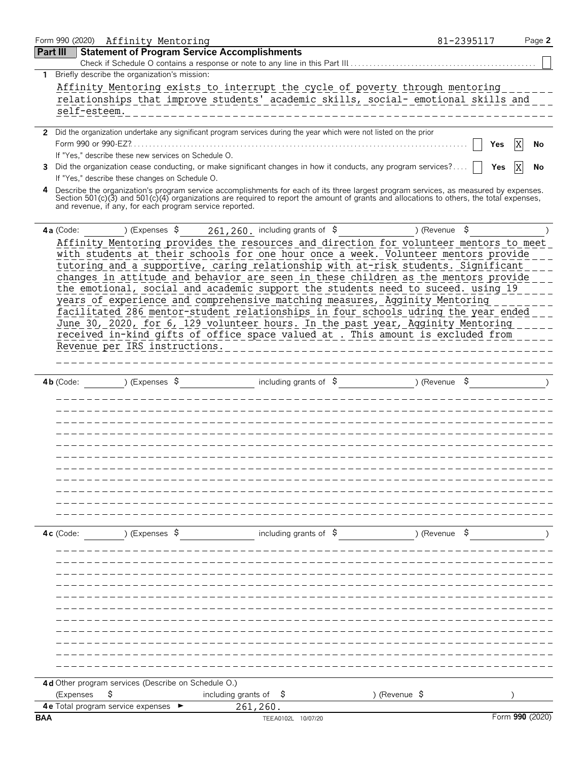| <b>Statement of Program Service Accomplishments</b><br>Part III<br>Check if Schedule O contains a response or note to any line in this Part III<br>Briefly describe the organization's mission:<br>1.<br>Affinity Mentoring exists to interrupt the cycle of poverty through mentoring<br>relationships that improve students' academic skills, social- emotional skills and<br>self-esteem.<br>Did the organization undertake any significant program services during the year which were not listed on the prior<br>2<br>If "Yes," describe these new services on Schedule O.<br>Did the organization cease conducting, or make significant changes in how it conducts, any program services?<br>3<br>If "Yes," describe these changes on Schedule O.<br>Describe the organization's program service accomplishments for each of its three largest program services, as measured by expenses.<br>4<br>Section 501(c)(3) and 501(c)(4) organizations are required to report the amount of grants and allocations to others, the total expenses,<br>and revenue, if any, for each program service reported.<br>) (Expenses \$<br>261, 260. including grants of \$<br>) (Revenue \$<br>4a (Code:<br>Affinity Mentoring provides the resources and direction for volunteer mentors to meet<br>with students at their schools for one hour once a week. Volunteer mentors provide<br>tutoring and a supportive, caring relationship with at-risk students. Significant<br>changes in attitude and behavior are seen in these children as the mentors provide<br>the emotional, social and academic support the students need to suceed. using 19<br>years of experience and comprehensive matching measures, Agginity Mentoring<br>facilitated 286 mentor-student relationships in four schools udring the year ended<br>June 30, 2020, for 6, 129 volunteer hours. In the past year, Agginity Mentoring<br>received in-kind gifts of office space valued at. This amount is excluded from<br>Revenue per IRS instructions.<br>) (Expenses \$<br>including grants of $\frac{1}{2}$<br>) (Revenue $\sqrt{5}$<br>4b (Code: | Yes<br>Yes | No<br>No |
|-----------------------------------------------------------------------------------------------------------------------------------------------------------------------------------------------------------------------------------------------------------------------------------------------------------------------------------------------------------------------------------------------------------------------------------------------------------------------------------------------------------------------------------------------------------------------------------------------------------------------------------------------------------------------------------------------------------------------------------------------------------------------------------------------------------------------------------------------------------------------------------------------------------------------------------------------------------------------------------------------------------------------------------------------------------------------------------------------------------------------------------------------------------------------------------------------------------------------------------------------------------------------------------------------------------------------------------------------------------------------------------------------------------------------------------------------------------------------------------------------------------------------------------------------------------------------------------------------------------------------------------------------------------------------------------------------------------------------------------------------------------------------------------------------------------------------------------------------------------------------------------------------------------------------------------------------------------------------------------------------------------------------------------------------------------------------------------------------------------------------|------------|----------|
|                                                                                                                                                                                                                                                                                                                                                                                                                                                                                                                                                                                                                                                                                                                                                                                                                                                                                                                                                                                                                                                                                                                                                                                                                                                                                                                                                                                                                                                                                                                                                                                                                                                                                                                                                                                                                                                                                                                                                                                                                                                                                                                       |            |          |
|                                                                                                                                                                                                                                                                                                                                                                                                                                                                                                                                                                                                                                                                                                                                                                                                                                                                                                                                                                                                                                                                                                                                                                                                                                                                                                                                                                                                                                                                                                                                                                                                                                                                                                                                                                                                                                                                                                                                                                                                                                                                                                                       |            |          |
|                                                                                                                                                                                                                                                                                                                                                                                                                                                                                                                                                                                                                                                                                                                                                                                                                                                                                                                                                                                                                                                                                                                                                                                                                                                                                                                                                                                                                                                                                                                                                                                                                                                                                                                                                                                                                                                                                                                                                                                                                                                                                                                       |            |          |
|                                                                                                                                                                                                                                                                                                                                                                                                                                                                                                                                                                                                                                                                                                                                                                                                                                                                                                                                                                                                                                                                                                                                                                                                                                                                                                                                                                                                                                                                                                                                                                                                                                                                                                                                                                                                                                                                                                                                                                                                                                                                                                                       |            |          |
|                                                                                                                                                                                                                                                                                                                                                                                                                                                                                                                                                                                                                                                                                                                                                                                                                                                                                                                                                                                                                                                                                                                                                                                                                                                                                                                                                                                                                                                                                                                                                                                                                                                                                                                                                                                                                                                                                                                                                                                                                                                                                                                       |            |          |
|                                                                                                                                                                                                                                                                                                                                                                                                                                                                                                                                                                                                                                                                                                                                                                                                                                                                                                                                                                                                                                                                                                                                                                                                                                                                                                                                                                                                                                                                                                                                                                                                                                                                                                                                                                                                                                                                                                                                                                                                                                                                                                                       |            |          |
|                                                                                                                                                                                                                                                                                                                                                                                                                                                                                                                                                                                                                                                                                                                                                                                                                                                                                                                                                                                                                                                                                                                                                                                                                                                                                                                                                                                                                                                                                                                                                                                                                                                                                                                                                                                                                                                                                                                                                                                                                                                                                                                       |            |          |
|                                                                                                                                                                                                                                                                                                                                                                                                                                                                                                                                                                                                                                                                                                                                                                                                                                                                                                                                                                                                                                                                                                                                                                                                                                                                                                                                                                                                                                                                                                                                                                                                                                                                                                                                                                                                                                                                                                                                                                                                                                                                                                                       |            |          |
|                                                                                                                                                                                                                                                                                                                                                                                                                                                                                                                                                                                                                                                                                                                                                                                                                                                                                                                                                                                                                                                                                                                                                                                                                                                                                                                                                                                                                                                                                                                                                                                                                                                                                                                                                                                                                                                                                                                                                                                                                                                                                                                       |            |          |
|                                                                                                                                                                                                                                                                                                                                                                                                                                                                                                                                                                                                                                                                                                                                                                                                                                                                                                                                                                                                                                                                                                                                                                                                                                                                                                                                                                                                                                                                                                                                                                                                                                                                                                                                                                                                                                                                                                                                                                                                                                                                                                                       |            |          |
|                                                                                                                                                                                                                                                                                                                                                                                                                                                                                                                                                                                                                                                                                                                                                                                                                                                                                                                                                                                                                                                                                                                                                                                                                                                                                                                                                                                                                                                                                                                                                                                                                                                                                                                                                                                                                                                                                                                                                                                                                                                                                                                       |            |          |
|                                                                                                                                                                                                                                                                                                                                                                                                                                                                                                                                                                                                                                                                                                                                                                                                                                                                                                                                                                                                                                                                                                                                                                                                                                                                                                                                                                                                                                                                                                                                                                                                                                                                                                                                                                                                                                                                                                                                                                                                                                                                                                                       |            |          |
|                                                                                                                                                                                                                                                                                                                                                                                                                                                                                                                                                                                                                                                                                                                                                                                                                                                                                                                                                                                                                                                                                                                                                                                                                                                                                                                                                                                                                                                                                                                                                                                                                                                                                                                                                                                                                                                                                                                                                                                                                                                                                                                       |            |          |
|                                                                                                                                                                                                                                                                                                                                                                                                                                                                                                                                                                                                                                                                                                                                                                                                                                                                                                                                                                                                                                                                                                                                                                                                                                                                                                                                                                                                                                                                                                                                                                                                                                                                                                                                                                                                                                                                                                                                                                                                                                                                                                                       |            |          |
|                                                                                                                                                                                                                                                                                                                                                                                                                                                                                                                                                                                                                                                                                                                                                                                                                                                                                                                                                                                                                                                                                                                                                                                                                                                                                                                                                                                                                                                                                                                                                                                                                                                                                                                                                                                                                                                                                                                                                                                                                                                                                                                       |            |          |
|                                                                                                                                                                                                                                                                                                                                                                                                                                                                                                                                                                                                                                                                                                                                                                                                                                                                                                                                                                                                                                                                                                                                                                                                                                                                                                                                                                                                                                                                                                                                                                                                                                                                                                                                                                                                                                                                                                                                                                                                                                                                                                                       |            |          |
|                                                                                                                                                                                                                                                                                                                                                                                                                                                                                                                                                                                                                                                                                                                                                                                                                                                                                                                                                                                                                                                                                                                                                                                                                                                                                                                                                                                                                                                                                                                                                                                                                                                                                                                                                                                                                                                                                                                                                                                                                                                                                                                       |            |          |
|                                                                                                                                                                                                                                                                                                                                                                                                                                                                                                                                                                                                                                                                                                                                                                                                                                                                                                                                                                                                                                                                                                                                                                                                                                                                                                                                                                                                                                                                                                                                                                                                                                                                                                                                                                                                                                                                                                                                                                                                                                                                                                                       |            |          |
|                                                                                                                                                                                                                                                                                                                                                                                                                                                                                                                                                                                                                                                                                                                                                                                                                                                                                                                                                                                                                                                                                                                                                                                                                                                                                                                                                                                                                                                                                                                                                                                                                                                                                                                                                                                                                                                                                                                                                                                                                                                                                                                       |            |          |
|                                                                                                                                                                                                                                                                                                                                                                                                                                                                                                                                                                                                                                                                                                                                                                                                                                                                                                                                                                                                                                                                                                                                                                                                                                                                                                                                                                                                                                                                                                                                                                                                                                                                                                                                                                                                                                                                                                                                                                                                                                                                                                                       |            |          |
|                                                                                                                                                                                                                                                                                                                                                                                                                                                                                                                                                                                                                                                                                                                                                                                                                                                                                                                                                                                                                                                                                                                                                                                                                                                                                                                                                                                                                                                                                                                                                                                                                                                                                                                                                                                                                                                                                                                                                                                                                                                                                                                       |            |          |
|                                                                                                                                                                                                                                                                                                                                                                                                                                                                                                                                                                                                                                                                                                                                                                                                                                                                                                                                                                                                                                                                                                                                                                                                                                                                                                                                                                                                                                                                                                                                                                                                                                                                                                                                                                                                                                                                                                                                                                                                                                                                                                                       |            |          |
|                                                                                                                                                                                                                                                                                                                                                                                                                                                                                                                                                                                                                                                                                                                                                                                                                                                                                                                                                                                                                                                                                                                                                                                                                                                                                                                                                                                                                                                                                                                                                                                                                                                                                                                                                                                                                                                                                                                                                                                                                                                                                                                       |            |          |
|                                                                                                                                                                                                                                                                                                                                                                                                                                                                                                                                                                                                                                                                                                                                                                                                                                                                                                                                                                                                                                                                                                                                                                                                                                                                                                                                                                                                                                                                                                                                                                                                                                                                                                                                                                                                                                                                                                                                                                                                                                                                                                                       |            |          |
|                                                                                                                                                                                                                                                                                                                                                                                                                                                                                                                                                                                                                                                                                                                                                                                                                                                                                                                                                                                                                                                                                                                                                                                                                                                                                                                                                                                                                                                                                                                                                                                                                                                                                                                                                                                                                                                                                                                                                                                                                                                                                                                       |            |          |
|                                                                                                                                                                                                                                                                                                                                                                                                                                                                                                                                                                                                                                                                                                                                                                                                                                                                                                                                                                                                                                                                                                                                                                                                                                                                                                                                                                                                                                                                                                                                                                                                                                                                                                                                                                                                                                                                                                                                                                                                                                                                                                                       |            |          |
|                                                                                                                                                                                                                                                                                                                                                                                                                                                                                                                                                                                                                                                                                                                                                                                                                                                                                                                                                                                                                                                                                                                                                                                                                                                                                                                                                                                                                                                                                                                                                                                                                                                                                                                                                                                                                                                                                                                                                                                                                                                                                                                       |            |          |
|                                                                                                                                                                                                                                                                                                                                                                                                                                                                                                                                                                                                                                                                                                                                                                                                                                                                                                                                                                                                                                                                                                                                                                                                                                                                                                                                                                                                                                                                                                                                                                                                                                                                                                                                                                                                                                                                                                                                                                                                                                                                                                                       |            |          |
|                                                                                                                                                                                                                                                                                                                                                                                                                                                                                                                                                                                                                                                                                                                                                                                                                                                                                                                                                                                                                                                                                                                                                                                                                                                                                                                                                                                                                                                                                                                                                                                                                                                                                                                                                                                                                                                                                                                                                                                                                                                                                                                       |            |          |
|                                                                                                                                                                                                                                                                                                                                                                                                                                                                                                                                                                                                                                                                                                                                                                                                                                                                                                                                                                                                                                                                                                                                                                                                                                                                                                                                                                                                                                                                                                                                                                                                                                                                                                                                                                                                                                                                                                                                                                                                                                                                                                                       |            |          |
|                                                                                                                                                                                                                                                                                                                                                                                                                                                                                                                                                                                                                                                                                                                                                                                                                                                                                                                                                                                                                                                                                                                                                                                                                                                                                                                                                                                                                                                                                                                                                                                                                                                                                                                                                                                                                                                                                                                                                                                                                                                                                                                       |            |          |
|                                                                                                                                                                                                                                                                                                                                                                                                                                                                                                                                                                                                                                                                                                                                                                                                                                                                                                                                                                                                                                                                                                                                                                                                                                                                                                                                                                                                                                                                                                                                                                                                                                                                                                                                                                                                                                                                                                                                                                                                                                                                                                                       |            |          |
|                                                                                                                                                                                                                                                                                                                                                                                                                                                                                                                                                                                                                                                                                                                                                                                                                                                                                                                                                                                                                                                                                                                                                                                                                                                                                                                                                                                                                                                                                                                                                                                                                                                                                                                                                                                                                                                                                                                                                                                                                                                                                                                       |            |          |
|                                                                                                                                                                                                                                                                                                                                                                                                                                                                                                                                                                                                                                                                                                                                                                                                                                                                                                                                                                                                                                                                                                                                                                                                                                                                                                                                                                                                                                                                                                                                                                                                                                                                                                                                                                                                                                                                                                                                                                                                                                                                                                                       |            |          |
|                                                                                                                                                                                                                                                                                                                                                                                                                                                                                                                                                                                                                                                                                                                                                                                                                                                                                                                                                                                                                                                                                                                                                                                                                                                                                                                                                                                                                                                                                                                                                                                                                                                                                                                                                                                                                                                                                                                                                                                                                                                                                                                       |            |          |
| including grants of $\beta$<br>4c (Code:<br>) (Expenses \$<br>) (Revenue \$                                                                                                                                                                                                                                                                                                                                                                                                                                                                                                                                                                                                                                                                                                                                                                                                                                                                                                                                                                                                                                                                                                                                                                                                                                                                                                                                                                                                                                                                                                                                                                                                                                                                                                                                                                                                                                                                                                                                                                                                                                           |            |          |
|                                                                                                                                                                                                                                                                                                                                                                                                                                                                                                                                                                                                                                                                                                                                                                                                                                                                                                                                                                                                                                                                                                                                                                                                                                                                                                                                                                                                                                                                                                                                                                                                                                                                                                                                                                                                                                                                                                                                                                                                                                                                                                                       |            |          |
|                                                                                                                                                                                                                                                                                                                                                                                                                                                                                                                                                                                                                                                                                                                                                                                                                                                                                                                                                                                                                                                                                                                                                                                                                                                                                                                                                                                                                                                                                                                                                                                                                                                                                                                                                                                                                                                                                                                                                                                                                                                                                                                       |            |          |
|                                                                                                                                                                                                                                                                                                                                                                                                                                                                                                                                                                                                                                                                                                                                                                                                                                                                                                                                                                                                                                                                                                                                                                                                                                                                                                                                                                                                                                                                                                                                                                                                                                                                                                                                                                                                                                                                                                                                                                                                                                                                                                                       |            |          |
|                                                                                                                                                                                                                                                                                                                                                                                                                                                                                                                                                                                                                                                                                                                                                                                                                                                                                                                                                                                                                                                                                                                                                                                                                                                                                                                                                                                                                                                                                                                                                                                                                                                                                                                                                                                                                                                                                                                                                                                                                                                                                                                       |            |          |
|                                                                                                                                                                                                                                                                                                                                                                                                                                                                                                                                                                                                                                                                                                                                                                                                                                                                                                                                                                                                                                                                                                                                                                                                                                                                                                                                                                                                                                                                                                                                                                                                                                                                                                                                                                                                                                                                                                                                                                                                                                                                                                                       |            |          |
|                                                                                                                                                                                                                                                                                                                                                                                                                                                                                                                                                                                                                                                                                                                                                                                                                                                                                                                                                                                                                                                                                                                                                                                                                                                                                                                                                                                                                                                                                                                                                                                                                                                                                                                                                                                                                                                                                                                                                                                                                                                                                                                       |            |          |
|                                                                                                                                                                                                                                                                                                                                                                                                                                                                                                                                                                                                                                                                                                                                                                                                                                                                                                                                                                                                                                                                                                                                                                                                                                                                                                                                                                                                                                                                                                                                                                                                                                                                                                                                                                                                                                                                                                                                                                                                                                                                                                                       |            |          |
|                                                                                                                                                                                                                                                                                                                                                                                                                                                                                                                                                                                                                                                                                                                                                                                                                                                                                                                                                                                                                                                                                                                                                                                                                                                                                                                                                                                                                                                                                                                                                                                                                                                                                                                                                                                                                                                                                                                                                                                                                                                                                                                       |            |          |
|                                                                                                                                                                                                                                                                                                                                                                                                                                                                                                                                                                                                                                                                                                                                                                                                                                                                                                                                                                                                                                                                                                                                                                                                                                                                                                                                                                                                                                                                                                                                                                                                                                                                                                                                                                                                                                                                                                                                                                                                                                                                                                                       |            |          |
|                                                                                                                                                                                                                                                                                                                                                                                                                                                                                                                                                                                                                                                                                                                                                                                                                                                                                                                                                                                                                                                                                                                                                                                                                                                                                                                                                                                                                                                                                                                                                                                                                                                                                                                                                                                                                                                                                                                                                                                                                                                                                                                       |            |          |
|                                                                                                                                                                                                                                                                                                                                                                                                                                                                                                                                                                                                                                                                                                                                                                                                                                                                                                                                                                                                                                                                                                                                                                                                                                                                                                                                                                                                                                                                                                                                                                                                                                                                                                                                                                                                                                                                                                                                                                                                                                                                                                                       |            |          |
| 4d Other program services (Describe on Schedule O.)                                                                                                                                                                                                                                                                                                                                                                                                                                                                                                                                                                                                                                                                                                                                                                                                                                                                                                                                                                                                                                                                                                                                                                                                                                                                                                                                                                                                                                                                                                                                                                                                                                                                                                                                                                                                                                                                                                                                                                                                                                                                   |            |          |
| ) (Revenue $\frac{1}{2}$<br>\$<br>including grants of<br>(Expenses<br>Ş                                                                                                                                                                                                                                                                                                                                                                                                                                                                                                                                                                                                                                                                                                                                                                                                                                                                                                                                                                                                                                                                                                                                                                                                                                                                                                                                                                                                                                                                                                                                                                                                                                                                                                                                                                                                                                                                                                                                                                                                                                               |            |          |
| 4 e Total program service expenses ▶<br>261,260.                                                                                                                                                                                                                                                                                                                                                                                                                                                                                                                                                                                                                                                                                                                                                                                                                                                                                                                                                                                                                                                                                                                                                                                                                                                                                                                                                                                                                                                                                                                                                                                                                                                                                                                                                                                                                                                                                                                                                                                                                                                                      |            |          |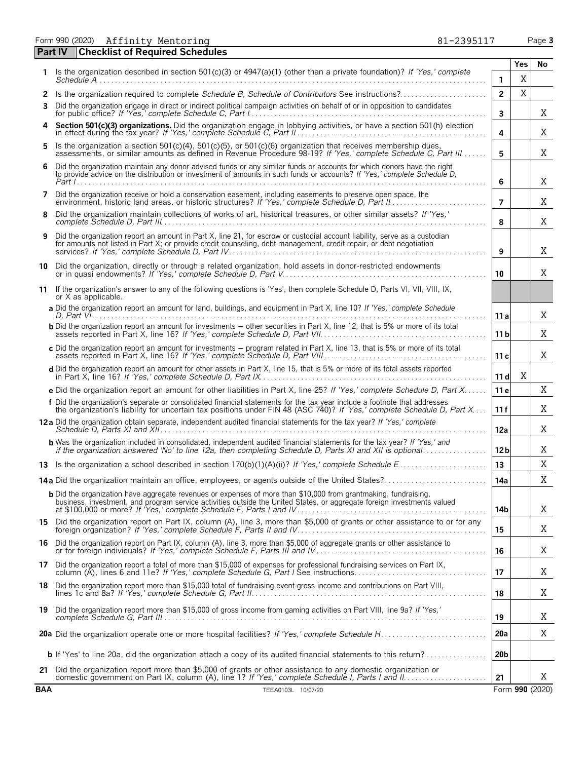|            | <b>Checklist of Required Schedules</b><br>Part IV                                                                                                                                                                                                   |                     |     |                 |
|------------|-----------------------------------------------------------------------------------------------------------------------------------------------------------------------------------------------------------------------------------------------------|---------------------|-----|-----------------|
|            | Is the organization described in section 501(c)(3) or 4947(a)(1) (other than a private foundation)? If 'Yes,' complete                                                                                                                              |                     | Yes | No              |
|            |                                                                                                                                                                                                                                                     | 1                   | X   |                 |
| 2<br>3     | Is the organization required to complete Schedule B, Schedule of Contributors See instructions?<br>Did the organization engage in direct or indirect political campaign activities on behalf of or in opposition to candidates                      | $\overline{2}$<br>3 | X   | X               |
|            | Section 501(c)(3) organizations. Did the organization engage in lobbying activities, or have a section 501(h) election in effect during the tax year? If 'Yes,' complete Schedule C, Part II                                                        | 4                   |     | X               |
| 5.         | Is the organization a section 501(c)(4), 501(c)(5), or 501(c)(6) organization that receives membership dues, assessments, or similar amounts as defined in Revenue Procedure 98-19? If 'Yes,' complete Schedule C, Part III                         | 5                   |     | X               |
| 6          | Did the organization maintain any donor advised funds or any similar funds or accounts for which donors have the right<br>to provide advice on the distribution or investment of amounts in such funds or accounts? If 'Yes,' complete Schedule D,  | 6                   |     | X               |
| 7          | Did the organization receive or hold a conservation easement, including easements to preserve open space, the<br>environment, historic land areas, or historic structures? If 'Yes,' complete Schedule D, Part II.                                  | $\overline{7}$      |     | X               |
| 8          | Did the organization maintain collections of works of art, historical treasures, or other similar assets? If 'Yes,'                                                                                                                                 | 8                   |     | X               |
| 9          | Did the organization report an amount in Part X, line 21, for escrow or custodial account liability, serve as a custodian<br>for amounts not listed in Part X; or provide credit counseling, debt management, credit repair, or debt negotiation    | 9                   |     | X               |
| 10         | Did the organization, directly or through a related organization, hold assets in donor-restricted endowments                                                                                                                                        | 10                  |     | X               |
| 11         | If the organization's answer to any of the following questions is 'Yes', then complete Schedule D, Parts VI, VII, VIII, IX,<br>or X as applicable.                                                                                                  |                     |     |                 |
|            | a Did the organization report an amount for land, buildings, and equipment in Part X, line 10? If 'Yes,' complete Schedule                                                                                                                          | 11 a                |     | X               |
|            | <b>b</b> Did the organization report an amount for investments – other securities in Part X, line 12, that is 5% or more of its total                                                                                                               | 11 <sub>b</sub>     |     | X               |
|            | c Did the organization report an amount for investments - program related in Part X, line 13, that is 5% or more of its total                                                                                                                       | 11c                 |     | X               |
|            | d Did the organization report an amount for other assets in Part X, line 15, that is 5% or more of its total assets reported                                                                                                                        | 11d                 | Χ   |                 |
|            | e Did the organization report an amount for other liabilities in Part X, line 25? If 'Yes,' complete Schedule D, Part X                                                                                                                             | 11e                 |     | X               |
|            | f Did the organization's separate or consolidated financial statements for the tax year include a footnote that addresses<br>the organization's liability for uncertain tax positions under FIN 48 (ASC 740)? If 'Yes,' complete Schedule D, Part X | 11f                 |     | X               |
|            | 12 a Did the organization obtain separate, independent audited financial statements for the tax year? If 'Yes,' complete                                                                                                                            | 12a                 |     | X               |
|            | <b>b</b> Was the organization included in consolidated, independent audited financial statements for the tax year? If 'Yes,' and<br>if the organization answered 'No' to line 12a, then completing Schedule D, Parts XI and XII is optional         | 12 <sub>b</sub>     |     | X               |
|            |                                                                                                                                                                                                                                                     | 13                  |     | X               |
|            | 14a Did the organization maintain an office, employees, or agents outside of the United States?                                                                                                                                                     | 14a                 |     | X               |
|            | <b>b</b> Did the organization have aggregate revenues or expenses of more than \$10,000 from grantmaking, fundraising,<br>business, investment, and program service activities outside the United States, or aggregate foreign investments valued   | 14b                 |     | X               |
|            | 15 Did the organization report on Part IX, column (A), line 3, more than \$5,000 of grants or other assistance to or for any                                                                                                                        | 15                  |     | X               |
|            | 16 Did the organization report on Part IX, column (A), line 3, more than \$5,000 of aggregate grants or other assistance to<br>or for foreign individuals? If 'Yes,' complete Schedule F, Parts III and IV                                          | 16                  |     | X               |
|            | 17 Did the organization report a total of more than \$15,000 of expenses for professional fundraising services on Part IX,<br>column (A), lines 6 and 11e? If 'Yes,' complete Schedule G, Part I See instructions                                   | <b>17</b>           |     | Χ               |
|            | 18 Did the organization report more than \$15,000 total of fundraising event gross income and contributions on Part VIII,                                                                                                                           | 18                  |     | X               |
|            | 19 Did the organization report more than \$15,000 of gross income from gaming activities on Part VIII, line 9a? If 'Yes,'                                                                                                                           | 19                  |     | X               |
|            |                                                                                                                                                                                                                                                     | 20a                 |     | X               |
|            | <b>b</b> If 'Yes' to line 20a, did the organization attach a copy of its audited financial statements to this return?                                                                                                                               | 20 <sub>b</sub>     |     |                 |
|            | 21 Did the organization report more than \$5,000 of grants or other assistance to any domestic organization or                                                                                                                                      | 21                  |     | X               |
| <b>BAA</b> | TEEA0103L 10/07/20                                                                                                                                                                                                                                  |                     |     | Form 990 (2020) |

|  | Form 990 (2020) | Mentorina<br>.<br>AIIINIU<br>- 72 |  | $-2205117$<br>2001 L<br>ັັ | Page - |
|--|-----------------|-----------------------------------|--|----------------------------|--------|
|--|-----------------|-----------------------------------|--|----------------------------|--------|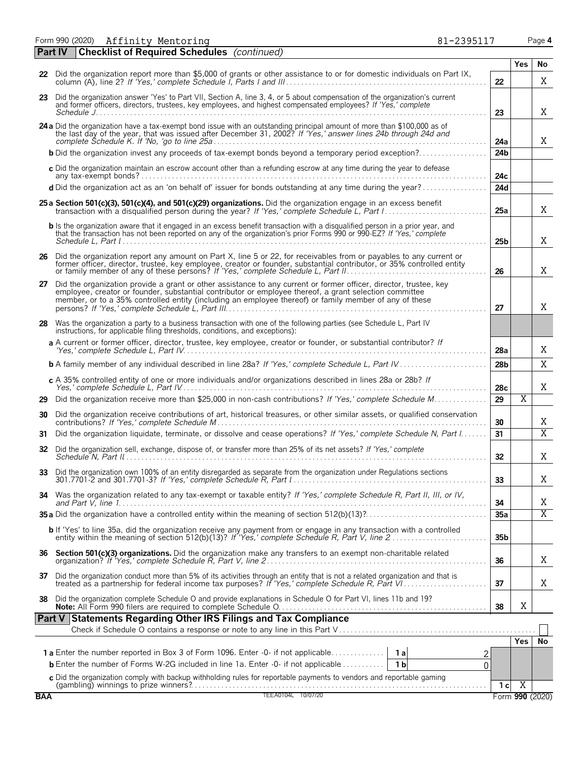Form 990 (2020) Affinity Mentoring **1992 12:20 Page 4** (2020) B1-2395117 Page 4

|            |                                                                                                                                                                                                                                                                                                                                          |                 | Yes                     | No              |
|------------|------------------------------------------------------------------------------------------------------------------------------------------------------------------------------------------------------------------------------------------------------------------------------------------------------------------------------------------|-----------------|-------------------------|-----------------|
|            | 22 Did the organization report more than \$5,000 of grants or other assistance to or for domestic individuals on Part IX,                                                                                                                                                                                                                | 22              |                         | X               |
|            | 23 Did the organization answer 'Yes' to Part VII, Section A, line 3, 4, or 5 about compensation of the organization's current<br>and former officers, directors, trustees, key employees, and highest compensated employees? If 'Yes,' complete                                                                                          | 23              |                         | X               |
|            | 24 a Did the organization have a tax-exempt bond issue with an outstanding principal amount of more than \$100,000 as of<br>the last day of the year, that was issued after December 31, 2002? If 'Yes,' answer lines 24b through 24d and                                                                                                | 24a             |                         | X               |
|            | <b>b</b> Did the organization invest any proceeds of tax-exempt bonds beyond a temporary period exception?                                                                                                                                                                                                                               | 24b             |                         |                 |
|            | c Did the organization maintain an escrow account other than a refunding escrow at any time during the year to defease                                                                                                                                                                                                                   | 24c             |                         |                 |
|            | d Did the organization act as an 'on behalf of' issuer for bonds outstanding at any time during the year?                                                                                                                                                                                                                                | 24d             |                         |                 |
|            | 25 a Section 501(c)(3), 501(c)(4), and 501(c)(29) organizations. Did the organization engage in an excess benefit                                                                                                                                                                                                                        | 25a             |                         | Χ               |
|            | <b>b</b> Is the organization aware that it engaged in an excess benefit transaction with a disqualified person in a prior year, and<br>that the transaction has not been reported on any of the organization's prior Forms 990 or 990-EZ? If 'Yes,' complete                                                                             | 25b             |                         | Χ               |
|            | 26 Did the organization report any amount on Part X, line 5 or 22, for receivables from or payables to any current or<br>former officer, director, trustee, key employee, creator or founder, substantial contributor, or 35% controlled entity<br>or family member of any of these persons? If 'Yes,' complete Schedule L, Part II      | 26              |                         | X               |
|            | 27 Did the organization provide a grant or other assistance to any current or former officer, director, trustee, key<br>employee, creator or founder, substantial contributor or employee thereof, a grant selection committee<br>member, or to a 35% controlled entity (including an employee thereof) or family member of any of these | 27              |                         | Χ               |
|            | 28 Was the organization a party to a business transaction with one of the following parties (see Schedule L, Part IV<br>instructions, for applicable filing thresholds, conditions, and exceptions):                                                                                                                                     |                 |                         |                 |
|            | a A current or former officer, director, trustee, key employee, creator or founder, or substantial contributor? If                                                                                                                                                                                                                       | 28a             |                         | Χ               |
|            |                                                                                                                                                                                                                                                                                                                                          | 28 <sub>b</sub> |                         | Χ               |
|            | c A 35% controlled entity of one or more individuals and/or organizations described in lines 28a or 28b? If                                                                                                                                                                                                                              | 28c             |                         | X               |
| 29         | Did the organization receive more than \$25,000 in non-cash contributions? If 'Yes,' complete Schedule M                                                                                                                                                                                                                                 | 29              | $\overline{\mathrm{X}}$ |                 |
| 30         | Did the organization receive contributions of art, historical treasures, or other similar assets, or qualified conservation                                                                                                                                                                                                              | 30              |                         | X               |
| 31.        | Did the organization liquidate, terminate, or dissolve and cease operations? If 'Yes,' complete Schedule N, Part I                                                                                                                                                                                                                       | 31              |                         | $\overline{X}$  |
|            | 32 Did the organization sell, exchange, dispose of, or transfer more than 25% of its net assets? If 'Yes,' complete                                                                                                                                                                                                                      | 32              |                         | X               |
| 33         | Did the organization own 100% of an entity disregarded as separate from the organization under Regulations sections                                                                                                                                                                                                                      | 33              |                         | X               |
|            | 34 Was the organization related to any tax-exempt or taxable entity? If 'Yes,' complete Schedule R, Part II, III, or IV,                                                                                                                                                                                                                 | 34              |                         | X               |
|            |                                                                                                                                                                                                                                                                                                                                          | 35a             |                         | $\overline{X}$  |
|            | <b>b</b> If 'Yes' to line 35a, did the organization receive any payment from or engage in any transaction with a controlled entity within the meaning of section 512(b)(13)? If 'Yes,' complete Schedule R, Part V, line 2                                                                                                               | 35 <sub>b</sub> |                         |                 |
| 36 -       | Section 501(c)(3) organizations. Did the organization make any transfers to an exempt non-charitable related                                                                                                                                                                                                                             | 36              |                         | Χ               |
|            | 37 Did the organization conduct more than 5% of its activities through an entity that is not a related organization and that is treated as a partnership for federal income tax purposes? If 'Yes,' complete Schedule R, Part                                                                                                            | 37              |                         | Χ               |
| 38         | Did the organization complete Schedule O and provide explanations in Schedule O for Part VI, lines 11b and 19?                                                                                                                                                                                                                           | 38              | X                       |                 |
|            | Part V Statements Regarding Other IRS Filings and Tax Compliance                                                                                                                                                                                                                                                                         |                 |                         |                 |
|            |                                                                                                                                                                                                                                                                                                                                          |                 | Yes                     | No              |
|            | 1a Enter the number reported in Box 3 of Form 1096. Enter -0- if not applicable<br>1 a<br>2<br><b>b</b> Enter the number of Forms W-2G included in line 1a. Enter -0- if not applicable<br>1 <sub>b</sub><br>$\Omega$                                                                                                                    |                 |                         |                 |
|            | c Did the organization comply with backup withholding rules for reportable payments to vendors and reportable qaming                                                                                                                                                                                                                     | 1 с             | Χ                       |                 |
| <b>BAA</b> | TEEA0104L 10/07/20                                                                                                                                                                                                                                                                                                                       |                 |                         | Form 990 (2020) |

| FORM 990 (2020) ALLINITY MENTOLING |  |  |                                                            |
|------------------------------------|--|--|------------------------------------------------------------|
|                                    |  |  | <b>Part IV Checklist of Required Schedules</b> (continued) |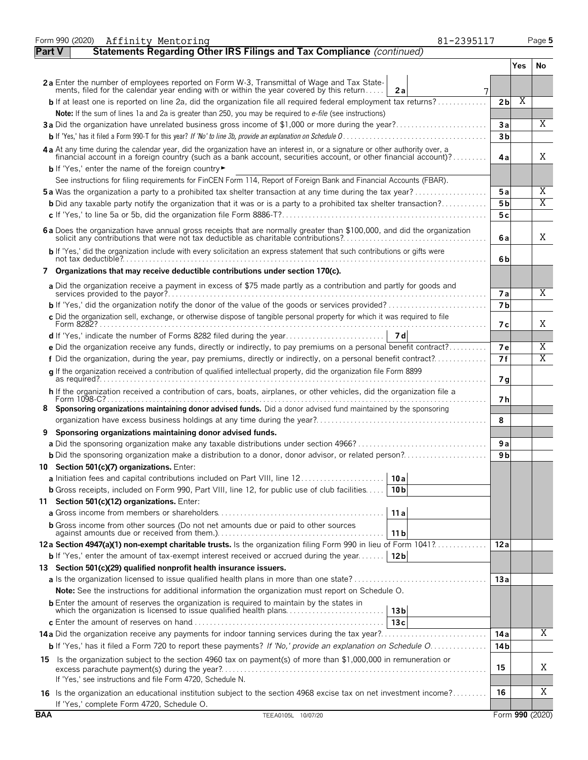|               | Form 990 (2020)<br>Affinity Mentoring<br>81-2395117                                                                                                                                                                            |                 |     | Page 5 |
|---------------|--------------------------------------------------------------------------------------------------------------------------------------------------------------------------------------------------------------------------------|-----------------|-----|--------|
| <b>Part V</b> | Statements Regarding Other IRS Filings and Tax Compliance (continued)                                                                                                                                                          |                 |     |        |
|               |                                                                                                                                                                                                                                |                 | Yes | No.    |
|               | 2a Enter the number of employees reported on Form W-3, Transmittal of Wage and Tax State-                                                                                                                                      |                 |     |        |
|               | ments, filed for the calendar year ending with or within the year covered by this return<br>2a<br><b>b</b> If at least one is reported on line 2a, did the organization file all required federal employment tax returns?      |                 | Χ   |        |
|               | Note: If the sum of lines 1a and 2a is greater than 250, you may be required to e-file (see instructions)                                                                                                                      | 2 <sub>b</sub>  |     |        |
|               | 3a Did the organization have unrelated business gross income of \$1,000 or more during the year?                                                                                                                               | 3a              |     | X      |
|               |                                                                                                                                                                                                                                | 3 <sub>b</sub>  |     |        |
|               |                                                                                                                                                                                                                                |                 |     |        |
|               | 4 a At any time during the calendar year, did the organization have an interest in, or a signature or other authority over, a financial account in a foreign country (such as a bank account, securities account, or other fin | 4a              |     | X      |
|               | <b>b</b> If 'Yes,' enter the name of the foreign country<br>See instructions for filing requirements for FinCEN Form 114, Report of Foreign Bank and Financial Accounts (FBAR).                                                |                 |     |        |
|               | <b>5a</b> Was the organization a party to a prohibited tax shelter transaction at any time during the tax year?                                                                                                                | 5a              |     | Χ      |
|               | <b>b</b> Did any taxable party notify the organization that it was or is a party to a prohibited tax shelter transaction?                                                                                                      | 5 b             |     | X      |
|               |                                                                                                                                                                                                                                | 5 c             |     |        |
|               |                                                                                                                                                                                                                                |                 |     |        |
|               | 6 a Does the organization have annual gross receipts that are normally greater than \$100,000, and did the organization solicit any contributions that were not tax deductible as charitable contributions?                    | 6a              |     | X      |
|               | b If 'Yes,' did the organization include with every solicitation an express statement that such contributions or gifts were                                                                                                    | 6b              |     |        |
|               | 7 Organizations that may receive deductible contributions under section 170(c).                                                                                                                                                |                 |     |        |
|               | a Did the organization receive a payment in excess of \$75 made partly as a contribution and partly for goods and                                                                                                              |                 |     |        |
|               |                                                                                                                                                                                                                                | <b>7a</b>       |     | X      |
|               |                                                                                                                                                                                                                                | 7 <sub>b</sub>  |     |        |
|               | c Did the organization sell, exchange, or otherwise dispose of tangible personal property for which it was required to file                                                                                                    | 7 с             |     | X      |
|               |                                                                                                                                                                                                                                |                 |     |        |
|               | e Did the organization receive any funds, directly or indirectly, to pay premiums on a personal benefit contract?                                                                                                              | <b>7e</b>       |     | Χ      |
|               | f Did the organization, during the year, pay premiums, directly or indirectly, on a personal benefit contract?                                                                                                                 | 7f              |     | Χ      |
|               | g If the organization received a contribution of qualified intellectual property, did the organization file Form 8899                                                                                                          |                 |     |        |
|               |                                                                                                                                                                                                                                | 7 <sub>q</sub>  |     |        |
|               | h If the organization received a contribution of cars, boats, airplanes, or other vehicles, did the organization file a                                                                                                        | 7 h             |     |        |
| 8.            | Sponsoring organizations maintaining donor advised funds. Did a donor advised fund maintained by the sponsoring                                                                                                                |                 |     |        |
|               |                                                                                                                                                                                                                                | 8               |     |        |
| 9             | Sponsoring organizations maintaining donor advised funds.                                                                                                                                                                      |                 |     |        |
|               | a Did the sponsoring organization make any taxable distributions under section 4966?                                                                                                                                           | 9a              |     |        |
|               | <b>b</b> Did the sponsoring organization make a distribution to a donor, donor advisor, or related person?                                                                                                                     | 9 b             |     |        |
|               | 10 Section 501(c)(7) organizations. Enter:                                                                                                                                                                                     |                 |     |        |
|               | a Initiation fees and capital contributions included on Part VIII, line 12<br>10a                                                                                                                                              |                 |     |        |
|               | <b>b</b> Gross receipts, included on Form 990, Part VIII, line 12, for public use of club facilities<br>10 <sub>b</sub>                                                                                                        |                 |     |        |
|               | 11 Section 501(c)(12) organizations. Enter:                                                                                                                                                                                    |                 |     |        |
|               | 11a                                                                                                                                                                                                                            |                 |     |        |
|               | <b>b</b> Gross income from other sources (Do not net amounts due or paid to other sources<br>11 b                                                                                                                              |                 |     |        |
|               | 12a Section 4947(a)(1) non-exempt charitable trusts. Is the organization filing Form 990 in lieu of Form 1041?                                                                                                                 | 12a             |     |        |
|               | <b>b</b> If 'Yes,' enter the amount of tax-exempt interest received or accrued during the year<br>12 <sub>b</sub>                                                                                                              |                 |     |        |
|               | 13 Section 501(c)(29) qualified nonprofit health insurance issuers.                                                                                                                                                            |                 |     |        |
|               |                                                                                                                                                                                                                                | 13a             |     |        |
|               | <b>Note:</b> See the instructions for additional information the organization must report on Schedule O.                                                                                                                       |                 |     |        |
|               | <b>b</b> Enter the amount of reserves the organization is required to maintain by the states in                                                                                                                                |                 |     |        |
|               | 13 <sub>b</sub>                                                                                                                                                                                                                |                 |     |        |
|               | 13c                                                                                                                                                                                                                            |                 |     |        |
|               | 14a Did the organization receive any payments for indoor tanning services during the tax year?                                                                                                                                 | 14 a            |     | Χ      |
|               | b If 'Yes,' has it filed a Form 720 to report these payments? If 'No,' provide an explanation on Schedule O                                                                                                                    | 14 b            |     |        |
|               | 15 Is the organization subject to the section 4960 tax on payment(s) of more than \$1,000,000 in remuneration or                                                                                                               |                 |     |        |
|               |                                                                                                                                                                                                                                | 15              |     | Χ      |
|               | If 'Yes,' see instructions and file Form 4720, Schedule N.                                                                                                                                                                     |                 |     |        |
|               | 16 Is the organization an educational institution subject to the section 4968 excise tax on net investment income?                                                                                                             | 16              |     | Χ      |
|               | If 'Yes,' complete Form 4720, Schedule O.                                                                                                                                                                                      |                 |     |        |
| <b>BAA</b>    | TEEA0105L 10/07/20                                                                                                                                                                                                             | Form 990 (2020) |     |        |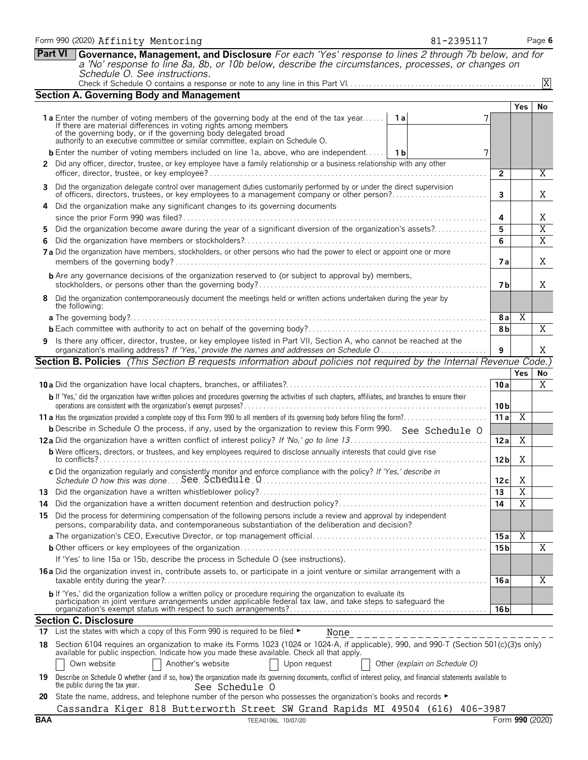| 5<br>6<br>8 | of the governing body, or if the governing body delegated broad<br>authority to an executive committee or similar committee, explain on Schedule O.<br><b>b</b> Enter the number of voting members included on line 1a, above, who are independent   1b<br>2 Did any officer, director, trustee, or key employee have a family relationship or a business relationship with any other<br>Did the organization delegate control over management duties customarily performed by or under the direct supervision<br>of officers, directors, trustees, or key employees to a management company or other person?<br>Did the organization make any significant changes to its governing documents<br>Did the organization become aware during the year of a significant diversion of the organization's assets?<br>7a Did the organization have members, stockholders, or other persons who had the power to elect or appoint one or more<br><b>b</b> Are any governance decisions of the organization reserved to (or subject to approval by) members,<br>Did the organization contemporaneously document the meetings held or written actions undertaken during the year by<br>the following:<br>Is there any officer, director, trustee, or key employee listed in Part VII, Section A, who cannot be reached at the<br>organization's mailing address? If 'Yes,' provide the names and addresses on Schedule Q<br>Section B. Policies (This Section B requests information about policies not required by the Internal Revenue Code.)<br>b If 'Yes,' did the organization have written policies and procedures governing the activities of such chapters, affiliates, and branches to ensure their<br><b>b</b> Describe in Schedule O the process, if any, used by the organization to review this Form 990. See Schedule O | 7                             | $\overline{2}$<br>3<br>4<br>5<br>6<br>7 a<br>7 b<br><b>8a</b><br>8 <sub>b</sub><br>9<br>10a<br>10 <sub>b</sub><br>11a | $\overline{X}$<br>Yes I<br>Χ | Χ<br>Χ<br>Χ<br>$\overline{X}$<br>$\overline{X}$<br>X<br>X<br>Χ<br>X<br>No<br>X |
|-------------|-----------------------------------------------------------------------------------------------------------------------------------------------------------------------------------------------------------------------------------------------------------------------------------------------------------------------------------------------------------------------------------------------------------------------------------------------------------------------------------------------------------------------------------------------------------------------------------------------------------------------------------------------------------------------------------------------------------------------------------------------------------------------------------------------------------------------------------------------------------------------------------------------------------------------------------------------------------------------------------------------------------------------------------------------------------------------------------------------------------------------------------------------------------------------------------------------------------------------------------------------------------------------------------------------------------------------------------------------------------------------------------------------------------------------------------------------------------------------------------------------------------------------------------------------------------------------------------------------------------------------------------------------------------------------------------------------------------------------------------------------------------------------------------------------------------------------------|-------------------------------|-----------------------------------------------------------------------------------------------------------------------|------------------------------|--------------------------------------------------------------------------------|
|             |                                                                                                                                                                                                                                                                                                                                                                                                                                                                                                                                                                                                                                                                                                                                                                                                                                                                                                                                                                                                                                                                                                                                                                                                                                                                                                                                                                                                                                                                                                                                                                                                                                                                                                                                                                                                                             |                               |                                                                                                                       |                              |                                                                                |
|             |                                                                                                                                                                                                                                                                                                                                                                                                                                                                                                                                                                                                                                                                                                                                                                                                                                                                                                                                                                                                                                                                                                                                                                                                                                                                                                                                                                                                                                                                                                                                                                                                                                                                                                                                                                                                                             |                               |                                                                                                                       |                              |                                                                                |
|             |                                                                                                                                                                                                                                                                                                                                                                                                                                                                                                                                                                                                                                                                                                                                                                                                                                                                                                                                                                                                                                                                                                                                                                                                                                                                                                                                                                                                                                                                                                                                                                                                                                                                                                                                                                                                                             |                               |                                                                                                                       |                              |                                                                                |
|             |                                                                                                                                                                                                                                                                                                                                                                                                                                                                                                                                                                                                                                                                                                                                                                                                                                                                                                                                                                                                                                                                                                                                                                                                                                                                                                                                                                                                                                                                                                                                                                                                                                                                                                                                                                                                                             |                               |                                                                                                                       |                              |                                                                                |
|             |                                                                                                                                                                                                                                                                                                                                                                                                                                                                                                                                                                                                                                                                                                                                                                                                                                                                                                                                                                                                                                                                                                                                                                                                                                                                                                                                                                                                                                                                                                                                                                                                                                                                                                                                                                                                                             |                               |                                                                                                                       |                              |                                                                                |
|             |                                                                                                                                                                                                                                                                                                                                                                                                                                                                                                                                                                                                                                                                                                                                                                                                                                                                                                                                                                                                                                                                                                                                                                                                                                                                                                                                                                                                                                                                                                                                                                                                                                                                                                                                                                                                                             |                               |                                                                                                                       |                              |                                                                                |
|             |                                                                                                                                                                                                                                                                                                                                                                                                                                                                                                                                                                                                                                                                                                                                                                                                                                                                                                                                                                                                                                                                                                                                                                                                                                                                                                                                                                                                                                                                                                                                                                                                                                                                                                                                                                                                                             |                               |                                                                                                                       |                              |                                                                                |
|             |                                                                                                                                                                                                                                                                                                                                                                                                                                                                                                                                                                                                                                                                                                                                                                                                                                                                                                                                                                                                                                                                                                                                                                                                                                                                                                                                                                                                                                                                                                                                                                                                                                                                                                                                                                                                                             |                               |                                                                                                                       |                              |                                                                                |
|             |                                                                                                                                                                                                                                                                                                                                                                                                                                                                                                                                                                                                                                                                                                                                                                                                                                                                                                                                                                                                                                                                                                                                                                                                                                                                                                                                                                                                                                                                                                                                                                                                                                                                                                                                                                                                                             |                               |                                                                                                                       |                              |                                                                                |
|             |                                                                                                                                                                                                                                                                                                                                                                                                                                                                                                                                                                                                                                                                                                                                                                                                                                                                                                                                                                                                                                                                                                                                                                                                                                                                                                                                                                                                                                                                                                                                                                                                                                                                                                                                                                                                                             |                               |                                                                                                                       |                              |                                                                                |
|             |                                                                                                                                                                                                                                                                                                                                                                                                                                                                                                                                                                                                                                                                                                                                                                                                                                                                                                                                                                                                                                                                                                                                                                                                                                                                                                                                                                                                                                                                                                                                                                                                                                                                                                                                                                                                                             |                               |                                                                                                                       |                              |                                                                                |
|             |                                                                                                                                                                                                                                                                                                                                                                                                                                                                                                                                                                                                                                                                                                                                                                                                                                                                                                                                                                                                                                                                                                                                                                                                                                                                                                                                                                                                                                                                                                                                                                                                                                                                                                                                                                                                                             |                               |                                                                                                                       |                              |                                                                                |
|             |                                                                                                                                                                                                                                                                                                                                                                                                                                                                                                                                                                                                                                                                                                                                                                                                                                                                                                                                                                                                                                                                                                                                                                                                                                                                                                                                                                                                                                                                                                                                                                                                                                                                                                                                                                                                                             |                               |                                                                                                                       |                              |                                                                                |
|             |                                                                                                                                                                                                                                                                                                                                                                                                                                                                                                                                                                                                                                                                                                                                                                                                                                                                                                                                                                                                                                                                                                                                                                                                                                                                                                                                                                                                                                                                                                                                                                                                                                                                                                                                                                                                                             |                               |                                                                                                                       |                              |                                                                                |
|             |                                                                                                                                                                                                                                                                                                                                                                                                                                                                                                                                                                                                                                                                                                                                                                                                                                                                                                                                                                                                                                                                                                                                                                                                                                                                                                                                                                                                                                                                                                                                                                                                                                                                                                                                                                                                                             |                               |                                                                                                                       |                              |                                                                                |
|             |                                                                                                                                                                                                                                                                                                                                                                                                                                                                                                                                                                                                                                                                                                                                                                                                                                                                                                                                                                                                                                                                                                                                                                                                                                                                                                                                                                                                                                                                                                                                                                                                                                                                                                                                                                                                                             |                               |                                                                                                                       |                              |                                                                                |
|             |                                                                                                                                                                                                                                                                                                                                                                                                                                                                                                                                                                                                                                                                                                                                                                                                                                                                                                                                                                                                                                                                                                                                                                                                                                                                                                                                                                                                                                                                                                                                                                                                                                                                                                                                                                                                                             |                               |                                                                                                                       |                              |                                                                                |
|             |                                                                                                                                                                                                                                                                                                                                                                                                                                                                                                                                                                                                                                                                                                                                                                                                                                                                                                                                                                                                                                                                                                                                                                                                                                                                                                                                                                                                                                                                                                                                                                                                                                                                                                                                                                                                                             |                               |                                                                                                                       |                              |                                                                                |
|             |                                                                                                                                                                                                                                                                                                                                                                                                                                                                                                                                                                                                                                                                                                                                                                                                                                                                                                                                                                                                                                                                                                                                                                                                                                                                                                                                                                                                                                                                                                                                                                                                                                                                                                                                                                                                                             |                               |                                                                                                                       |                              |                                                                                |
|             |                                                                                                                                                                                                                                                                                                                                                                                                                                                                                                                                                                                                                                                                                                                                                                                                                                                                                                                                                                                                                                                                                                                                                                                                                                                                                                                                                                                                                                                                                                                                                                                                                                                                                                                                                                                                                             |                               |                                                                                                                       |                              |                                                                                |
|             |                                                                                                                                                                                                                                                                                                                                                                                                                                                                                                                                                                                                                                                                                                                                                                                                                                                                                                                                                                                                                                                                                                                                                                                                                                                                                                                                                                                                                                                                                                                                                                                                                                                                                                                                                                                                                             |                               | 12a                                                                                                                   | Χ                            |                                                                                |
|             | <b>b</b> Were officers, directors, or trustees, and key employees required to disclose annually interests that could give rise                                                                                                                                                                                                                                                                                                                                                                                                                                                                                                                                                                                                                                                                                                                                                                                                                                                                                                                                                                                                                                                                                                                                                                                                                                                                                                                                                                                                                                                                                                                                                                                                                                                                                              |                               | 12 <sub>b</sub>                                                                                                       | Χ                            |                                                                                |
|             | c Did the organization regularly and consistently monitor and enforce compliance with the policy? If 'Yes,' describe in                                                                                                                                                                                                                                                                                                                                                                                                                                                                                                                                                                                                                                                                                                                                                                                                                                                                                                                                                                                                                                                                                                                                                                                                                                                                                                                                                                                                                                                                                                                                                                                                                                                                                                     |                               | 12c                                                                                                                   | Χ                            |                                                                                |
|             |                                                                                                                                                                                                                                                                                                                                                                                                                                                                                                                                                                                                                                                                                                                                                                                                                                                                                                                                                                                                                                                                                                                                                                                                                                                                                                                                                                                                                                                                                                                                                                                                                                                                                                                                                                                                                             |                               | 13                                                                                                                    | $\overline{\mathbf{X}}$      |                                                                                |
|             |                                                                                                                                                                                                                                                                                                                                                                                                                                                                                                                                                                                                                                                                                                                                                                                                                                                                                                                                                                                                                                                                                                                                                                                                                                                                                                                                                                                                                                                                                                                                                                                                                                                                                                                                                                                                                             |                               | 14                                                                                                                    | $\overline{\mathrm{X}}$      |                                                                                |
|             | 15 Did the process for determining compensation of the following persons include a review and approval by independent<br>persons, comparability data, and contemporaneous substantiation of the deliberation and decision?                                                                                                                                                                                                                                                                                                                                                                                                                                                                                                                                                                                                                                                                                                                                                                                                                                                                                                                                                                                                                                                                                                                                                                                                                                                                                                                                                                                                                                                                                                                                                                                                  |                               |                                                                                                                       |                              |                                                                                |
|             |                                                                                                                                                                                                                                                                                                                                                                                                                                                                                                                                                                                                                                                                                                                                                                                                                                                                                                                                                                                                                                                                                                                                                                                                                                                                                                                                                                                                                                                                                                                                                                                                                                                                                                                                                                                                                             |                               | 15a                                                                                                                   | $\overline{X}$               |                                                                                |
|             |                                                                                                                                                                                                                                                                                                                                                                                                                                                                                                                                                                                                                                                                                                                                                                                                                                                                                                                                                                                                                                                                                                                                                                                                                                                                                                                                                                                                                                                                                                                                                                                                                                                                                                                                                                                                                             |                               | 15 <sub>b</sub>                                                                                                       |                              | X.                                                                             |
|             | If 'Yes' to line 15a or 15b, describe the process in Schedule O (see instructions).                                                                                                                                                                                                                                                                                                                                                                                                                                                                                                                                                                                                                                                                                                                                                                                                                                                                                                                                                                                                                                                                                                                                                                                                                                                                                                                                                                                                                                                                                                                                                                                                                                                                                                                                         |                               |                                                                                                                       |                              |                                                                                |
|             | <b>16a</b> Did the organization invest in, contribute assets to, or participate in a joint venture or similar arrangement with a                                                                                                                                                                                                                                                                                                                                                                                                                                                                                                                                                                                                                                                                                                                                                                                                                                                                                                                                                                                                                                                                                                                                                                                                                                                                                                                                                                                                                                                                                                                                                                                                                                                                                            |                               | 16 a                                                                                                                  |                              | Χ                                                                              |
|             | b If 'Yes,' did the organization follow a written policy or procedure requiring the organization to evaluate its<br>participation in joint venture arrangements under applicable federal tax law, and take steps to safeguard the                                                                                                                                                                                                                                                                                                                                                                                                                                                                                                                                                                                                                                                                                                                                                                                                                                                                                                                                                                                                                                                                                                                                                                                                                                                                                                                                                                                                                                                                                                                                                                                           |                               | 16 <sub>b</sub>                                                                                                       |                              |                                                                                |
|             | <b>Section C. Disclosure</b>                                                                                                                                                                                                                                                                                                                                                                                                                                                                                                                                                                                                                                                                                                                                                                                                                                                                                                                                                                                                                                                                                                                                                                                                                                                                                                                                                                                                                                                                                                                                                                                                                                                                                                                                                                                                |                               |                                                                                                                       |                              |                                                                                |
|             | 17 List the states with which a copy of this Form 990 is required to be filed $\blacktriangleright$<br>None                                                                                                                                                                                                                                                                                                                                                                                                                                                                                                                                                                                                                                                                                                                                                                                                                                                                                                                                                                                                                                                                                                                                                                                                                                                                                                                                                                                                                                                                                                                                                                                                                                                                                                                 |                               |                                                                                                                       |                              |                                                                                |
|             | 18 Section 6104 requires an organization to make its Forms 1023 (1024 or 1024-A, if applicable), 990, and 990-T (Section 501(c)(3)s only)                                                                                                                                                                                                                                                                                                                                                                                                                                                                                                                                                                                                                                                                                                                                                                                                                                                                                                                                                                                                                                                                                                                                                                                                                                                                                                                                                                                                                                                                                                                                                                                                                                                                                   |                               |                                                                                                                       |                              |                                                                                |
|             | available for public inspection. Indicate how you made these available. Check all that apply.<br>Another's website<br>Own website<br>Upon request                                                                                                                                                                                                                                                                                                                                                                                                                                                                                                                                                                                                                                                                                                                                                                                                                                                                                                                                                                                                                                                                                                                                                                                                                                                                                                                                                                                                                                                                                                                                                                                                                                                                           | Other (explain on Schedule O) |                                                                                                                       |                              |                                                                                |
| 19          | Describe on Schedule O whether (and if so, how) the organization made its governing documents, conflict of interest policy, and financial statements available to                                                                                                                                                                                                                                                                                                                                                                                                                                                                                                                                                                                                                                                                                                                                                                                                                                                                                                                                                                                                                                                                                                                                                                                                                                                                                                                                                                                                                                                                                                                                                                                                                                                           |                               |                                                                                                                       |                              |                                                                                |
|             | the public during the tax year.<br>See Schedule O                                                                                                                                                                                                                                                                                                                                                                                                                                                                                                                                                                                                                                                                                                                                                                                                                                                                                                                                                                                                                                                                                                                                                                                                                                                                                                                                                                                                                                                                                                                                                                                                                                                                                                                                                                           |                               |                                                                                                                       |                              |                                                                                |
|             | 20 State the name, address, and telephone number of the person who possesses the organization's books and records ►                                                                                                                                                                                                                                                                                                                                                                                                                                                                                                                                                                                                                                                                                                                                                                                                                                                                                                                                                                                                                                                                                                                                                                                                                                                                                                                                                                                                                                                                                                                                                                                                                                                                                                         |                               |                                                                                                                       |                              |                                                                                |
|             |                                                                                                                                                                                                                                                                                                                                                                                                                                                                                                                                                                                                                                                                                                                                                                                                                                                                                                                                                                                                                                                                                                                                                                                                                                                                                                                                                                                                                                                                                                                                                                                                                                                                                                                                                                                                                             |                               |                                                                                                                       |                              |                                                                                |
| <b>BAA</b>  | Cassandra Kiger 818 Butterworth Street SW Grand Rapids MI 49504 (616)                                                                                                                                                                                                                                                                                                                                                                                                                                                                                                                                                                                                                                                                                                                                                                                                                                                                                                                                                                                                                                                                                                                                                                                                                                                                                                                                                                                                                                                                                                                                                                                                                                                                                                                                                       | 406-3987                      |                                                                                                                       | Form 990 (2020)              |                                                                                |

#### Form 990 (2020)  $\operatorname{Affinity}$  Mentoring  $81-2395117$  Page **6**

**Section A. Governing Body and Management**

| Part VI Governance, Management, and Disclosure For each 'Yes' response to lines 2 through 7b below, and for |                |
|-------------------------------------------------------------------------------------------------------------|----------------|
| a 'No' response to line 8a, 8b, or 10b below, describe the circumstances, processes, or changes on          |                |
| Schedule O. See instructions.                                                                               |                |
|                                                                                                             | $\overline{X}$ |

Check if Schedule O contains a response or note to any line in this Part VI. . . . . . . . . . . . . . . . . . . . . . . . . . . . . . . . . . . . . . . . . . . . . . . . . .

**Yes No**

7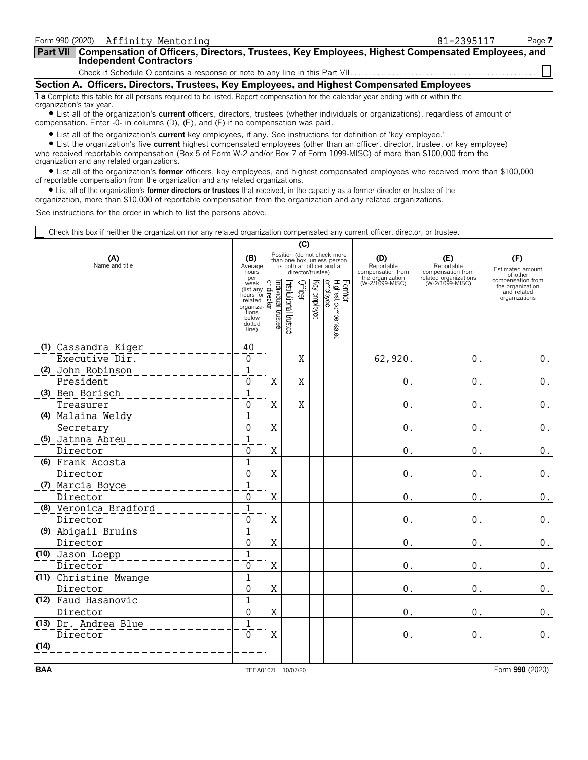| Form 990 (2020) Affinity Mentoring                                                                                                                                                                                             | 81-2395117 | Page 7 |
|--------------------------------------------------------------------------------------------------------------------------------------------------------------------------------------------------------------------------------|------------|--------|
| Part VII Compensation of Officers, Directors, Trustees, Key Employees, Highest Compensated Employees, and<br><b>Independent Contractors</b>                                                                                    |            |        |
|                                                                                                                                                                                                                                |            |        |
| Section A. Officers, Directors, Trustees, Key Employees, and Highest Compensated Employees                                                                                                                                     |            |        |
| <b>1a</b> Complete this table for all persons required to be listed. Report compensation for the calendar year ending with or within the<br>organization's tax year.                                                           |            |        |
| • List all of the organization's current officers, directors, trustees (whether individuals or organizations), regardless of amount of<br>compensation. Enter $-0$ - in columns (D), (E), and (F) if no compensation was paid. |            |        |

? List all of the organization's **current** key employees, if any. See instructions for definition of 'key employee.'

? List the organization's five **current** highest compensated employees (other than an officer, director, trustee, or key employee) who received reportable compensation (Box 5 of Form W-2 and/or Box 7 of Form 1099-MISC) of more than \$100,000 from the organization and any related organizations.

? List all of the organization's **former** officers, key employees, and highest compensated employees who received more than \$100,000 of reportable compensation from the organization and any related organizations.

? List all of the organization's **former directors or trustees** that received, in the capacity as a former director or trustee of the

organization, more than \$10,000 of reportable compensation from the organization and any related organizations.

See instructions for the order in which to list the persons above.

Check this box if neither the organization nor any related organization compensated any current officer, director, or trustee.

|                       |                                                                                             |                                    |                       | (C)         |                   |                                                                                        |                                                            |                                          |                                                                       |
|-----------------------|---------------------------------------------------------------------------------------------|------------------------------------|-----------------------|-------------|-------------------|----------------------------------------------------------------------------------------|------------------------------------------------------------|------------------------------------------|-----------------------------------------------------------------------|
| (A)<br>Name and title | (B)<br>Average<br>hours<br>per                                                              |                                    |                       |             | director/trustee) | Position (do not check more<br>than one box, unless person<br>is both an officer and a | (D)<br>Reportable<br>compensation from<br>the organization | (E)<br>Reportable<br>compensation from   | (F)<br>Estimated amount<br>of other                                   |
|                       | week<br>(list any<br>hours for<br>related<br>organiza-<br>tions<br>below<br>dotted<br>line) | Individual trustee<br>direct<br>হি | Institutional trustee | Officer     | Key employee      | Former<br>Highest compensated<br>employee                                              | (W-2/1099-MISC)                                            | related organizations<br>(W-2/1099-MISC) | compensation from<br>the organization<br>and related<br>organizations |
| (1) Cassandra Kiger   | 40                                                                                          |                                    |                       |             |                   |                                                                                        |                                                            |                                          |                                                                       |
| Executive Dir.        | 0                                                                                           |                                    |                       | X           |                   |                                                                                        | 62,920                                                     | $\mathbf 0$ .                            | $0$ .                                                                 |
| (2) John Robinson     | $\overline{1}$                                                                              |                                    |                       |             |                   |                                                                                        |                                                            |                                          |                                                                       |
| President             | $\overline{0}$                                                                              | $\mathbf X$                        |                       | $\mathbf X$ |                   |                                                                                        | $\mathbf{0}$                                               | $\mathbf 0$ .                            | $0$ .                                                                 |
| (3) Ben Borisch       | $\overline{1}$                                                                              |                                    |                       |             |                   |                                                                                        |                                                            |                                          |                                                                       |
| Treasurer             | $\Omega$                                                                                    | $\mathbf X$                        |                       | $\rm X$     |                   |                                                                                        | $\mathbf{0}$                                               | $\mathbf{0}$                             | $0$ .                                                                 |
| (4) Malaina Weldy     | $\overline{1}$                                                                              |                                    |                       |             |                   |                                                                                        |                                                            |                                          |                                                                       |
| Secretary             | $\Omega$                                                                                    | X                                  |                       |             |                   |                                                                                        | 0                                                          | 0                                        | 0.                                                                    |
| (5) Jatnna Abreu      | $\mathbf{1}$                                                                                |                                    |                       |             |                   |                                                                                        |                                                            |                                          |                                                                       |
| Director              | $\Omega$                                                                                    | X                                  |                       |             |                   |                                                                                        | 0                                                          | $\mathbf{0}$                             | 0.                                                                    |
| (6) Frank Acosta      | $\overline{1}$                                                                              |                                    |                       |             |                   |                                                                                        |                                                            |                                          |                                                                       |
| Director              | $\Omega$                                                                                    | $\rm X$                            |                       |             |                   |                                                                                        | $\mathbf{0}$                                               | $\mathbf{0}$                             | 0.                                                                    |
| (7) Marcia Boyce      | $\mathbf{1}$                                                                                |                                    |                       |             |                   |                                                                                        |                                                            |                                          |                                                                       |
| Director              | $\Omega$                                                                                    | $\mathbf X$                        |                       |             |                   |                                                                                        | $\mathbf 0$                                                | $\mathbf{0}$                             | $\boldsymbol{0}$ .                                                    |
| (8) Veronica Bradford | $\overline{1}$                                                                              |                                    |                       |             |                   |                                                                                        |                                                            |                                          |                                                                       |
| Director              | $\Omega$                                                                                    | X                                  |                       |             |                   |                                                                                        | $\mathbf{0}$                                               | $\mathbf 0$ .                            | $0$ .                                                                 |
| (9) Abigail Bruins    | $\overline{1}$                                                                              |                                    |                       |             |                   |                                                                                        |                                                            |                                          |                                                                       |
| Director              | $\Omega$                                                                                    | X                                  |                       |             |                   |                                                                                        | 0                                                          | $\mathbf{0}$ .                           | 0.                                                                    |
| (10) Jason Loepp      | $\mathbf{1}$                                                                                |                                    |                       |             |                   |                                                                                        |                                                            |                                          |                                                                       |
| Director              | $\Omega$                                                                                    | $\mathbf X$                        |                       |             |                   |                                                                                        | $\mathbf 0$                                                | $\mathbf{0}$ .                           | 0.                                                                    |
| (11) Christine Mwange | $\mathbf{1}$                                                                                |                                    |                       |             |                   |                                                                                        |                                                            |                                          |                                                                       |
| Director              | $\mathbf 0$                                                                                 | X                                  |                       |             |                   |                                                                                        | $\mathbf 0$                                                | $\mathbf{0}$                             | $\boldsymbol{0}$ .                                                    |
| (12) Faud Hasanovic   | $\mathbf{1}$                                                                                |                                    |                       |             |                   |                                                                                        |                                                            |                                          |                                                                       |
| Director              | $\mathbf 0$                                                                                 | X                                  |                       |             |                   |                                                                                        | $\mathbf 0$                                                | $\mathbf{0}$                             | $\boldsymbol{0}$ .                                                    |
| (13) Dr. Andrea Blue  | $\overline{1}$                                                                              |                                    |                       |             |                   |                                                                                        |                                                            |                                          |                                                                       |
| Director              | $\mathbf 0$                                                                                 | X                                  |                       |             |                   |                                                                                        | $\mathbf 0$                                                | $\mathbf{0}$                             | $0$ .                                                                 |
| (14)                  |                                                                                             |                                    |                       |             |                   |                                                                                        |                                                            |                                          |                                                                       |
| <b>BAA</b>            |                                                                                             |                                    | TEEA0107L 10/07/20    |             |                   |                                                                                        |                                                            |                                          | Form 990 (2020)                                                       |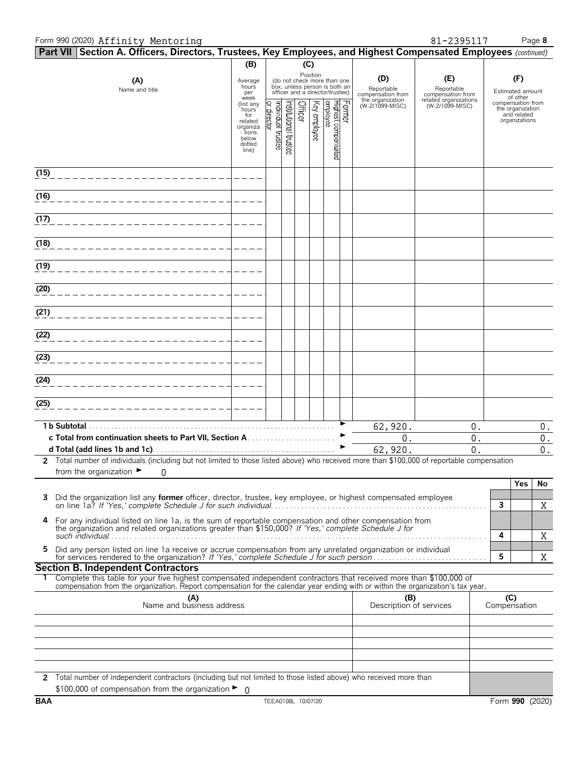#### Form 990 (2020) Page **8** Affinity Mentoring 81-2395117

|      | Part VII Section A. Officers, Directors, Trustees, Key Employees, and Highest Compensated Employees (continued)                                                                                                                                        |  |                              |                                   |                      |         |              |                                                                                                             |  |                                        |                                          |              |                                                   |                |
|------|--------------------------------------------------------------------------------------------------------------------------------------------------------------------------------------------------------------------------------------------------------|--|------------------------------|-----------------------------------|----------------------|---------|--------------|-------------------------------------------------------------------------------------------------------------|--|----------------------------------------|------------------------------------------|--------------|---------------------------------------------------|----------------|
|      |                                                                                                                                                                                                                                                        |  | (B)                          |                                   |                      | (C)     |              |                                                                                                             |  |                                        |                                          |              |                                                   |                |
|      | (A)<br>Name and title                                                                                                                                                                                                                                  |  | Average<br>hours<br>per      |                                   |                      |         |              | Position<br>(do not check more than one<br>box, unless person is both an<br>officer and a director/trustee) |  | (D)<br>Reportable<br>compensation from | (E)<br>Reportable<br>compensation from   |              | (F)<br>Estimated amount                           |                |
|      |                                                                                                                                                                                                                                                        |  | week<br>(list any<br>hours   |                                   |                      |         |              |                                                                                                             |  | the organization<br>(W-2/1099-MISC)    | related organizations<br>(W-2/1099-MISC) |              | of other<br>compensation from<br>the organization |                |
|      |                                                                                                                                                                                                                                                        |  | for<br>related               | ar director<br>Individual trustee | nstitutional trustee | Officer | Key employee | Former<br>Highest compensated<br> employee                                                                  |  |                                        |                                          |              | and related<br>organizations                      |                |
|      |                                                                                                                                                                                                                                                        |  | organiza<br>- tions<br>below |                                   |                      |         |              |                                                                                                             |  |                                        |                                          |              |                                                   |                |
|      |                                                                                                                                                                                                                                                        |  | dotted<br>line)              |                                   |                      |         |              |                                                                                                             |  |                                        |                                          |              |                                                   |                |
|      |                                                                                                                                                                                                                                                        |  |                              |                                   |                      |         |              |                                                                                                             |  |                                        |                                          |              |                                                   |                |
| (15) |                                                                                                                                                                                                                                                        |  |                              |                                   |                      |         |              |                                                                                                             |  |                                        |                                          |              |                                                   |                |
| (16) |                                                                                                                                                                                                                                                        |  |                              |                                   |                      |         |              |                                                                                                             |  |                                        |                                          |              |                                                   |                |
| (17) |                                                                                                                                                                                                                                                        |  |                              |                                   |                      |         |              |                                                                                                             |  |                                        |                                          |              |                                                   |                |
|      |                                                                                                                                                                                                                                                        |  |                              |                                   |                      |         |              |                                                                                                             |  |                                        |                                          |              |                                                   |                |
| (18) |                                                                                                                                                                                                                                                        |  |                              |                                   |                      |         |              |                                                                                                             |  |                                        |                                          |              |                                                   |                |
| (19) |                                                                                                                                                                                                                                                        |  |                              |                                   |                      |         |              |                                                                                                             |  |                                        |                                          |              |                                                   |                |
| (20) |                                                                                                                                                                                                                                                        |  |                              |                                   |                      |         |              |                                                                                                             |  |                                        |                                          |              |                                                   |                |
| (21) |                                                                                                                                                                                                                                                        |  |                              |                                   |                      |         |              |                                                                                                             |  |                                        |                                          |              |                                                   |                |
|      |                                                                                                                                                                                                                                                        |  |                              |                                   |                      |         |              |                                                                                                             |  |                                        |                                          |              |                                                   |                |
| (22) |                                                                                                                                                                                                                                                        |  |                              |                                   |                      |         |              |                                                                                                             |  |                                        |                                          |              |                                                   |                |
| (23) | _____________________                                                                                                                                                                                                                                  |  |                              |                                   |                      |         |              |                                                                                                             |  |                                        |                                          |              |                                                   |                |
| (24) | _____________________                                                                                                                                                                                                                                  |  |                              |                                   |                      |         |              |                                                                                                             |  |                                        |                                          |              |                                                   |                |
| (25) |                                                                                                                                                                                                                                                        |  |                              |                                   |                      |         |              |                                                                                                             |  |                                        |                                          |              |                                                   |                |
|      |                                                                                                                                                                                                                                                        |  |                              |                                   |                      |         |              |                                                                                                             |  |                                        |                                          |              |                                                   |                |
|      |                                                                                                                                                                                                                                                        |  |                              |                                   |                      |         |              |                                                                                                             |  | 62,920.                                | $0$ .                                    |              |                                                   | $0$ .          |
|      | c Total from continuation sheets to Part VII, Section A                                                                                                                                                                                                |  |                              |                                   |                      |         |              |                                                                                                             |  | $0$ .                                  | 0.<br>0.                                 |              |                                                   | $0$ .          |
|      | 2 Total number of individuals (including but not limited to those listed above) who received more than \$100,000 of reportable compensation                                                                                                            |  |                              |                                   |                      |         |              |                                                                                                             |  | 62,920.                                |                                          |              |                                                   | $\mathsf{0}$ . |
|      | from the organization $\blacktriangleright$<br>0                                                                                                                                                                                                       |  |                              |                                   |                      |         |              |                                                                                                             |  |                                        |                                          |              |                                                   |                |
|      |                                                                                                                                                                                                                                                        |  |                              |                                   |                      |         |              |                                                                                                             |  |                                        |                                          |              | <b>Yes</b>                                        | No             |
| 3    | Did the organization list any former officer, director, trustee, key employee, or highest compensated employee                                                                                                                                         |  |                              |                                   |                      |         |              |                                                                                                             |  |                                        |                                          | $\mathbf{3}$ |                                                   | X              |
| 4    | For any individual listed on line 1a, is the sum of reportable compensation and other compensation from                                                                                                                                                |  |                              |                                   |                      |         |              |                                                                                                             |  |                                        |                                          |              |                                                   |                |
|      | the organization and related organizations greater than \$150,000? If 'Yes,' complete Schedule J for                                                                                                                                                   |  |                              |                                   |                      |         |              |                                                                                                             |  |                                        |                                          | 4            |                                                   | X              |
| 5    | Did any person listed on line 1a receive or accrue compensation from any unrelated organization or individual<br>for services rendered to the organization? If 'Yes,' complete Schedule J for such person                                              |  |                              |                                   |                      |         |              |                                                                                                             |  |                                        |                                          | 5            |                                                   | X              |
|      | <b>Section B. Independent Contractors</b>                                                                                                                                                                                                              |  |                              |                                   |                      |         |              |                                                                                                             |  |                                        |                                          |              |                                                   |                |
|      | Complete this table for your five highest compensated independent contractors that received more than \$100,000 of<br>compensation from the organization. Report compensation for the calendar year ending with or within the organization's tax year. |  |                              |                                   |                      |         |              |                                                                                                             |  |                                        |                                          |              |                                                   |                |
|      | (A)<br>Name and business address                                                                                                                                                                                                                       |  |                              |                                   |                      |         |              | (B)<br>Description of services                                                                              |  | Compensation                           | (C)                                      |              |                                                   |                |
|      |                                                                                                                                                                                                                                                        |  |                              |                                   |                      |         |              |                                                                                                             |  |                                        |                                          |              |                                                   |                |
|      |                                                                                                                                                                                                                                                        |  |                              |                                   |                      |         |              |                                                                                                             |  |                                        |                                          |              |                                                   |                |
|      |                                                                                                                                                                                                                                                        |  |                              |                                   |                      |         |              |                                                                                                             |  |                                        |                                          |              |                                                   |                |
|      |                                                                                                                                                                                                                                                        |  |                              |                                   |                      |         |              |                                                                                                             |  |                                        |                                          |              |                                                   |                |
|      | 2 Total number of independent contractors (including but not limited to those listed above) who received more than                                                                                                                                     |  |                              |                                   |                      |         |              |                                                                                                             |  |                                        |                                          |              |                                                   |                |
|      | \$100,000 of compensation from the organization ▶ ∩                                                                                                                                                                                                    |  |                              |                                   |                      |         |              |                                                                                                             |  |                                        |                                          |              |                                                   |                |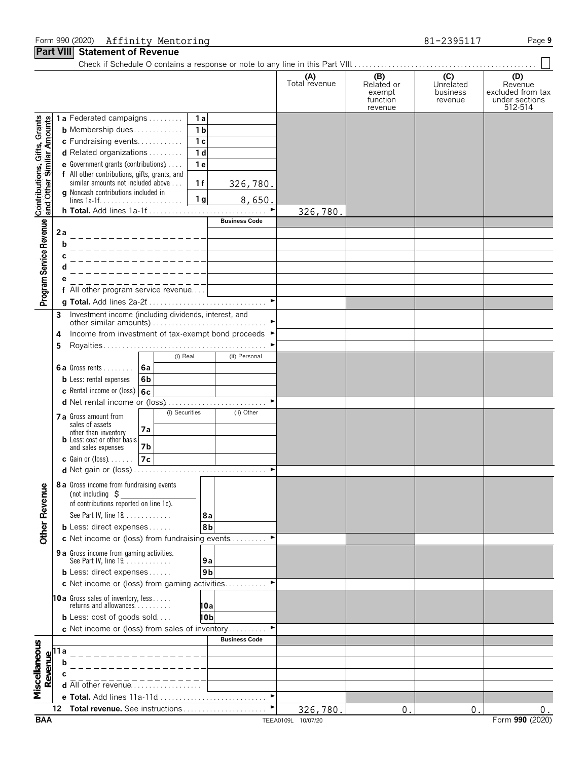#### Form 990 (2020) Page **9** Affinity Mentoring 81-2395117

**Part VIII** Statement of Revenue

|                                                           | <b>UIL VIII</b>                                                                                   | <b>CHICHLOFING VG</b>                                                                |                 |                      |                      |                                                    |                                         |                                                                  |
|-----------------------------------------------------------|---------------------------------------------------------------------------------------------------|--------------------------------------------------------------------------------------|-----------------|----------------------|----------------------|----------------------------------------------------|-----------------------------------------|------------------------------------------------------------------|
|                                                           |                                                                                                   |                                                                                      |                 |                      | (A)<br>Total revenue | (B)<br>Related or<br>exempt<br>function<br>revenue | (C)<br>Unrelated<br>business<br>revenue | (D)<br>Revenue<br>excluded from tax<br>under sections<br>512-514 |
|                                                           |                                                                                                   | 1a Federated campaigns                                                               | 1a              |                      |                      |                                                    |                                         |                                                                  |
| Contributions, Gifts, Grants<br>and Other Similar Amounts |                                                                                                   | <b>b</b> Membership dues                                                             | $\overline{1}b$ |                      |                      |                                                    |                                         |                                                                  |
|                                                           |                                                                                                   | c Fundraising events                                                                 | 1 <sub>c</sub>  |                      |                      |                                                    |                                         |                                                                  |
|                                                           |                                                                                                   | d Related organizations                                                              | 1 <sub>d</sub>  |                      |                      |                                                    |                                         |                                                                  |
|                                                           |                                                                                                   | e Government grants (contributions)<br>f All other contributions, gifts, grants, and | 1e              |                      |                      |                                                    |                                         |                                                                  |
|                                                           |                                                                                                   | similar amounts not included above                                                   | 1f              | 326,780.             |                      |                                                    |                                         |                                                                  |
|                                                           |                                                                                                   | g Noncash contributions included in                                                  | 1 <sub>g</sub>  | 8,650.               |                      |                                                    |                                         |                                                                  |
|                                                           |                                                                                                   | h Total. Add lines 1a-1f                                                             |                 |                      | 326,780.             |                                                    |                                         |                                                                  |
|                                                           |                                                                                                   |                                                                                      |                 | <b>Business Code</b> |                      |                                                    |                                         |                                                                  |
|                                                           | 2a                                                                                                |                                                                                      |                 |                      |                      |                                                    |                                         |                                                                  |
|                                                           | b                                                                                                 |                                                                                      |                 |                      |                      |                                                    |                                         |                                                                  |
|                                                           | c                                                                                                 |                                                                                      |                 |                      |                      |                                                    |                                         |                                                                  |
|                                                           | d                                                                                                 |                                                                                      |                 |                      |                      |                                                    |                                         |                                                                  |
|                                                           | е                                                                                                 | f All other program service revenue                                                  |                 |                      |                      |                                                    |                                         |                                                                  |
| Program Service Revenue                                   |                                                                                                   |                                                                                      |                 |                      |                      |                                                    |                                         |                                                                  |
|                                                           | 3                                                                                                 | Investment income (including dividends, interest, and                                |                 |                      |                      |                                                    |                                         |                                                                  |
|                                                           |                                                                                                   |                                                                                      |                 |                      |                      |                                                    |                                         |                                                                  |
|                                                           | 4                                                                                                 | Income from investment of tax-exempt bond proceeds ▶                                 |                 |                      |                      |                                                    |                                         |                                                                  |
|                                                           | 5                                                                                                 |                                                                                      |                 |                      |                      |                                                    |                                         |                                                                  |
|                                                           |                                                                                                   | (i) Real<br><b>6a</b> Gross rents<br>6a                                              |                 | (ii) Personal        |                      |                                                    |                                         |                                                                  |
|                                                           |                                                                                                   | <b>b</b> Less: rental expenses<br>6b                                                 |                 |                      |                      |                                                    |                                         |                                                                  |
|                                                           |                                                                                                   | c Rental income or (loss) 6c                                                         |                 |                      |                      |                                                    |                                         |                                                                  |
|                                                           |                                                                                                   |                                                                                      |                 |                      |                      |                                                    |                                         |                                                                  |
|                                                           |                                                                                                   | (i) Securities<br>7 a Gross amount from                                              |                 | (ii) Other           |                      |                                                    |                                         |                                                                  |
|                                                           |                                                                                                   | sales of assets<br>7а<br>other than inventory                                        |                 |                      |                      |                                                    |                                         |                                                                  |
|                                                           |                                                                                                   | <b>b</b> Less: cost or other basis                                                   |                 |                      |                      |                                                    |                                         |                                                                  |
|                                                           |                                                                                                   | and sales expenses<br>7b<br>$c$ Gain or (loss) $\ldots$ .                            |                 |                      |                      |                                                    |                                         |                                                                  |
|                                                           |                                                                                                   | 7c                                                                                   |                 |                      |                      |                                                    |                                         |                                                                  |
|                                                           |                                                                                                   | 8 a Gross income from fundraising events                                             |                 |                      |                      |                                                    |                                         |                                                                  |
| <b>Other Revenue</b>                                      |                                                                                                   | (not including $\zeta$                                                               |                 |                      |                      |                                                    |                                         |                                                                  |
|                                                           |                                                                                                   | of contributions reported on line 1c).                                               |                 |                      |                      |                                                    |                                         |                                                                  |
|                                                           |                                                                                                   | See Part IV, line 18                                                                 | 8а              |                      |                      |                                                    |                                         |                                                                  |
|                                                           |                                                                                                   | <b>b</b> Less: direct expenses                                                       | 8b              |                      |                      |                                                    |                                         |                                                                  |
|                                                           |                                                                                                   | c Net income or (loss) from fundraising events                                       |                 |                      |                      |                                                    |                                         |                                                                  |
|                                                           |                                                                                                   | <b>9 a</b> Gross income from gaming activities.<br>See Part IV, line 19              | 9а              |                      |                      |                                                    |                                         |                                                                  |
|                                                           |                                                                                                   | <b>b</b> Less: direct expenses                                                       | 9 <sub>b</sub>  |                      |                      |                                                    |                                         |                                                                  |
|                                                           |                                                                                                   | c Net income or (loss) from gaming activities                                        |                 |                      |                      |                                                    |                                         |                                                                  |
|                                                           |                                                                                                   | 10a Gross sales of inventory, less                                                   |                 |                      |                      |                                                    |                                         |                                                                  |
|                                                           |                                                                                                   | returns and allowances.                                                              | 10a             |                      |                      |                                                    |                                         |                                                                  |
|                                                           |                                                                                                   | <b>b</b> Less: cost of goods sold                                                    | 10b             |                      |                      |                                                    |                                         |                                                                  |
|                                                           |                                                                                                   | c Net income or (loss) from sales of inventory                                       |                 | <b>Business Code</b> |                      |                                                    |                                         |                                                                  |
| Miscellaneous                                             |                                                                                                   |                                                                                      |                 |                      |                      |                                                    |                                         |                                                                  |
|                                                           | $\begin{array}{c}\n\textbf{Reume} \\ \hline\n\textbf{u} \\ \textbf{u} \\ \textbf{v}\n\end{array}$ |                                                                                      |                 |                      |                      |                                                    |                                         |                                                                  |
|                                                           |                                                                                                   |                                                                                      |                 |                      |                      |                                                    |                                         |                                                                  |
|                                                           |                                                                                                   | <b>d</b> All other revenue $\ldots \ldots \ldots \ldots \ldots$                      |                 |                      |                      |                                                    |                                         |                                                                  |
|                                                           |                                                                                                   | e Total. Add lines 11a-11d                                                           |                 | $\blacksquare$       |                      |                                                    |                                         |                                                                  |
|                                                           | 12                                                                                                | Total revenue. See instructions                                                      |                 |                      | 326,780.             | $\theta$ .                                         | $\mathbf{0}$                            | 0.                                                               |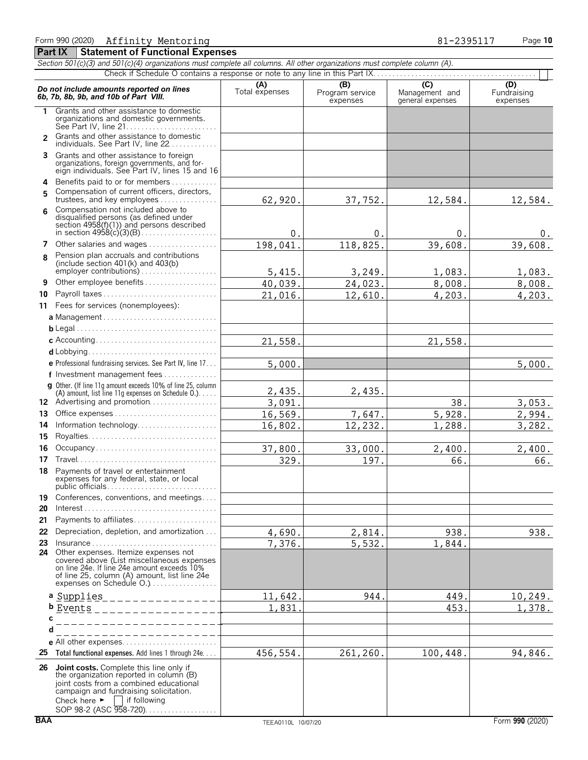|                | Do not include amounts reported on lines<br>6b, 7b, 8b, 9b, and 10b of Part VIII.                                                                                                                                                                     | (A)<br>Total expenses | (B)<br>Program service<br>expenses | $\overline{C}$<br>Management and<br>general expenses | (D)<br>Fundraising<br>expenses |
|----------------|-------------------------------------------------------------------------------------------------------------------------------------------------------------------------------------------------------------------------------------------------------|-----------------------|------------------------------------|------------------------------------------------------|--------------------------------|
| 1.             | Grants and other assistance to domestic<br>organizations and domestic governments.                                                                                                                                                                    |                       |                                    |                                                      |                                |
| $\mathfrak{p}$ | Grants and other assistance to domestic<br>individuals. See Part IV, line 22                                                                                                                                                                          |                       |                                    |                                                      |                                |
|                | 3 Grants and other assistance to foreign<br>organizations, foreign governments, and for-<br>eign individuals. See Part IV, lines 15 and 16                                                                                                            |                       |                                    |                                                      |                                |
|                | Benefits paid to or for members                                                                                                                                                                                                                       |                       |                                    |                                                      |                                |
| 5              | Compensation of current officers, directors,<br>trustees, and key employees                                                                                                                                                                           | 62,920.               | 37,752.                            | 12,584.                                              | 12,584.                        |
| 6              | Compensation not included above to<br>disqualified persons (as defined under<br>section $4958(f)(1)$ and persons described                                                                                                                            | 0.                    | 0.                                 | 0.                                                   | $0$ .                          |
| 7              | Other salaries and wages                                                                                                                                                                                                                              | 198,041               | 118,825.                           | 39,608.                                              | 39,608.                        |
| 8              | Pension plan accruals and contributions<br>(include section $401(k)$ and $403(b)$                                                                                                                                                                     | 5,415.                | 3,249.                             | 1,083.                                               | 1,083.                         |
| 9              | Other employee benefits                                                                                                                                                                                                                               | 40,039.               | 24,023.                            | 8,008.                                               | 8,008.                         |
| 10             | Payroll taxes                                                                                                                                                                                                                                         | 21,016.               | 12,610.                            | 4,203.                                               | 4,203.                         |
| 11             | Fees for services (nonemployees):                                                                                                                                                                                                                     |                       |                                    |                                                      |                                |
|                |                                                                                                                                                                                                                                                       |                       |                                    |                                                      |                                |
|                |                                                                                                                                                                                                                                                       |                       |                                    |                                                      |                                |
|                |                                                                                                                                                                                                                                                       | 21,558.               |                                    | 21,558.                                              |                                |
|                |                                                                                                                                                                                                                                                       |                       |                                    |                                                      |                                |
|                | e Professional fundraising services. See Part IV, line 17                                                                                                                                                                                             | 5,000.                |                                    |                                                      | 5,000.                         |
|                | f Investment management fees                                                                                                                                                                                                                          |                       |                                    |                                                      |                                |
|                | <b>g</b> Other. (If line 11q amount exceeds 10% of line 25, column                                                                                                                                                                                    | 2,435.                | 2,435.                             |                                                      |                                |
|                | (A) amount, list line 11g expenses on Schedule $0.$ )<br>12 Advertising and promotion                                                                                                                                                                 | $\overline{3}$ , 091. |                                    | 38.                                                  | 3,053.                         |
| 13             | Office expenses                                                                                                                                                                                                                                       | 16,569.               | 7,647.                             | 5,928.                                               | 2,994.                         |
| 14             | Information technology                                                                                                                                                                                                                                | 16,802.               | 12,232.                            | 1,288.                                               | 3,282.                         |
| 15             |                                                                                                                                                                                                                                                       |                       |                                    |                                                      |                                |
| 16             | Occupancy                                                                                                                                                                                                                                             | 37,800.               | 33,000.                            | 2,400                                                | 2,400.                         |
| 17             |                                                                                                                                                                                                                                                       | 329.                  | 197.                               | 66.                                                  | 66.                            |
| 18             | Payments of travel or entertainment<br>expenses for any federal, state, or local                                                                                                                                                                      |                       |                                    |                                                      |                                |
| 20             | 19 Conferences, conventions, and meetings<br>$Interest \dots \dots \dots \dots \dots \dots \dots \dots \dots \dots \dots \dots \dots \dots$                                                                                                           |                       |                                    |                                                      |                                |
| 21             | Payments to affiliates                                                                                                                                                                                                                                |                       |                                    |                                                      |                                |
| 22             | Depreciation, depletion, and amortization                                                                                                                                                                                                             | 4,690.                | 2,814.                             | 938.                                                 | 938.                           |
| 23<br>24       | Insurance<br>Other expenses. Itemize expenses not<br>covered above (List miscellaneous expenses<br>on line 24e. If line 24e amount exceeds 10%<br>of line 25, column (A) amount, list line 24e                                                        | 7,376.                | 5,532.                             | 1,844.                                               |                                |
|                | a Supplies_________________                                                                                                                                                                                                                           | 11,642                | 944                                | 449                                                  | 10, 249.                       |
|                | <b>b</b> Events $\frac{1}{1}$ = $\frac{1}{1}$ = $\frac{1}{1}$ = $\frac{1}{1}$ = $\frac{1}{1}$ = $\frac{1}{1}$ = $\frac{1}{1}$ = $\frac{1}{1}$                                                                                                         | 1,831                 |                                    | 453                                                  | 1,378.                         |
| С              | ________________                                                                                                                                                                                                                                      |                       |                                    |                                                      |                                |
| d              | $- - - - - - - - -$                                                                                                                                                                                                                                   |                       |                                    |                                                      |                                |
|                |                                                                                                                                                                                                                                                       |                       |                                    |                                                      |                                |
| 25             | Total functional expenses. Add lines 1 through 24e                                                                                                                                                                                                    | 456,554.              | 261,260.                           | 100,448.                                             | 94,846.                        |
| 26             | Joint costs. Complete this line only if<br>the organization reported in column (B)<br>joint costs from a combined educational<br>campaign and fundraising solicitation.<br>if following<br>Check here $\blacktriangleright$<br>SOP 98-2 (ASC 958-720) |                       |                                    |                                                      |                                |

Form 990 (2020) Page **10** Affinity Mentoring 81-2395117

*Section 501(c)(3) and 501(c)(4) organizations must complete all columns. All other organizations must complete column (A).*

**Part IX | Statement of Functional Expenses**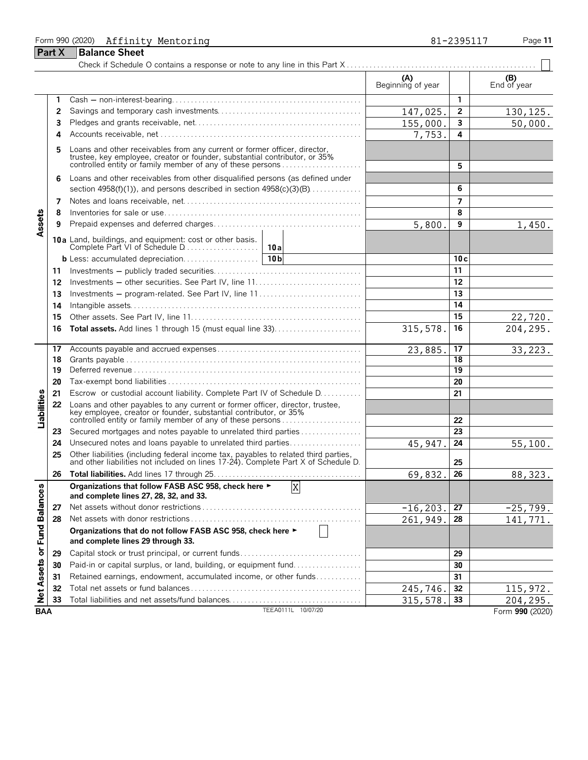#### Form 990 (2020) Page **11** Affinity Mentoring 81-2395117

**Part X** | Balance Sheet

|                             |    |                                                                                                                                                                        | (A)<br>Beginning of year |                 | (B)<br>End of year |
|-----------------------------|----|------------------------------------------------------------------------------------------------------------------------------------------------------------------------|--------------------------|-----------------|--------------------|
|                             | 1  |                                                                                                                                                                        |                          | 1               |                    |
|                             | 2  |                                                                                                                                                                        | 147,025.                 | $\overline{2}$  | 130, 125.          |
|                             | 3  |                                                                                                                                                                        | $\overline{1}$ 55,000.   | 3               | 50,000.            |
|                             | 4  |                                                                                                                                                                        | 7,753.                   | 4               |                    |
|                             | 5  | Loans and other receivables from any current or former officer, director,                                                                                              |                          | 5               |                    |
|                             | 6  | Loans and other receivables from other disqualified persons (as defined under                                                                                          |                          |                 |                    |
|                             |    | section $4958(f)(1)$ , and persons described in section $4958(c)(3)(B)$                                                                                                |                          | 6               |                    |
|                             | 7  |                                                                                                                                                                        |                          | 7               |                    |
|                             | 8  |                                                                                                                                                                        |                          | 8               |                    |
| Assets                      | 9  |                                                                                                                                                                        | 5,800                    | 9               | 1,450.             |
|                             |    |                                                                                                                                                                        |                          |                 |                    |
|                             |    |                                                                                                                                                                        |                          | 10c             |                    |
|                             | 11 |                                                                                                                                                                        |                          | 11              |                    |
|                             | 12 | Investments – other securities. See Part IV, line 11                                                                                                                   |                          | 12              |                    |
|                             | 13 | Investments - program-related. See Part IV, line 11                                                                                                                    |                          | 13              |                    |
|                             | 14 |                                                                                                                                                                        |                          | 14              |                    |
|                             | 15 |                                                                                                                                                                        |                          | 15              | 22,720.            |
|                             | 16 | Total assets. Add lines 1 through 15 (must equal line 33)                                                                                                              | 315,578.                 | 16              | 204,295.           |
|                             |    |                                                                                                                                                                        |                          |                 |                    |
|                             | 17 |                                                                                                                                                                        | 23,885.                  | 17              | 33,223.            |
|                             | 18 |                                                                                                                                                                        |                          | 18              |                    |
|                             | 19 |                                                                                                                                                                        |                          | $\overline{19}$ |                    |
|                             | 20 |                                                                                                                                                                        |                          | 20              |                    |
|                             | 21 | Escrow or custodial account liability. Complete Part IV of Schedule D.                                                                                                 |                          | 21              |                    |
| Liabilities                 | 22 | Loans and other payables to any current or former officer, director, trustee,                                                                                          |                          | 22              |                    |
|                             | 23 | Secured mortgages and notes payable to unrelated third parties                                                                                                         |                          | 23              |                    |
|                             | 24 | Unsecured notes and loans payable to unrelated third parties                                                                                                           | 45,947.                  | 24              | 55,100.            |
|                             | 25 | Other liabilities (including federal income tax, payables to related third parties, and other liabilities not included on lines 17-24). Complete Part X of Schedule D. |                          | 25              |                    |
|                             | 26 |                                                                                                                                                                        | 69,832                   | 26              | 88, 323.           |
|                             |    | $\overline{X}$<br>Organizations that follow FASB ASC 958, check here ►<br>and complete lines 27, 28, 32, and 33.                                                       |                          |                 |                    |
|                             | 27 |                                                                                                                                                                        | $-16, 203$               | 27              | $-25,799.$         |
|                             | 28 |                                                                                                                                                                        | 261,949.                 | 28              | 141,771.           |
| Net Assets or Fund Balances |    | Organizations that do not follow FASB ASC 958, check here ►<br>and complete lines 29 through 33.                                                                       |                          |                 |                    |
|                             | 29 | Capital stock or trust principal, or current funds                                                                                                                     |                          | 29              |                    |
|                             | 30 | Paid-in or capital surplus, or land, building, or equipment fund                                                                                                       |                          | 30              |                    |
|                             | 31 | Retained earnings, endowment, accumulated income, or other funds                                                                                                       |                          | 31              |                    |
|                             | 32 |                                                                                                                                                                        | 245,746                  | 32              | 115,972.           |
|                             | 33 |                                                                                                                                                                        | 315,578.                 | 33              | 204,295.           |
| <b>BAA</b>                  |    | TEEA0111L 10/07/20                                                                                                                                                     |                          |                 | Form 990 (2020)    |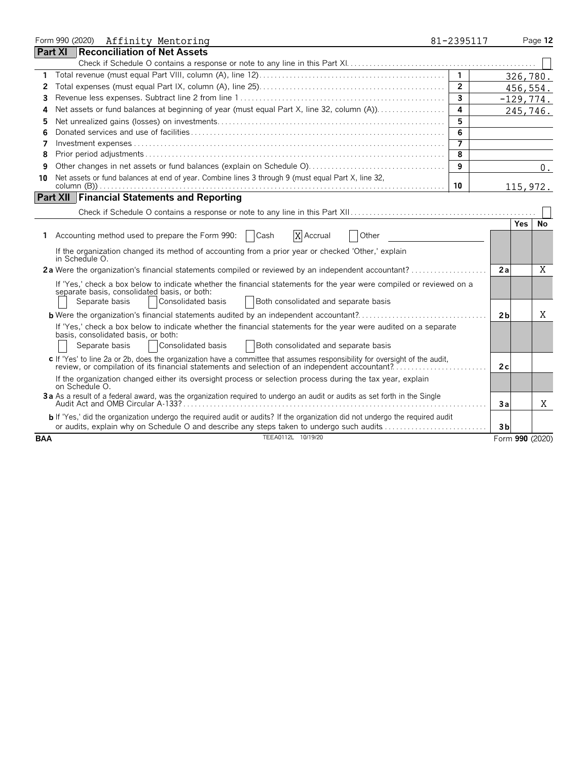|            |         |                | Form 990 (2020) Affinity Mentoring                                                                                                                                                                                                                   | 81-2395117     |                |            | Page 12         |
|------------|---------|----------------|------------------------------------------------------------------------------------------------------------------------------------------------------------------------------------------------------------------------------------------------------|----------------|----------------|------------|-----------------|
|            | Part XI |                | <b>Reconciliation of Net Assets</b>                                                                                                                                                                                                                  |                |                |            |                 |
|            |         |                |                                                                                                                                                                                                                                                      |                |                |            |                 |
| 1          |         |                |                                                                                                                                                                                                                                                      | $\overline{1}$ |                |            | 326,780.        |
| 2          |         |                |                                                                                                                                                                                                                                                      | $\overline{2}$ |                |            | 456,554.        |
| 3          |         |                |                                                                                                                                                                                                                                                      | $\mathbf{3}$   |                |            | $-129,774.$     |
| 4          |         |                | Net assets or fund balances at beginning of year (must equal Part X, line 32, column (A))                                                                                                                                                            | $\overline{a}$ |                |            | 245,746.        |
| 5          |         |                |                                                                                                                                                                                                                                                      | 5              |                |            |                 |
| 6          |         |                |                                                                                                                                                                                                                                                      | 6              |                |            |                 |
| 7          |         |                |                                                                                                                                                                                                                                                      | 7              |                |            |                 |
| 8          |         |                |                                                                                                                                                                                                                                                      | 8              |                |            |                 |
| 9          |         |                |                                                                                                                                                                                                                                                      | 9              |                |            | 0.              |
| 10         |         |                | Net assets or fund balances at end of year. Combine lines 3 through 9 (must equal Part X, line 32,                                                                                                                                                   |                |                |            |                 |
|            |         |                |                                                                                                                                                                                                                                                      | 10             |                |            | 115,972.        |
|            |         |                | <b>Part XII   Financial Statements and Reporting</b>                                                                                                                                                                                                 |                |                |            |                 |
|            |         |                |                                                                                                                                                                                                                                                      |                |                |            |                 |
|            |         |                |                                                                                                                                                                                                                                                      |                |                | <b>Yes</b> | No              |
| 1.         |         |                | Accounting method used to prepare the Form 990:<br>Cash<br>Other<br>X Accrual                                                                                                                                                                        |                |                |            |                 |
|            |         | in Schedule O. | If the organization changed its method of accounting from a prior year or checked 'Other,' explain                                                                                                                                                   |                |                |            |                 |
|            |         |                | 2a Were the organization's financial statements compiled or reviewed by an independent accountant?                                                                                                                                                   |                | 2a             |            | X               |
|            |         |                | If 'Yes,' check a box below to indicate whether the financial statements for the year were compiled or reviewed on a<br>separate basis, consolidated basis, or both:<br>Consolidated basis<br>Separate basis<br>Both consolidated and separate basis |                |                |            |                 |
|            |         |                |                                                                                                                                                                                                                                                      |                |                |            |                 |
|            |         |                | <b>b</b> Were the organization's financial statements audited by an independent accountant?                                                                                                                                                          |                | 2 <sub>b</sub> |            | X               |
|            |         |                | If 'Yes,' check a box below to indicate whether the financial statements for the year were audited on a separate<br>basis, consolidated basis, or both:<br>Separate basis<br>Consolidated basis<br>Both consolidated and separate basis              |                |                |            |                 |
|            |         |                | c If 'Yes' to line 2a or 2b, does the organization have a committee that assumes responsibility for oversight of the audit,<br>review, or compilation of its financial statements and selection of an independent accountant?                        |                | 2c             |            |                 |
|            |         | on Schedule O. | If the organization changed either its oversight process or selection process during the tax year, explain                                                                                                                                           |                |                |            |                 |
|            |         |                | 3a As a result of a federal award, was the organization required to undergo an audit or audits as set forth in the Single                                                                                                                            |                | 3a             |            | Χ               |
|            |         |                | b If 'Yes,' did the organization undergo the required audit or audits? If the organization did not undergo the required audit<br>or audits, explain why on Schedule O and describe any steps taken to undergo such audits                            |                | 3 <sub>b</sub> |            |                 |
| <b>BAA</b> |         |                | TEEA0112L 10/19/20                                                                                                                                                                                                                                   |                |                |            | Form 990 (2020) |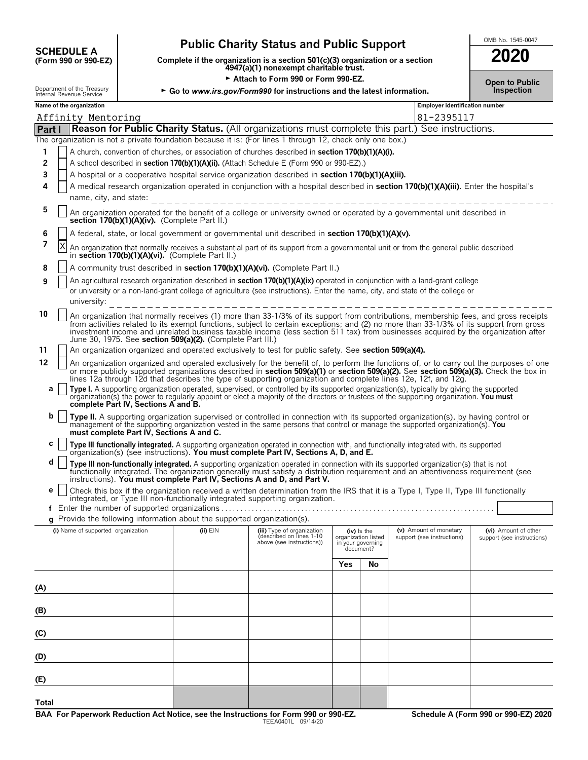## **COMB No. 1545-0047**<br>
Complete if the organization is a section 501(c)(3) organization or a section<br> **SCHEDULE A**<br> **SCHEDULE A**<br> **SCHEDULE A**<br> **SCHEDULE A**<br> **SCHEDULE A**<br> **SCHEDULE A**<br> **SCHEDULE A**<br> **SCHEDULE A**

**COMPOSCHEDULE A**<br>(Form 990 or 990-EZ) Complete if the organization is a section 501(c)(3) organization or a section<br>4947(a)(1) nonexempt charitable trust. <sup>G</sup> **Attach to Form 990 or Form 990-EZ. Open to Public**

| ZUZU                                |  |
|-------------------------------------|--|
| <b>Open to Public</b><br>Inspection |  |

|               |                                                                                                                                                                                                                                                                                                                                                                                                                                                                                                                                                 | Department of the Treasury<br>Internal Revenue Service |                                          |                                                                          | - Auach to Form 990 or Form 990-EZ.                                                                                                                                                                                                                                                                                                                   | Inspection<br>$\triangleright$ Go to www.irs.gov/Form990 for instructions and the latest information. |                                                   |  |                                       | <b>Open to Public</b>                              |
|---------------|-------------------------------------------------------------------------------------------------------------------------------------------------------------------------------------------------------------------------------------------------------------------------------------------------------------------------------------------------------------------------------------------------------------------------------------------------------------------------------------------------------------------------------------------------|--------------------------------------------------------|------------------------------------------|--------------------------------------------------------------------------|-------------------------------------------------------------------------------------------------------------------------------------------------------------------------------------------------------------------------------------------------------------------------------------------------------------------------------------------------------|-------------------------------------------------------------------------------------------------------|---------------------------------------------------|--|---------------------------------------|----------------------------------------------------|
|               |                                                                                                                                                                                                                                                                                                                                                                                                                                                                                                                                                 | Name of the organization                               |                                          |                                                                          |                                                                                                                                                                                                                                                                                                                                                       |                                                                                                       |                                                   |  | <b>Employer identification number</b> |                                                    |
|               |                                                                                                                                                                                                                                                                                                                                                                                                                                                                                                                                                 | Affinity Mentoring                                     |                                          |                                                                          |                                                                                                                                                                                                                                                                                                                                                       |                                                                                                       |                                                   |  | 81-2395117                            |                                                    |
| <b>Part I</b> |                                                                                                                                                                                                                                                                                                                                                                                                                                                                                                                                                 |                                                        |                                          |                                                                          | <b>Reason for Public Charity Status.</b> (All organizations must complete this part.) See instructions.                                                                                                                                                                                                                                               |                                                                                                       |                                                   |  |                                       |                                                    |
|               |                                                                                                                                                                                                                                                                                                                                                                                                                                                                                                                                                 |                                                        |                                          |                                                                          | The organization is not a private foundation because it is: (For lines 1 through 12, check only one box.)                                                                                                                                                                                                                                             |                                                                                                       |                                                   |  |                                       |                                                    |
| 1             |                                                                                                                                                                                                                                                                                                                                                                                                                                                                                                                                                 |                                                        |                                          |                                                                          | A church, convention of churches, or association of churches described in section 170(b)(1)(A)(i).                                                                                                                                                                                                                                                    |                                                                                                       |                                                   |  |                                       |                                                    |
| 2             |                                                                                                                                                                                                                                                                                                                                                                                                                                                                                                                                                 |                                                        |                                          |                                                                          | A school described in section 170(b)(1)(A)(ii). (Attach Schedule E (Form 990 or 990-EZ).)                                                                                                                                                                                                                                                             |                                                                                                       |                                                   |  |                                       |                                                    |
| 3             |                                                                                                                                                                                                                                                                                                                                                                                                                                                                                                                                                 |                                                        |                                          |                                                                          | A hospital or a cooperative hospital service organization described in section 170(b)(1)(A)(iii).                                                                                                                                                                                                                                                     |                                                                                                       |                                                   |  |                                       |                                                    |
| 4             |                                                                                                                                                                                                                                                                                                                                                                                                                                                                                                                                                 | name, city, and state:                                 |                                          |                                                                          | A medical research organization operated in conjunction with a hospital described in section 170(b)(1)(A)(iii). Enter the hospital's                                                                                                                                                                                                                  |                                                                                                       |                                                   |  |                                       |                                                    |
| 5             |                                                                                                                                                                                                                                                                                                                                                                                                                                                                                                                                                 |                                                        |                                          | section 170(b)(1)(A)(iv). (Complete Part II.)                            | An organization operated for the benefit of a college or university owned or operated by a governmental unit described in                                                                                                                                                                                                                             |                                                                                                       |                                                   |  |                                       |                                                    |
| 6             |                                                                                                                                                                                                                                                                                                                                                                                                                                                                                                                                                 |                                                        |                                          |                                                                          | A federal, state, or local government or governmental unit described in section 170(b)(1)(A)(v).                                                                                                                                                                                                                                                      |                                                                                                       |                                                   |  |                                       |                                                    |
| 7             | Χ                                                                                                                                                                                                                                                                                                                                                                                                                                                                                                                                               |                                                        |                                          | in section 170(b)(1)(A)(vi). (Complete Part II.)                         | An organization that normally receives a substantial part of its support from a governmental unit or from the general public described                                                                                                                                                                                                                |                                                                                                       |                                                   |  |                                       |                                                    |
| 8             |                                                                                                                                                                                                                                                                                                                                                                                                                                                                                                                                                 |                                                        |                                          |                                                                          | A community trust described in section 170(b)(1)(A)(vi). (Complete Part II.)                                                                                                                                                                                                                                                                          |                                                                                                       |                                                   |  |                                       |                                                    |
| 9             | An agricultural research organization described in section 170(b)(1)(A)(ix) operated in conjunction with a land-grant college<br>or university or a non-land-grant college of agriculture (see instructions). Enter the name, city, and state of the college or<br>university:                                                                                                                                                                                                                                                                  |                                                        |                                          |                                                                          |                                                                                                                                                                                                                                                                                                                                                       |                                                                                                       |                                                   |  |                                       |                                                    |
| 10            | An organization that normally receives (1) more than 33-1/3% of its support from contributions, membership fees, and gross receipts from activities related to its exempt functions, subject to certain exceptions; and (2) no<br>investment income and unrelated business taxable income (less section 511 tax) from businesses acquired by the organization after<br>June 30, 1975. See section 509(a)(2). (Complete Part III.)                                                                                                               |                                                        |                                          |                                                                          |                                                                                                                                                                                                                                                                                                                                                       |                                                                                                       |                                                   |  |                                       |                                                    |
| 11            |                                                                                                                                                                                                                                                                                                                                                                                                                                                                                                                                                 |                                                        |                                          |                                                                          | An organization organized and operated exclusively to test for public safety. See section 509(a)(4).                                                                                                                                                                                                                                                  |                                                                                                       |                                                   |  |                                       |                                                    |
| 12<br>а       | An organization organized and operated exclusively for the benefit of, to perform the functions of, or to carry out the purposes of one<br>or more publicly supported organizations described in section 509(a)(1) or section 509(a)(2). See section 509(a)(3). Check the box in<br>lines 12a through 12d that describes the type of supporting organization and complete lines 12e, 12f, and 12g.<br>Type I. A supporting organization operated, supervised, or controlled by its supported organization(s), typically by giving the supported |                                                        |                                          |                                                                          |                                                                                                                                                                                                                                                                                                                                                       |                                                                                                       |                                                   |  |                                       |                                                    |
|               |                                                                                                                                                                                                                                                                                                                                                                                                                                                                                                                                                 |                                                        | complete Part IV, Sections A and B.      |                                                                          | organization(s) the power to regularly appoint or elect a majority of the directors or trustees of the supporting organization. You must                                                                                                                                                                                                              |                                                                                                       |                                                   |  |                                       |                                                    |
| b             |                                                                                                                                                                                                                                                                                                                                                                                                                                                                                                                                                 |                                                        | must complete Part IV, Sections A and C. |                                                                          | Type II. A supporting organization supervised or controlled in connection with its supported organization(s), by having control or<br>management of the supporting organization vested in the same persons that control or manage the supported organization(s). You                                                                                  |                                                                                                       |                                                   |  |                                       |                                                    |
| С             |                                                                                                                                                                                                                                                                                                                                                                                                                                                                                                                                                 |                                                        |                                          |                                                                          | Type III functionally integrated. A supporting organization operated in connection with, and functionally integrated with, its supported<br>organization(s) (see instructions). You must complete Part IV. Sections A. D. and E.                                                                                                                      |                                                                                                       |                                                   |  |                                       |                                                    |
| d             |                                                                                                                                                                                                                                                                                                                                                                                                                                                                                                                                                 |                                                        |                                          |                                                                          | Type III non-functionally integrated. A supporting organization operated in connection with its supported organization(s) that is not<br>functionally integrated. The organization generally must satisfy a distribution requirement and an attentiveness requirement (see<br>instructions). You must complete Part IV, Sections A and D, and Part V. |                                                                                                       |                                                   |  |                                       |                                                    |
| е             |                                                                                                                                                                                                                                                                                                                                                                                                                                                                                                                                                 |                                                        |                                          |                                                                          | Check this box if the organization received a written determination from the IRS that it is a Type I, Type II, Type III functionally<br>integrated, or Type III non-functionally integrated supporting organization.                                                                                                                                  |                                                                                                       |                                                   |  |                                       |                                                    |
|               |                                                                                                                                                                                                                                                                                                                                                                                                                                                                                                                                                 |                                                        |                                          | f Enter the number of supported organizations                            |                                                                                                                                                                                                                                                                                                                                                       |                                                                                                       |                                                   |  |                                       |                                                    |
|               |                                                                                                                                                                                                                                                                                                                                                                                                                                                                                                                                                 | (i) Name of supported organization                     |                                          | g Provide the following information about the supported organization(s). |                                                                                                                                                                                                                                                                                                                                                       |                                                                                                       |                                                   |  | (v) Amount of monetary                |                                                    |
|               |                                                                                                                                                                                                                                                                                                                                                                                                                                                                                                                                                 |                                                        |                                          | (ii) EIN                                                                 | (iii) Type of organization<br>(described on lines 1-10<br>above (see instructions))                                                                                                                                                                                                                                                                   | in your governing                                                                                     | $(iv)$ is the<br>organization listed<br>document? |  | support (see instructions)            | (vi) Amount of other<br>support (see instructions) |
|               |                                                                                                                                                                                                                                                                                                                                                                                                                                                                                                                                                 |                                                        |                                          |                                                                          |                                                                                                                                                                                                                                                                                                                                                       | Yes                                                                                                   | No                                                |  |                                       |                                                    |
| (A)           |                                                                                                                                                                                                                                                                                                                                                                                                                                                                                                                                                 |                                                        |                                          |                                                                          |                                                                                                                                                                                                                                                                                                                                                       |                                                                                                       |                                                   |  |                                       |                                                    |
| (B)           |                                                                                                                                                                                                                                                                                                                                                                                                                                                                                                                                                 |                                                        |                                          |                                                                          |                                                                                                                                                                                                                                                                                                                                                       |                                                                                                       |                                                   |  |                                       |                                                    |
| (C)           |                                                                                                                                                                                                                                                                                                                                                                                                                                                                                                                                                 |                                                        |                                          |                                                                          |                                                                                                                                                                                                                                                                                                                                                       |                                                                                                       |                                                   |  |                                       |                                                    |
| (D)           |                                                                                                                                                                                                                                                                                                                                                                                                                                                                                                                                                 |                                                        |                                          |                                                                          |                                                                                                                                                                                                                                                                                                                                                       |                                                                                                       |                                                   |  |                                       |                                                    |
| (E)           |                                                                                                                                                                                                                                                                                                                                                                                                                                                                                                                                                 |                                                        |                                          |                                                                          |                                                                                                                                                                                                                                                                                                                                                       |                                                                                                       |                                                   |  |                                       |                                                    |
|               |                                                                                                                                                                                                                                                                                                                                                                                                                                                                                                                                                 |                                                        |                                          |                                                                          |                                                                                                                                                                                                                                                                                                                                                       |                                                                                                       |                                                   |  |                                       |                                                    |

**Total**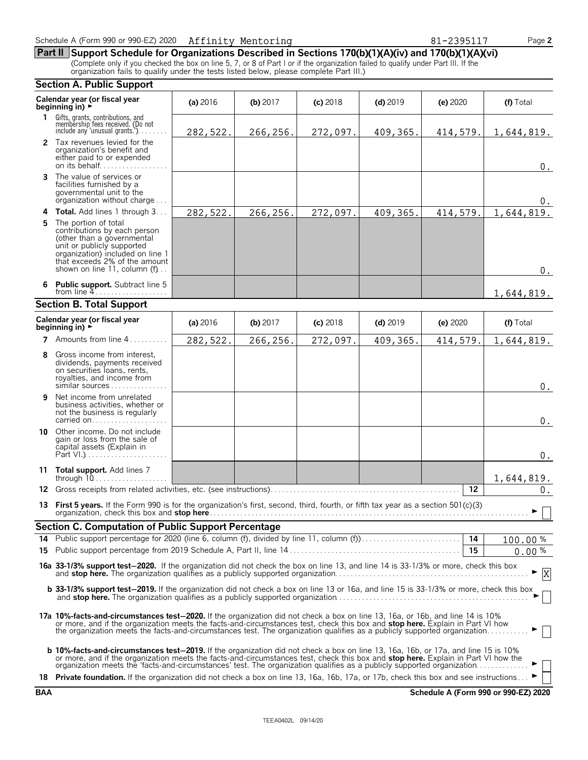**Part II Support Schedule for Organizations Described in Sections 170(b)(1)(A)(iv) and 170(b)(1)(A)(vi)** (Complete only if you checked the box on line 5, 7, or 8 of Part I or if the organization failed to qualify under Part III. If the organization fails to qualify under the tests listed below, please complete Part III.)

#### **Section A. Public Support**

|    | Calendar year (or fiscal year<br>beginning in) $\blacktriangleright$                                                                                                                                                                                                                                                                                                                                           | (a) 2016               | (b) $2017$ | $(c)$ 2018 | $(d)$ 2019 | (e) 2020 |                  | (f) Total  |  |  |
|----|----------------------------------------------------------------------------------------------------------------------------------------------------------------------------------------------------------------------------------------------------------------------------------------------------------------------------------------------------------------------------------------------------------------|------------------------|------------|------------|------------|----------|------------------|------------|--|--|
|    | 1 Gifts, grants, contributions, and<br>membership fees received. (Do not<br>include any 'unusual grants.'). $\dots$                                                                                                                                                                                                                                                                                            | 282,522.               | 266,256.   | 272,097.   | 409,365.   | 414,579. |                  | 1,644,819. |  |  |
|    | 2 Tax revenues levied for the<br>organization's benefit and<br>either paid to or expended<br>on its behalf                                                                                                                                                                                                                                                                                                     |                        |            |            |            |          |                  | $0$ .      |  |  |
|    | 3 The value of services or<br>facilities furnished by a<br>governmental unit to the<br>organization without charge                                                                                                                                                                                                                                                                                             |                        |            |            |            |          |                  | 0.         |  |  |
|    | <b>4 Total.</b> Add lines 1 through 3                                                                                                                                                                                                                                                                                                                                                                          | $\overline{282,522}$ . | 266,256.   | 272,097.   | 409,365.   | 414,579. |                  | 1,644,819. |  |  |
| 5. | The portion of total<br>contributions by each person<br>(other than a governmental<br>unit or publicly supported<br>organization) included on line 1<br>that exceeds 2% of the amount<br>shown on line 11, column (f)                                                                                                                                                                                          |                        |            |            |            |          |                  | $0$ .      |  |  |
|    | 6 Public support. Subtract line 5<br>from line $4$                                                                                                                                                                                                                                                                                                                                                             |                        |            |            |            |          |                  | 1,644,819. |  |  |
|    | <b>Section B. Total Support</b>                                                                                                                                                                                                                                                                                                                                                                                |                        |            |            |            |          |                  |            |  |  |
|    | Calendar year (or fiscal year<br>beginning in) $\rightarrow$                                                                                                                                                                                                                                                                                                                                                   | (a) $2016$             | (b) $2017$ | $(c)$ 2018 | $(d)$ 2019 | (e) 2020 |                  | (f) Total  |  |  |
|    | 7 Amounts from line 4                                                                                                                                                                                                                                                                                                                                                                                          | 282,522.               | 266,256.   | 272,097.   | 409,365.   | 414,579. |                  | 1,644,819. |  |  |
| 8  | Gross income from interest.<br>dividends, payments received<br>on securities loans, rents,<br>royalties, and income from<br>similar sources                                                                                                                                                                                                                                                                    |                        |            |            |            |          |                  | $0$ .      |  |  |
| 9. | Net income from unrelated<br>business activities, whether or<br>not the business is regularly<br>carried on                                                                                                                                                                                                                                                                                                    |                        |            |            |            |          |                  | $0$ .      |  |  |
|    | 10 Other income. Do not include<br>gain or loss from the sale of<br>capital assets (Explain in                                                                                                                                                                                                                                                                                                                 |                        |            |            |            |          |                  | $0$ .      |  |  |
|    | 11 Total support. Add lines 7<br>through $10$                                                                                                                                                                                                                                                                                                                                                                  |                        |            |            |            |          |                  | 1,644,819. |  |  |
|    |                                                                                                                                                                                                                                                                                                                                                                                                                |                        |            |            |            |          | 12 <sup>12</sup> | 0.         |  |  |
|    | 13 First 5 years. If the Form 990 is for the organization's first, second, third, fourth, or fifth tax year as a section 501(c)(3)                                                                                                                                                                                                                                                                             |                        |            |            |            |          |                  | ►          |  |  |
|    | <b>Section C. Computation of Public Support Percentage</b>                                                                                                                                                                                                                                                                                                                                                     |                        |            |            |            |          |                  |            |  |  |
|    |                                                                                                                                                                                                                                                                                                                                                                                                                |                        |            |            |            |          |                  | 100.00%    |  |  |
|    |                                                                                                                                                                                                                                                                                                                                                                                                                |                        |            |            |            |          | 15               | 0.00%      |  |  |
|    | 16a 33-1/3% support test-2020. If the organization did not check the box on line 13, and line 14 is 33-1/3% or more, check this box                                                                                                                                                                                                                                                                            |                        |            |            |            |          |                  | X          |  |  |
|    | <b>b 33-1/3% support test-2019.</b> If the organization did not check a box on line 13 or 16a, and line 15 is 33-1/3% or more, check this box                                                                                                                                                                                                                                                                  |                        |            |            |            |          |                  |            |  |  |
|    | 17a 10%-facts-and-circumstances test-2020. If the organization did not check a box on line 13, 16a, or 16b, and line 14 is 10%<br>or more, and if the organization meets the facts-and-circumstances test, check this box and stop here. Explain in Part VI how<br>the organization meets the facts-and-circumstances test. The organization qualifies as a publicly supported organization                    |                        |            |            |            |          |                  |            |  |  |
|    | <b>b 10%-facts-and-circumstances test-2019.</b> If the organization did not check a box on line 13, 16a, 16b, or 17a, and line 15 is 10%<br>or more, and if the organization meets the facts-and-circumstances test, check this box and <b>stop here.</b> Explain in Part VI how the<br>organization meets the 'facts-and-circumstances' test. The organization qualifies as a publicly supported organization |                        |            |            |            |          |                  |            |  |  |
|    | 18 Private foundation. If the organization did not check a box on line 13, 16a, 16b, 17a, or 17b, check this box and see instructions                                                                                                                                                                                                                                                                          |                        |            |            |            |          |                  |            |  |  |

**BAA Schedule A (Form 990 or 990-EZ) 2020**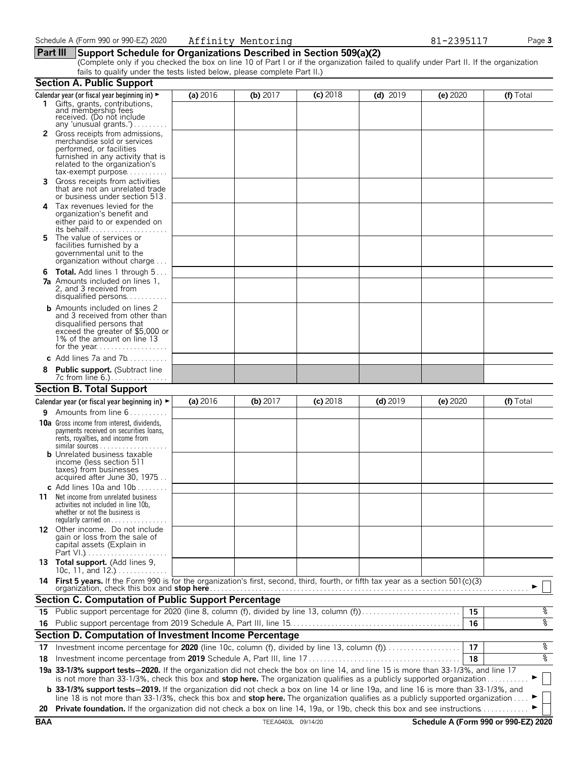#### **Part III Support Schedule for Organizations Described in Section 509(a)(2)**

(Complete only if you checked the box on line 10 of Part I or if the organization failed to qualify under Part II. If the organization fails to qualify under the tests listed below, please complete Part II.)

|            | <b>Section A. Public Support</b>                                                                                                                                                                                                                                              |          |                    |            |            |          |                                      |
|------------|-------------------------------------------------------------------------------------------------------------------------------------------------------------------------------------------------------------------------------------------------------------------------------|----------|--------------------|------------|------------|----------|--------------------------------------|
|            | Calendar year (or fiscal year beginning in) ►                                                                                                                                                                                                                                 | (a) 2016 | (b) $2017$         | $(c)$ 2018 | $(d)$ 2019 | (e) 2020 | (f) Total                            |
|            | 1 Gifts, grants, contributions,<br>and membership fees<br>received. (Do not include<br>any 'unusual grants.')                                                                                                                                                                 |          |                    |            |            |          |                                      |
|            | 2 Gross receipts from admissions,<br>merchandise sold or services<br>performed, or facilities<br>furnished in any activity that is<br>related to the organization's<br>$tax\text{-}exempt$ purpose                                                                            |          |                    |            |            |          |                                      |
| 3.         | Gross receipts from activities<br>that are not an unrelated trade<br>or business under section 513.                                                                                                                                                                           |          |                    |            |            |          |                                      |
| 4          | Tax revenues levied for the<br>organization's benefit and<br>either paid to or expended on                                                                                                                                                                                    |          |                    |            |            |          |                                      |
| 5.         | The value of services or<br>facilities furnished by a<br>governmental unit to the<br>organization without charge                                                                                                                                                              |          |                    |            |            |          |                                      |
| 6          | <b>Total.</b> Add lines 1 through 5<br><b>7a</b> Amounts included on lines 1,<br>2, and 3 received from<br>disqualified persons                                                                                                                                               |          |                    |            |            |          |                                      |
|            | <b>b</b> Amounts included on lines 2<br>and 3 received from other than<br>disqualified persons that<br>exceed the greater of \$5,000 or<br>1% of the amount on line 13                                                                                                        |          |                    |            |            |          |                                      |
|            | c Add lines $7a$ and $7b$                                                                                                                                                                                                                                                     |          |                    |            |            |          |                                      |
|            | <b>Public support.</b> (Subtract line                                                                                                                                                                                                                                         |          |                    |            |            |          |                                      |
|            | <b>Section B. Total Support</b>                                                                                                                                                                                                                                               |          |                    |            |            |          |                                      |
|            | Calendar year (or fiscal year beginning in) $\blacktriangleright$                                                                                                                                                                                                             | (a) 2016 | (b) 2017           | $(c)$ 2018 | $(d)$ 2019 | (e) 2020 | (f) Total                            |
| 9.         | Amounts from line 6                                                                                                                                                                                                                                                           |          |                    |            |            |          |                                      |
|            | <b>10a</b> Gross income from interest, dividends,<br>payments received on securities loans,<br>rents, royalties, and income from<br><b>b</b> Unrelated business taxable<br>income (less section 511<br>taxes) from businesses                                                 |          |                    |            |            |          |                                      |
|            | acquired after June 30, 1975                                                                                                                                                                                                                                                  |          |                    |            |            |          |                                      |
| 11         | c Add lines 10a and $10b$<br>Net income from unrelated business<br>activities not included in line 10b,<br>whether or not the business is<br>regularly carried on $\dots\dots\dots\dots$                                                                                      |          |                    |            |            |          |                                      |
|            | 12 Other income. Do not include<br>gain or loss from the sale of<br>capital assets (Explain in                                                                                                                                                                                |          |                    |            |            |          |                                      |
|            | 13 Total support. (Add lines 9,<br>10c, 11, and $12$                                                                                                                                                                                                                          |          |                    |            |            |          |                                      |
|            | 14 First 5 years. If the Form 990 is for the organization's first, second, third, fourth, or fifth tax year as a section 501(c)(3)<br>organization, check this box and stop here                                                                                              |          |                    |            |            |          |                                      |
|            | <b>Section C. Computation of Public Support Percentage</b>                                                                                                                                                                                                                    |          |                    |            |            |          |                                      |
|            | 15 Public support percentage for 2020 (line 8, column (f), divided by line 13, column (f)                                                                                                                                                                                     |          |                    |            |            | 15       | န့                                   |
|            |                                                                                                                                                                                                                                                                               |          |                    |            |            | 16       | ०१०                                  |
|            | Section D. Computation of Investment Income Percentage                                                                                                                                                                                                                        |          |                    |            |            |          |                                      |
| 17         |                                                                                                                                                                                                                                                                               |          |                    |            |            | 17       | %                                    |
| 18         |                                                                                                                                                                                                                                                                               |          |                    |            |            | 18       | ०७                                   |
|            | 19a 33-1/3% support tests-2020. If the organization did not check the box on line 14, and line 15 is more than 33-1/3%, and line 17<br>is not more than 33-1/3%, check this box and stop here. The organization qualifies as a publicly supported organization                |          |                    |            |            |          |                                      |
|            | <b>b</b> 33-1/3% support tests-2019. If the organization did not check a box on line 14 or line 19a, and line 16 is more than 33-1/3%, and<br>line 18 is not more than 33-1/3%, check this box and stop here. The organization qualifies as a publicly supported organization |          |                    |            |            |          |                                      |
| 20         | Private foundation. If the organization did not check a box on line 14, 19a, or 19b, check this box and see instructions.                                                                                                                                                     |          |                    |            |            |          |                                      |
| <b>BAA</b> |                                                                                                                                                                                                                                                                               |          | TEEA0403L 09/14/20 |            |            |          | Schedule A (Form 990 or 990-EZ) 2020 |
|            |                                                                                                                                                                                                                                                                               |          |                    |            |            |          |                                      |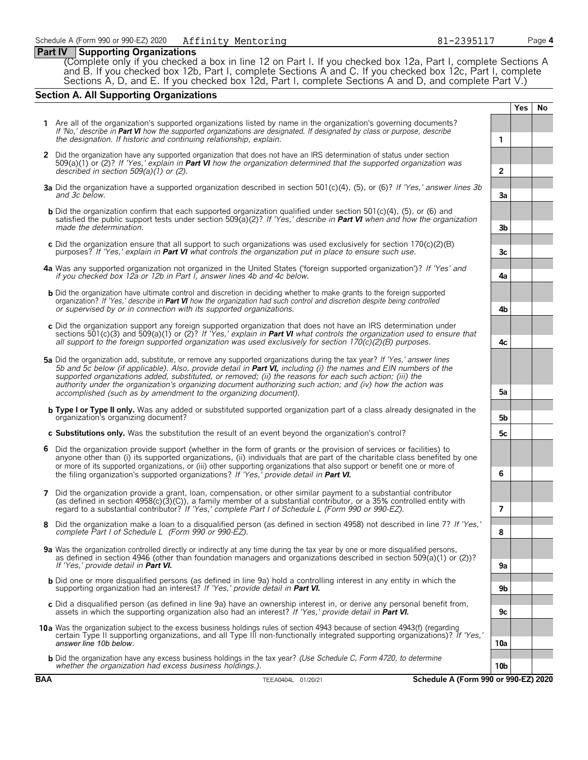#### **Part IV Supporting Organizations**

(Complete only if you checked a box in line 12 on Part I. If you checked box 12a, Part I, complete Sections A and B. If you checked box 12b, Part I, complete Sections A and C. If you checked box 12c, Part I, complete Sections A, D, and E. If you checked box 12d, Part I, complete Sections A and D, and complete Part V.)

### **Section A. All Supporting Organizations**

|   |                                                                                                                                                                                                                                                                                                                                                                                                                                                                                                                                                      |                 | <b>Yes</b> | <b>No</b> |
|---|------------------------------------------------------------------------------------------------------------------------------------------------------------------------------------------------------------------------------------------------------------------------------------------------------------------------------------------------------------------------------------------------------------------------------------------------------------------------------------------------------------------------------------------------------|-----------------|------------|-----------|
|   | 1 Are all of the organization's supported organizations listed by name in the organization's governing documents?<br>If 'No,' describe in Part VI how the supported organizations are designated. If designated by class or purpose, describe<br>the designation. If historic and continuing relationship, explain.                                                                                                                                                                                                                                  | 1               |            |           |
|   | 2 Did the organization have any supported organization that does not have an IRS determination of status under section<br>509(a)(1) or (2)? If 'Yes,' explain in <b>Part VI</b> how the organization determined that the supported organization was<br>described in section $509(a)(1)$ or (2).                                                                                                                                                                                                                                                      | $\overline{2}$  |            |           |
|   | 3a Did the organization have a supported organization described in section 501(c)(4), (5), or (6)? If 'Yes,' answer lines 3b<br>and 3c below.                                                                                                                                                                                                                                                                                                                                                                                                        | 3a              |            |           |
|   | <b>b</b> Did the organization confirm that each supported organization qualified under section 501(c)(4), (5), or (6) and<br>satisfied the public support tests under section 509( $a(2)$ ? If 'Yes,' describe in <b>Part VI</b> when and how the organization<br>made the determination.                                                                                                                                                                                                                                                            | 3 <sub>b</sub>  |            |           |
|   | c Did the organization ensure that all support to such organizations was used exclusively for section $170(c)(2)(B)$<br>purposes? If 'Yes,' explain in <b>Part VI</b> what controls the organization put in place to ensure such use.                                                                                                                                                                                                                                                                                                                | 3c              |            |           |
|   | 4a Was any supported organization not organized in the United States ('foreign supported organization')? If 'Yes' and<br>if you checked box 12a or 12b in Part I, answer lines 4b and 4c below.                                                                                                                                                                                                                                                                                                                                                      | 4a              |            |           |
|   | <b>b</b> Did the organization have ultimate control and discretion in deciding whether to make grants to the foreign supported<br>organization? If 'Yes,' describe in <b>Part VI</b> how the organization had such control and discretion despite being controlled<br>or supervised by or in connection with its supported organizations.                                                                                                                                                                                                            | 4b              |            |           |
|   | c Did the organization support any foreign supported organization that does not have an IRS determination under<br>sections 501(c)(3) and 509(a)(1) or (2)? If 'Yes,' explain in <b>Part VI</b> what controls the organization used to ensure that<br>all support to the foreign supported organization was used exclusively for section $170(c)(2)(B)$ purposes.                                                                                                                                                                                    | 4c              |            |           |
|   | 5a Did the organization add, substitute, or remove any supported organizations during the tax year? If 'Yes,' answer lines<br>5b and 5c below (if applicable). Also, provide detail in <b>Part VI</b> , including (i) the names and EIN numbers of the<br>supported organizations added, substituted, or removed; (ii) the reasons for each such action; (iii) the<br>authority under the organization's organizing document authorizing such action; and (iv) how the action was<br>accomplished (such as by amendment to the organizing document). | 5a              |            |           |
|   | <b>b</b> Type I or Type II only. Was any added or substituted supported organization part of a class already designated in the<br>organization's organizing document?                                                                                                                                                                                                                                                                                                                                                                                | 5b              |            |           |
|   | c Substitutions only. Was the substitution the result of an event beyond the organization's control?                                                                                                                                                                                                                                                                                                                                                                                                                                                 | 5с              |            |           |
| 6 | Did the organization provide support (whether in the form of grants or the provision of services or facilities) to<br>anyone other than (i) its supported organizations, (ii) individuals that are part of the charitable class benefited by one<br>or more of its supported organizations, or (iii) other supporting organizations that also support or benefit one or more of<br>the filing organization's supported organizations? If 'Yes,' provide detail in Part VI.                                                                           | 6               |            |           |
| 7 | Did the organization provide a grant, loan, compensation, or other similar payment to a substantial contributor<br>(as defined in section $4958(c)(3)(c)$ ), a family member of a substantial contributor, or a 35% controlled entity with<br>regard to a substantial contributor? If 'Yes,' complete Part I of Schedule L (Form 990 or 990-EZ).                                                                                                                                                                                                     | 7               |            |           |
| 8 | Did the organization make a loan to a disqualified person (as defined in section 4958) not described in line 7? If 'Yes,'<br>complete Part I of Schedule L (Form 990 or 990-EZ).                                                                                                                                                                                                                                                                                                                                                                     | 8               |            |           |
|   | 9a Was the organization controlled directly or indirectly at any time during the tax year by one or more disqualified persons,<br>as defined in section 4946 (other than foundation managers and organizations described in section 509(a)(1) or (2))?<br>If 'Yes.' provide detail in <b>Part VI.</b>                                                                                                                                                                                                                                                | 9a              |            |           |
|   | <b>b</b> Did one or more disqualified persons (as defined in line 9a) hold a controlling interest in any entity in which the<br>supporting organization had an interest? If 'Yes,' provide detail in Part VI.                                                                                                                                                                                                                                                                                                                                        | 9b              |            |           |
|   | c Did a disqualified person (as defined in line 9a) have an ownership interest in, or derive any personal benefit from,<br>assets in which the supporting organization also had an interest? If 'Yes,' provide detail in <b>Part VI.</b>                                                                                                                                                                                                                                                                                                             | 9c              |            |           |
|   | 10a Was the organization subject to the excess business holdings rules of section 4943 because of section 4943(f) (regarding<br>certain Type II supporting organizations, and all Type III non-functionally integrated supporting organizations)? If 'Yes,'<br>answer line 10b below.                                                                                                                                                                                                                                                                | 10a             |            |           |
|   | <b>b</b> Did the organization have any excess business holdings in the tax year? (Use Schedule C, Form 4720, to determine<br>whether the organization had excess business holdings.).                                                                                                                                                                                                                                                                                                                                                                | 10 <sub>b</sub> |            |           |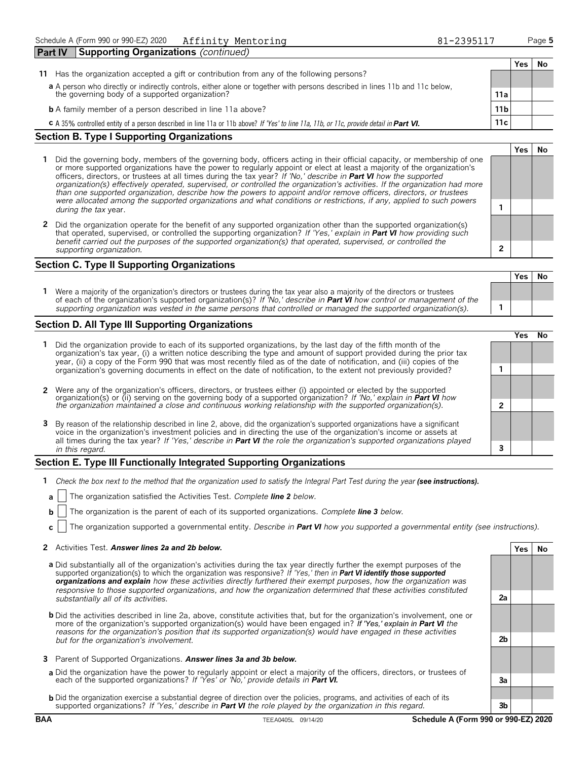| <b>Part IV</b> | <b>Supporting Organizations (continued)</b>                                                                                                    |      |    |  |
|----------------|------------------------------------------------------------------------------------------------------------------------------------------------|------|----|--|
|                |                                                                                                                                                | Yes. | No |  |
| 11             | Has the organization accepted a gift or contribution from any of the following persons?                                                        |      |    |  |
|                | a A person who directly or indirectly controls, either alone or together with persons described in lines 11b and 11c below,                    |      |    |  |
|                | the governing body of a supported organization?<br>11a                                                                                         |      |    |  |
|                | <b>b</b> A family member of a person described in line 11a above?<br>11 <sub>b</sub>                                                           |      |    |  |
|                | 11c<br>C A 35% controlled entity of a person described in line 11a or 11b above? If 'Yes' to line 11a, 11b, or 11c, provide detail in Part VI. |      |    |  |
|                |                                                                                                                                                |      |    |  |

#### **Section B. Type I Supporting Organizations**

- **1** Did the governing body, members of the governing body, officers acting in their official capacity, or membership of one or more supported organizations have the power to regularly appoint or elect at least a majority of the organization's officers, directors, or trustees at all times during the tax year? *If 'No,' describe in Part VI how the supported organization(s) effectively operated, supervised, or controlled the organization's activities. If the organization had more than one supported organization, describe how the powers to appoint and/or remove officers, directors, or trustees were allocated among the supported organizations and what conditions or restrictions, if any, applied to such powers* **1** *during the tax* year.
- **2** Did the organization operate for the benefit of any supported organization other than the supported organization(s) that operated, supervised, or controlled the supporting organization? *If 'Yes,' explain in Part VI how providing such benefit carried out the purposes of the supported organization(s) that operated, supervised, or controlled the supporting organization.* **2**

#### **Section C. Type II Supporting Organizations**

**Yes No 1** Were a majority of the organization's directors or trustees during the tax year also a majority of the directors or trustees of each of the organization's supported organization(s)? *If 'No,' describe in Part VI how control or management of the supporting organization was vested in the same persons that controlled or managed the supported organization(s).* **1**

#### **Section D. All Type III Supporting Organizations**

|                                                                                                                                                                                                                                                                                                                                                                                       |  | ′e< |  |  |  |  |
|---------------------------------------------------------------------------------------------------------------------------------------------------------------------------------------------------------------------------------------------------------------------------------------------------------------------------------------------------------------------------------------|--|-----|--|--|--|--|
| 1 Did the organization provide to each of its supported organizations, by the last day of the fifth month of the<br>organization's tax year, (i) a written notice describing the type and amount of support provided during the prior tax<br>year, (ii) a copy of the Form 990 that was most recently filed as of the date of notification, and (iii) copies of the                   |  |     |  |  |  |  |
| organization's governing documents in effect on the date of notification, to the extent not previously provided?                                                                                                                                                                                                                                                                      |  |     |  |  |  |  |
| 2 Were any of the organization's officers, directors, or trustees either (i) appointed or elected by the supported                                                                                                                                                                                                                                                                    |  |     |  |  |  |  |
| organization(s) or (ii) serving on the governing body of a supported organization? If No, explain in <b>Part VI</b> how<br>the organization maintained a close and continuous working relationship with the supported organization(s).                                                                                                                                                |  |     |  |  |  |  |
| 3 By reason of the relationship described in line 2, above, did the organization's supported organizations have a significant<br>voice in the organization's investment policies and in directing the use of the organization's income or assets at<br>all times during the tax year? If 'Yes,' describe in <b>Part VI</b> the role the organization's supported organizations played |  |     |  |  |  |  |
| in this regard.                                                                                                                                                                                                                                                                                                                                                                       |  |     |  |  |  |  |

#### **Section E. Type III Functionally Integrated Supporting Organizations**

- **1** *Check the box next to the method that the organization used to satisfy the Integral Part Test during the year (see instructions).* 
	- **a** The organization satisfied the Activities Test. *Complete line 2 below.*
	- **b** The organization is the parent of each of its supported organizations. *Complete line 3 below.*
	- **c** The organization supported a governmental entity. *Describe in Part VI how you supported a governmental entity (see instructions).*

#### **2** Activities Test. **Answer lines 2a and 2b below.**

- **a** Did substantially all of the organization's activities during the tax year directly further the exempt purposes of the supported organization(s) to which the organization was responsive? *If 'Yes,' then in Part VI identify those supported organizations and explain how these activities directly furthered their exempt purposes, how the organization was responsive to those supported organizations, and how the organization determined that these activities constituted substantially all of its activities.* **2a**
- **b** Did the activities described in line 2a, above, constitute activities that, but for the organization's involvement, one or more of the organization's supported organization(s) would have been engaged in? *If 'Yes,' explain in Part VI the reasons for the organization's position that its supported organization(s) would have engaged in these activities but for the organization's involvement.* **2b**
- **3** Parent of Supported Organizations. *Answer lines 3a and 3b below.*
- **a** Did the organization have the power to regularly appoint or elect a majority of the officers, directors, or trustees of each of the supported organizations? *If 'Yes' or 'No,' provide details in Part VI.* **3a**
- **b** Did the organization exercise a substantial degree of direction over the policies, programs, and activities of each of its supported organizations? *If 'Yes,' describe in Part VI the role played by the organization in this regard.* **3b**

| 7              |     |    |  |
|----------------|-----|----|--|
|                | Yes | No |  |
|                |     |    |  |
|                |     |    |  |
|                |     |    |  |
| 2a             |     |    |  |
|                |     |    |  |
|                |     |    |  |
|                |     |    |  |
| 2 <sub>b</sub> |     |    |  |
|                |     |    |  |
|                |     |    |  |
| 3a             |     |    |  |
|                |     |    |  |
| 3b             |     |    |  |
|                |     |    |  |

**Yes No**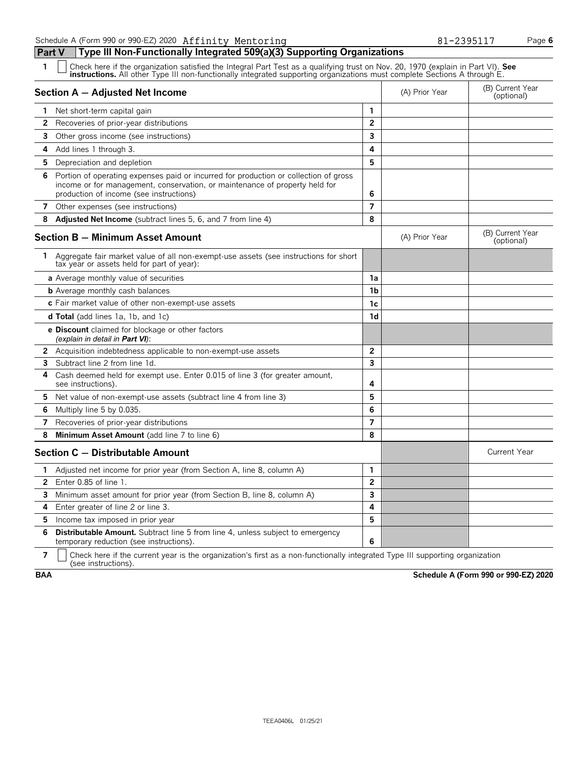Schedule A (Form 990 or 990-EZ) 2020  $\operatorname{Affinity}$  Mentoring 81-2395117 Page **6** 

|                       | Type III Non-Functionally Integrated 509(a)(3) Supporting Organizations<br>Part V                                                                                                                                              |                |                |                                |
|-----------------------|--------------------------------------------------------------------------------------------------------------------------------------------------------------------------------------------------------------------------------|----------------|----------------|--------------------------------|
| 1                     | Check here if the organization satisfied the Integral Part Test as a qualifying trust on Nov. 20, 1970 (explain in Part VI). See instructions. All other Type III non-functionally integrated supporting organizations must co |                |                |                                |
|                       | Section A - Adjusted Net Income                                                                                                                                                                                                |                |                | (B) Current Year<br>(optional) |
| $\mathbf{1}$          | Net short-term capital gain                                                                                                                                                                                                    | 1              |                |                                |
| $\mathbf{2}^{\prime}$ | Recoveries of prior-year distributions                                                                                                                                                                                         | $\overline{2}$ |                |                                |
| 3                     | Other gross income (see instructions)                                                                                                                                                                                          | 3              |                |                                |
| 4                     | Add lines 1 through 3.                                                                                                                                                                                                         | 4              |                |                                |
| 5.                    | Depreciation and depletion                                                                                                                                                                                                     | 5              |                |                                |
| 6                     | Portion of operating expenses paid or incurred for production or collection of gross<br>income or for management, conservation, or maintenance of property held for<br>production of income (see instructions)                 | 6              |                |                                |
| 7                     | Other expenses (see instructions)                                                                                                                                                                                              | $\overline{7}$ |                |                                |
| 8                     | <b>Adjusted Net Income</b> (subtract lines 5, 6, and 7 from line 4)                                                                                                                                                            | 8              |                |                                |
|                       | Section B - Minimum Asset Amount                                                                                                                                                                                               |                | (A) Prior Year | (B) Current Year<br>(optional) |
|                       | 1 Aggregate fair market value of all non-exempt-use assets (see instructions for short<br>tax year or assets held for part of year):                                                                                           |                |                |                                |
|                       | <b>a</b> Average monthly value of securities                                                                                                                                                                                   | 1a             |                |                                |
|                       | <b>b</b> Average monthly cash balances                                                                                                                                                                                         | 1b             |                |                                |
|                       | c Fair market value of other non-exempt-use assets                                                                                                                                                                             | 1c             |                |                                |
|                       | <b>d Total</b> (add lines 1a, 1b, and 1c)                                                                                                                                                                                      | 1d             |                |                                |
|                       | e Discount claimed for blockage or other factors<br>(explain in detail in Part VI):                                                                                                                                            |                |                |                                |
|                       | <b>2</b> Acquisition indebtedness applicable to non-exempt-use assets                                                                                                                                                          | $\mathbf{2}$   |                |                                |
| 3                     | Subtract line 2 from line 1d.                                                                                                                                                                                                  | 3              |                |                                |
| 4                     | Cash deemed held for exempt use. Enter 0.015 of line 3 (for greater amount,<br>see instructions).                                                                                                                              | 4              |                |                                |
| 5.                    | Net value of non-exempt-use assets (subtract line 4 from line 3)                                                                                                                                                               | 5              |                |                                |
| 6                     | Multiply line 5 by 0.035.                                                                                                                                                                                                      | 6              |                |                                |
| 7                     | Recoveries of prior-year distributions                                                                                                                                                                                         | $\overline{7}$ |                |                                |
| 8                     | Minimum Asset Amount (add line 7 to line 6)                                                                                                                                                                                    | 8              |                |                                |
|                       | Section C - Distributable Amount                                                                                                                                                                                               |                |                | Current Year                   |
| 1                     | Adjusted net income for prior year (from Section A, line 8, column A)                                                                                                                                                          | 1              |                |                                |
| $\mathbf{2}$          | Enter $0.85$ of line $1$ .                                                                                                                                                                                                     | $\overline{2}$ |                |                                |
| 3                     | Minimum asset amount for prior year (from Section B, line 8, column A)                                                                                                                                                         | 3              |                |                                |
| 4                     | Enter greater of line 2 or line 3.                                                                                                                                                                                             | 4              |                |                                |
| 5.                    | Income tax imposed in prior year                                                                                                                                                                                               | 5              |                |                                |
| 6                     | <b>Distributable Amount.</b> Subtract line 5 from line 4, unless subject to emergency<br>temporary reduction (see instructions).                                                                                               | 6              |                |                                |

**7**  $\mid$  Check here if the current year is the organization's first as a non-functionally integrated Type III supporting organization (see instructions).

**BAA Schedule A (Form 990 or 990-EZ) 2020**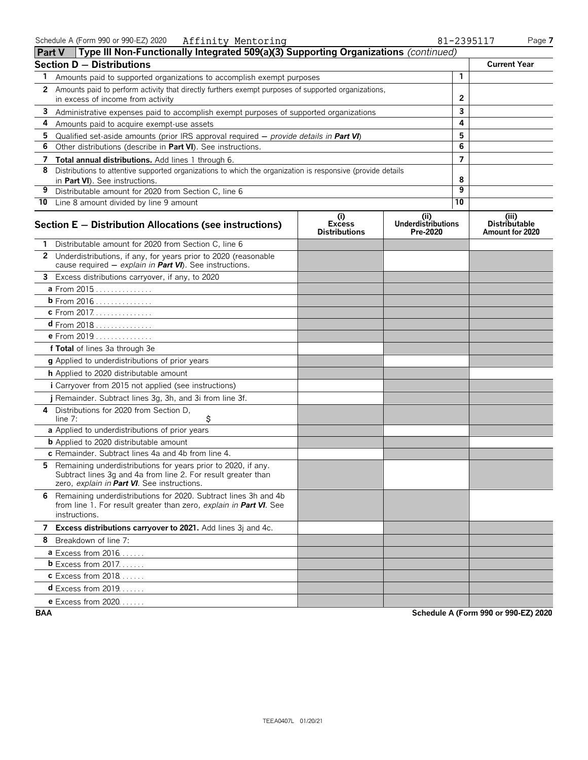| <b>Part V</b> | Type III Non-Functionally Integrated 509(a)(3) Supporting Organizations (continued)                                                                                           |                                              |                                               |                 |                                                  |
|---------------|-------------------------------------------------------------------------------------------------------------------------------------------------------------------------------|----------------------------------------------|-----------------------------------------------|-----------------|--------------------------------------------------|
|               | <b>Section D - Distributions</b>                                                                                                                                              |                                              |                                               |                 | <b>Current Year</b>                              |
| 1             | Amounts paid to supported organizations to accomplish exempt purposes                                                                                                         |                                              |                                               | $\mathbf{1}$    |                                                  |
| $\mathbf{2}$  | Amounts paid to perform activity that directly furthers exempt purposes of supported organizations,                                                                           |                                              |                                               |                 |                                                  |
|               | in excess of income from activity                                                                                                                                             |                                              |                                               | $\mathbf{2}$    |                                                  |
| 3             | Administrative expenses paid to accomplish exempt purposes of supported organizations                                                                                         |                                              |                                               | 3               |                                                  |
| 4             | Amounts paid to acquire exempt-use assets                                                                                                                                     |                                              |                                               | 4               |                                                  |
| 5             | Qualified set-aside amounts (prior IRS approval required $-$ provide details in <b>Part VI</b> )                                                                              |                                              |                                               | 5               |                                                  |
| 6             | Other distributions (describe in Part VI). See instructions.                                                                                                                  |                                              |                                               | 6               |                                                  |
| 7             | Total annual distributions. Add lines 1 through 6.                                                                                                                            |                                              |                                               | $\overline{ }$  |                                                  |
| 8             | Distributions to attentive supported organizations to which the organization is responsive (provide details<br>in Part VI). See instructions.                                 |                                              |                                               | 8               |                                                  |
| 9             | Distributable amount for 2020 from Section C, line 6                                                                                                                          |                                              |                                               | 9               |                                                  |
|               | 10 Line 8 amount divided by line 9 amount                                                                                                                                     |                                              |                                               | $\overline{10}$ |                                                  |
|               | Section E - Distribution Allocations (see instructions)                                                                                                                       | (i)<br><b>Excess</b><br><b>Distributions</b> | (ii)<br><b>Underdistributions</b><br>Pre-2020 |                 | (iii)<br><b>Distributable</b><br>Amount for 2020 |
|               | Distributable amount for 2020 from Section C, line 6                                                                                                                          |                                              |                                               |                 |                                                  |
|               | 2 Underdistributions, if any, for years prior to 2020 (reasonable<br>cause required $-$ explain in <b>Part VI</b> ). See instructions.                                        |                                              |                                               |                 |                                                  |
|               | 3 Excess distributions carryover, if any, to 2020                                                                                                                             |                                              |                                               |                 |                                                  |
|               | a From 2015                                                                                                                                                                   |                                              |                                               |                 |                                                  |
|               | <b>b</b> From 2016                                                                                                                                                            |                                              |                                               |                 |                                                  |
|               | c From 2017.                                                                                                                                                                  |                                              |                                               |                 |                                                  |
|               | $d$ From 2018                                                                                                                                                                 |                                              |                                               |                 |                                                  |
|               | <b>e</b> From 2019                                                                                                                                                            |                                              |                                               |                 |                                                  |
|               | f Total of lines 3a through 3e                                                                                                                                                |                                              |                                               |                 |                                                  |
|               | g Applied to underdistributions of prior years                                                                                                                                |                                              |                                               |                 |                                                  |
|               | h Applied to 2020 distributable amount                                                                                                                                        |                                              |                                               |                 |                                                  |
|               | <i>i</i> Carryover from 2015 not applied (see instructions)                                                                                                                   |                                              |                                               |                 |                                                  |
|               | j Remainder. Subtract lines 3g, 3h, and 3i from line 3f.                                                                                                                      |                                              |                                               |                 |                                                  |
| 4             | Distributions for 2020 from Section D.<br>\$<br>line $7:$                                                                                                                     |                                              |                                               |                 |                                                  |
|               | a Applied to underdistributions of prior years                                                                                                                                |                                              |                                               |                 |                                                  |
|               | <b>b</b> Applied to 2020 distributable amount                                                                                                                                 |                                              |                                               |                 |                                                  |
|               | c Remainder. Subtract lines 4a and 4b from line 4.                                                                                                                            |                                              |                                               |                 |                                                  |
| 5.            | Remaining underdistributions for years prior to 2020, if any.<br>Subtract lines 3g and 4a from line 2. For result greater than<br>zero, explain in Part VI. See instructions. |                                              |                                               |                 |                                                  |
|               | 6 Remaining underdistributions for 2020. Subtract lines 3h and 4b<br>from line 1. For result greater than zero, explain in Part VI. See<br>instructions.                      |                                              |                                               |                 |                                                  |
|               | 7 Excess distributions carryover to 2021. Add lines 3j and 4c.                                                                                                                |                                              |                                               |                 |                                                  |
|               | 8 Breakdown of line 7:                                                                                                                                                        |                                              |                                               |                 |                                                  |
|               | <b>a</b> Excess from $2016$                                                                                                                                                   |                                              |                                               |                 |                                                  |
|               | $b$ Excess from 2017.                                                                                                                                                         |                                              |                                               |                 |                                                  |
|               | <b>c</b> Excess from 2018                                                                                                                                                     |                                              |                                               |                 |                                                  |
|               | $d$ Excess from 2019.                                                                                                                                                         |                                              |                                               |                 |                                                  |
|               | <b>e</b> Excess from 2020                                                                                                                                                     |                                              |                                               |                 |                                                  |

**BAA Schedule A (Form 990 or 990-EZ) 2020**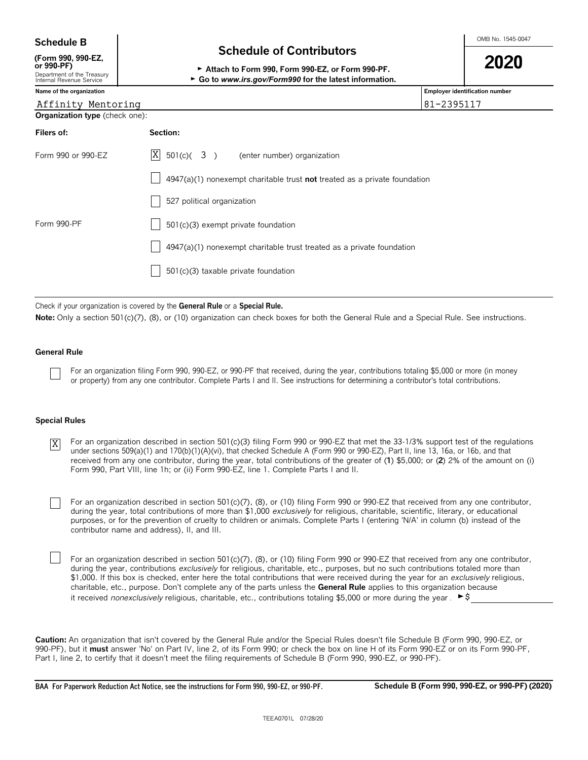| <b>Schedule B</b> |          | 1545-0047<br>OMB No. |
|-------------------|----------|----------------------|
|                   | . .<br>- |                      |

|  | (Form 990, 990-EZ, |
|--|--------------------|

|            | (FORIII 990, 990-E |
|------------|--------------------|
| AR QOO DEN |                    |

### **Schedule of Contributors**

**or 990-PF)** <sup>G</sup>**Attach to Form 990, Form 990-EZ, or Form 990-PF. 2020** ► Go to *www.irs.gov/Form990* for the latest information.

| Name of the organization       |                                                                             | Employer identification number |
|--------------------------------|-----------------------------------------------------------------------------|--------------------------------|
| Affinity Mentoring             | 81-2395117                                                                  |                                |
| Organization type (check one): |                                                                             |                                |
| Filers of:                     | Section:                                                                    |                                |
| Form 990 or 990-EZ             | $ X $ 501(c)( 3) (enter number) organization                                |                                |
|                                | $4947(a)(1)$ nonexempt charitable trust not treated as a private foundation |                                |
|                                | 527 political organization                                                  |                                |
| Form 990-PF                    | 501(c)(3) exempt private foundation                                         |                                |
|                                | 4947(a)(1) nonexempt charitable trust treated as a private foundation       |                                |
|                                | 501(c)(3) taxable private foundation                                        |                                |
|                                |                                                                             |                                |

Check if your organization is covered by the **General Rule** or a **Special Rule.**

Note: Only a section 501(c)(7), (8), or (10) organization can check boxes for both the General Rule and a Special Rule. See instructions.

#### **General Rule**

For an organization filing Form 990, 990-EZ, or 990-PF that received, during the year, contributions totaling \$5,000 or more (in money or property) from any one contributor. Complete Parts I and II. See instructions for determining a contributor's total contributions.

#### **Special Rules**

For an organization described in section 501(c)(3) filing Form 990 or 990-EZ that met the 33-1/3% support test of the regulations under sections 509(a)(1) and 170(b)(1)(A)(vi), that checked Schedule A (Form 990 or 990-EZ), Part II, line 13, 16a, or 16b, and that received from any one contributor, during the year, total contributions of the greater of (**1**) \$5,000; or (**2**) 2% of the amount on (i) Form 990, Part VIII, line 1h; or (ii) Form 990-EZ, line 1. Complete Parts I and II. X

For an organization described in section 501(c)(7), (8), or (10) filing Form 990 or 990-EZ that received from any one contributor, during the year, total contributions of more than \$1,000 *exclusively* for religious, charitable, scientific, literary, or educational purposes, or for the prevention of cruelty to children or animals. Complete Parts I (entering 'N/A' in column (b) instead of the contributor name and address), II, and III.

For an organization described in section 501(c)(7), (8), or (10) filing Form 990 or 990-EZ that received from any one contributor, during the year, contributions *exclusively* for religious, charitable, etc., purposes, but no such contributions totaled more than \$1,000. If this box is checked, enter here the total contributions that were received during the year for an *exclusively* religious, charitable, etc., purpose. Don't complete any of the parts unless the **General Rule** applies to this organization because it received *nonexclusively* religious, charitable, etc., contributions totaling \$5,000 or more during the year . ►\$

**Caution:** An organization that isn't covered by the General Rule and/or the Special Rules doesn't file Schedule B (Form 990, 990-EZ, or 990-PF), but it **must** answer 'No' on Part IV, line 2, of its Form 990; or check the box on line H of its Form 990-EZ or on its Form 990-PF, Part I, line 2, to certify that it doesn't meet the filing requirements of Schedule B (Form 990, 990-EZ, or 990-PF).

**BAA For Paperwork Reduction Act Notice, see the instructions for Form 990, 990-EZ, or 990-PF. Schedule B (Form 990, 990-EZ, or 990-PF) (2020)**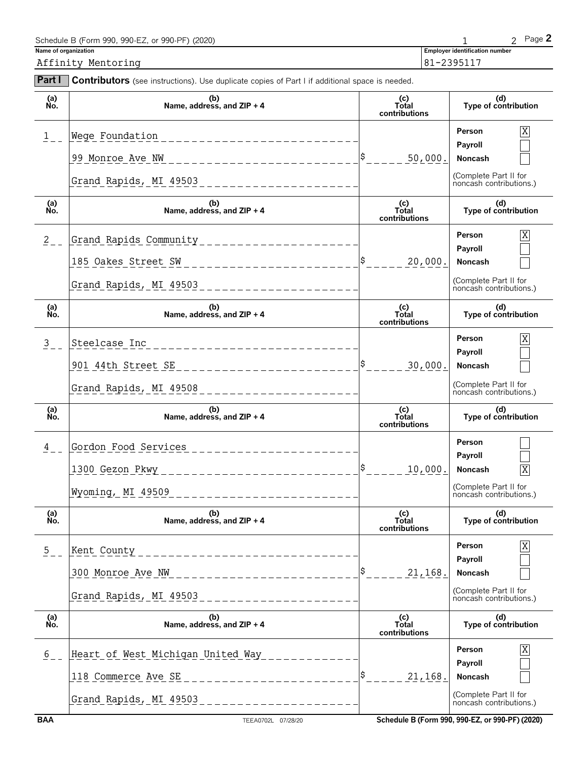| (2020)<br>Schedule<br>$\sim$ $\sim$<br>__<br>aan.<br>$\sim$ $\sim$<br>DE<br>$\cdot$ orr<br>uu <sup>,</sup><br>リンリーニ<br>∵—ںر ر |                                                |  |
|-------------------------------------------------------------------------------------------------------------------------------|------------------------------------------------|--|
| Name of organization                                                                                                          | $-0.00$<br>r identification number<br>Employer |  |

**Part I** Contributors (see instructions). Use duplicate copies of Part I if additional space is needed. Affinity Mentoring 81-2395117

| (a)<br>No.      | (b)<br>Name, address, and $ZIP + 4$                                                                                             | (c)<br>Total<br>contributions        | (d)<br>Type of contribution                                                           |
|-----------------|---------------------------------------------------------------------------------------------------------------------------------|--------------------------------------|---------------------------------------------------------------------------------------|
| $1 \quad$       | Wege Foundation<br>____________________<br>99 Monroe Ave NW                                                                     | l\$<br>50,000.                       | Χ<br>Person<br>Payroll<br>Noncash                                                     |
|                 | Grand Rapids, MI 49503<br>------------------                                                                                    |                                      | (Complete Part II for<br>noncash contributions.)                                      |
| (a)<br>No.      | (b)<br>Name, address, and ZIP + 4                                                                                               | (c)<br>Total<br>contributions        | (d)<br>Type of contribution                                                           |
| $2^{\circ}$     | Grand Rapids Community<br>185 Oakes Street SW                                                                                   | l\$<br>20,000.                       | Person<br>Χ<br>Payroll<br>Noncash<br>(Complete Part II for                            |
|                 | Grand Rapids, MI 49503<br>__________________                                                                                    |                                      | noncash contributions.)                                                               |
| (a)<br>No.      | (b)<br>Name, address, and ZIP + 4                                                                                               | (c)<br><b>Total</b><br>contributions | (d)<br>Type of contribution                                                           |
| 3 <sup>7</sup>  | Steelcase Inc<br>901 44th Street SE<br>Grand Rapids, MI 49508                                                                   | l\$<br>30,000.                       | Person<br>Payroll<br>Noncash<br>(Complete Part II for<br>noncash contributions.)      |
| (a)<br>No.      | (b)<br>Name, address, and ZIP + 4                                                                                               | (c)<br>Total<br>contributions        | (d)<br>Type of contribution                                                           |
| $4\overline{ }$ | Gordon Food Services<br>_________________<br>1300 Gezon Pkwy<br>Wyoming, MI 49509                                               | l\$<br>10,000.                       | Person<br>Payroll<br>X<br>Noncash<br>(Complete Part II for<br>noncash contributions.) |
| (a)<br>Ňó.      | (b)<br>Name, address, and ZIP + 4                                                                                               | (c)<br>Total<br>contributions        | (d)<br>Type of contribution                                                           |
| $\frac{5}{2}$   | Kent County<br>____________________<br>300 Monroe Ave NW<br>______________<br>Grand Rapids, MI 49503                            | l\$<br>21,168.                       | X<br>Person<br>Payroll<br>Noncash<br>(Complete Part II for<br>noncash contributions.) |
| (a)<br>No.      | (b)<br>Name, address, and ZIP + 4                                                                                               | (c)<br>Total<br>contributions        | (d)<br>Type of contribution                                                           |
| $\frac{6}{9}$   | Heart of West Michigan United Way __________<br>118 Commerce Ave $SE$ _ _ _ _ _ _ _ _ _ _ _ _ _ _ _ _<br>Grand Rapids, MI 49503 | 21,168.                              | Person<br>X<br>Payroll<br>Noncash<br>(Complete Part II for<br>noncash contributions.) |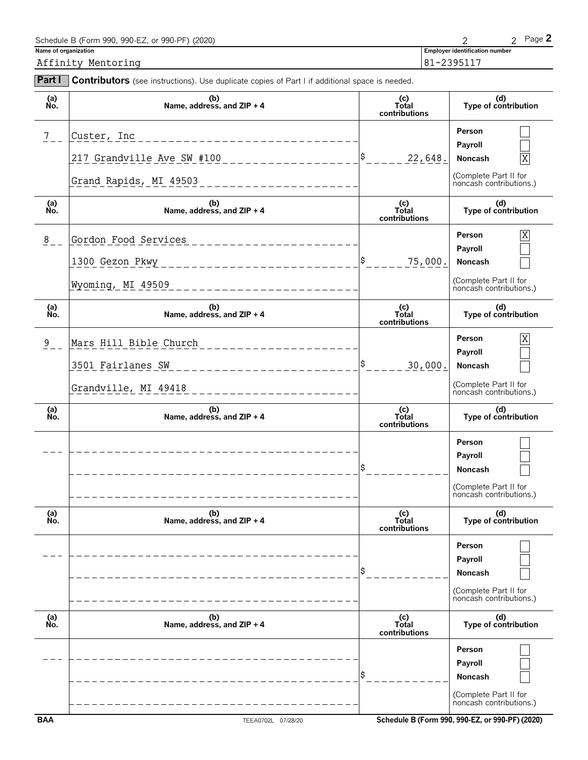| Schedule B (Form 990, 990-EZ, or 990-PF) (2020) |                                       | $\Box$ age $\angle$ |
|-------------------------------------------------|---------------------------------------|---------------------|
| Name of organization                            | <b>Employer identification number</b> |                     |
| Affinity Mentoring                              | 81-2395117                            |                     |

| <b>Part I</b> | Contributors (see instructions). Use duplicate copies of Part I if additional space is needed.                                             |                               |                                                                                                    |
|---------------|--------------------------------------------------------------------------------------------------------------------------------------------|-------------------------------|----------------------------------------------------------------------------------------------------|
| (a)<br>No.    | (b)<br>Name, address, and ZIP + 4                                                                                                          | (c)<br>Total<br>contributions | (d)<br>Type of contribution                                                                        |
| 7             | Custer, Inc<br>_________________________<br>217 Grandville Ave SW #100 ___________________<br>Grand Rapids, MI 49503 _____________________ | $\frac{15}{2}$<br>22,648.     | Person<br>Payroll<br>Noncash<br>(Complete Part II for<br>noncash contributions.)                   |
| (a)<br>No.    | (b)<br>Name, address, and ZIP + 4                                                                                                          | (c)<br>Total<br>contributions | (d)<br>Type of contribution                                                                        |
| 8             | Gordon Food Services<br>__________________<br>1300 Gezon Pkwy ___________________________<br>Wyoming, MI 49509 _____________________       | 75,000.                       | $\overline{X}$<br>Person<br>Payroll<br>Noncash<br>(Complete Part II for<br>noncash contributions.) |
| (a)<br>No.    | (b)<br>Name, address, and ZIP + 4                                                                                                          | (c)<br>Total<br>contributions | (d)<br>Type of contribution                                                                        |
| $\frac{9}{2}$ | Mars Hill Bible Church<br>.<br>3501 Fairlanes SW________________________<br>Grandville, MI 49418 _____________________                     | 30,000.                       | $\mathbf X$<br>Person<br>Payroll<br>Noncash<br>(Complete Part II for<br>noncash contributions.)    |
| (a)<br>No.    | (b)<br>Name, address, and ZIP + 4                                                                                                          | (c)<br>Total<br>contributions | (d)<br>Type of contribution                                                                        |
|               | ---------------------<br>____________________________________                                                                              |                               | Person<br>Payroll<br><b>Noncash</b><br>(Complete Part II for<br>noncash contributions.)            |
| (a)<br>Ño.    | (b)<br>Name, address, and $ZIP + 4$                                                                                                        | (c)<br>Total<br>contributions | (d)<br>Type of contribution                                                                        |
|               |                                                                                                                                            |                               | Person<br>Payroll<br><b>Noncash</b><br>(Complete Part II for<br>noncash contributions.)            |
| (a)<br>No.    | (b)<br>Name, address, and ZIP + 4                                                                                                          | (c)<br>Total<br>contributions | (d)<br>Type of contribution                                                                        |
|               |                                                                                                                                            |                               | Person<br>Payroll<br><b>Noncash</b><br>(Complete Part II for<br>noncash contributions.)            |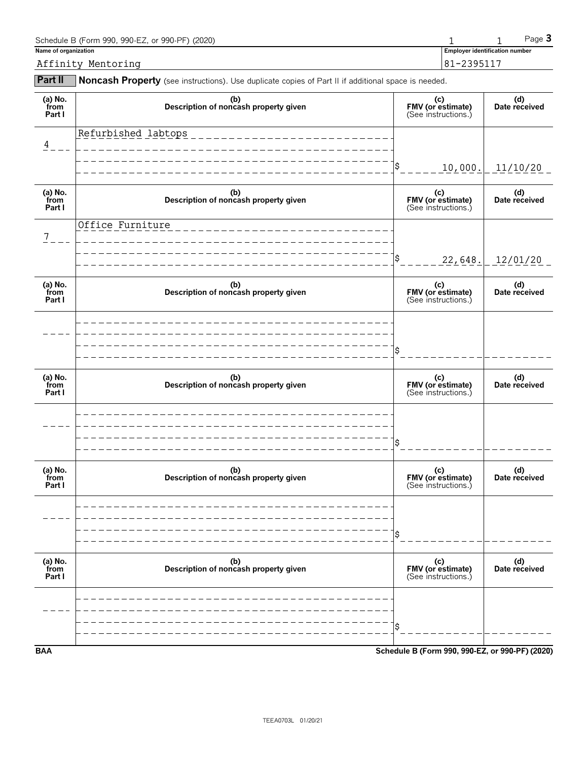| Schedule B (Form 990, 990-EZ, or 990-PF) (2020)               |           | $P$ aqe $\mathbf 3$ |
|---------------------------------------------------------------|-----------|---------------------|
| <b>Employer identification number</b><br>Name of organization |           |                     |
| Affinity Mentoring                                            | 1-2395117 |                     |

**Part II** Noncash Property (see instructions). Use duplicate copies of Part II if additional space is needed.

| (a) No.<br>from<br>Part I | (b)<br>Description of noncash property given | (c)<br>FMV (or estimate)<br>(See instructions.) | (d)<br>Date received |
|---------------------------|----------------------------------------------|-------------------------------------------------|----------------------|
| 4                         | Refurbished labtops                          |                                                 |                      |
|                           |                                              | 10,000.                                         | 11/10/20             |
| (a) No.<br>from<br>Part I | (b)<br>Description of noncash property given | (c)<br>FMV (or estimate)<br>(See instructions.) | (d)<br>Date received |
| 7                         | Office Furniture                             |                                                 |                      |
|                           |                                              | 22,648.                                         | 12/01/20             |
| (a) No.<br>from<br>Part I | (b)<br>Description of noncash property given | (c)<br>FMV (or estimate)<br>(See instructions.) | (d)<br>Date received |
|                           |                                              |                                                 |                      |
|                           |                                              |                                                 |                      |
| (a) No.<br>from<br>Part I | (b)<br>Description of noncash property given | (c)<br>FMV (or estimate)<br>(See instructions.) | (d)<br>Date received |
|                           |                                              |                                                 |                      |
|                           |                                              |                                                 |                      |
| (a) $No.$ from<br>Part I  | (b)<br>Description of noncash property given | (c)<br>FMV (or estimate)<br>(See instructions.) | (d)<br>Date received |
|                           |                                              |                                                 |                      |
|                           |                                              |                                                 |                      |
| (a) No.<br>from<br>Part I | (b)<br>Description of noncash property given | (c)<br>FMV (or estimate)<br>(See instructions.) | (d)<br>Date received |
|                           |                                              |                                                 |                      |
|                           |                                              |                                                 |                      |
| <b>BAA</b>                |                                              | Schedule B (Form 990, 990-EZ, or 990-PF) (2020) |                      |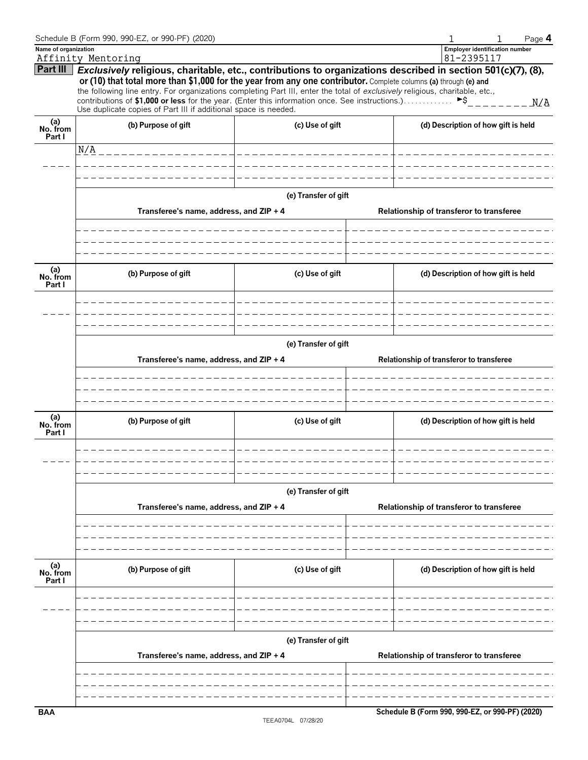|                           | Schedule B (Form 990, 990-EZ, or 990-PF) (2020)                                                                                                                                                                                                                                                                                                                                                                                                                                                                                        |                                          |                                          | Page 4                                              |  |  |  |  |  |  |
|---------------------------|----------------------------------------------------------------------------------------------------------------------------------------------------------------------------------------------------------------------------------------------------------------------------------------------------------------------------------------------------------------------------------------------------------------------------------------------------------------------------------------------------------------------------------------|------------------------------------------|------------------------------------------|-----------------------------------------------------|--|--|--|--|--|--|
| Name of organization      | Affinity Mentoring                                                                                                                                                                                                                                                                                                                                                                                                                                                                                                                     |                                          |                                          | <b>Employer identification number</b><br>81-2395117 |  |  |  |  |  |  |
| Part III                  | Exclusively religious, charitable, etc., contributions to organizations described in section 501(c)(7), (8),<br>or (10) that total more than \$1,000 for the year from any one contributor. Complete columns (a) through (e) and<br>the following line entry. For organizations completing Part III, enter the total of exclusively religious, charitable, etc.,<br>contributions of \$1,000 or less for the year. (Enter this information once. See instructions.)<br>Use duplicate copies of Part III if additional space is needed. |                                          |                                          | ►\$<br>N/A                                          |  |  |  |  |  |  |
| (a)<br>No. from<br>Part I | (b) Purpose of gift                                                                                                                                                                                                                                                                                                                                                                                                                                                                                                                    | (c) Use of gift                          |                                          | (d) Description of how gift is held                 |  |  |  |  |  |  |
|                           | N/A _________________                                                                                                                                                                                                                                                                                                                                                                                                                                                                                                                  | _____________________                    |                                          |                                                     |  |  |  |  |  |  |
|                           |                                                                                                                                                                                                                                                                                                                                                                                                                                                                                                                                        |                                          |                                          |                                                     |  |  |  |  |  |  |
|                           |                                                                                                                                                                                                                                                                                                                                                                                                                                                                                                                                        |                                          |                                          |                                                     |  |  |  |  |  |  |
|                           | Transferee's name, address, and ZIP + 4                                                                                                                                                                                                                                                                                                                                                                                                                                                                                                | (e) Transfer of gift                     |                                          | Relationship of transferor to transferee            |  |  |  |  |  |  |
|                           |                                                                                                                                                                                                                                                                                                                                                                                                                                                                                                                                        |                                          |                                          |                                                     |  |  |  |  |  |  |
| (a)<br>No. from<br>Part I | (b) Purpose of gift                                                                                                                                                                                                                                                                                                                                                                                                                                                                                                                    | (c) Use of gift                          |                                          | (d) Description of how gift is held                 |  |  |  |  |  |  |
|                           |                                                                                                                                                                                                                                                                                                                                                                                                                                                                                                                                        |                                          |                                          |                                                     |  |  |  |  |  |  |
|                           | (e) Transfer of gift                                                                                                                                                                                                                                                                                                                                                                                                                                                                                                                   |                                          |                                          |                                                     |  |  |  |  |  |  |
|                           | Transferee's name, address, and ZIP + 4<br>Relationship of transferor to transferee                                                                                                                                                                                                                                                                                                                                                                                                                                                    |                                          |                                          |                                                     |  |  |  |  |  |  |
|                           |                                                                                                                                                                                                                                                                                                                                                                                                                                                                                                                                        |                                          |                                          |                                                     |  |  |  |  |  |  |
|                           |                                                                                                                                                                                                                                                                                                                                                                                                                                                                                                                                        |                                          |                                          |                                                     |  |  |  |  |  |  |
| (a)<br>No. from<br>Part I | (b) Purpose of gift                                                                                                                                                                                                                                                                                                                                                                                                                                                                                                                    | (c) Use of gift                          |                                          | (d) Description of how gift is held                 |  |  |  |  |  |  |
|                           |                                                                                                                                                                                                                                                                                                                                                                                                                                                                                                                                        |                                          |                                          |                                                     |  |  |  |  |  |  |
|                           |                                                                                                                                                                                                                                                                                                                                                                                                                                                                                                                                        | (e) Transfer of gift                     |                                          |                                                     |  |  |  |  |  |  |
|                           | Transferee's name, address, and ZIP + 4                                                                                                                                                                                                                                                                                                                                                                                                                                                                                                | Relationship of transferor to transferee |                                          |                                                     |  |  |  |  |  |  |
|                           |                                                                                                                                                                                                                                                                                                                                                                                                                                                                                                                                        |                                          |                                          |                                                     |  |  |  |  |  |  |
|                           |                                                                                                                                                                                                                                                                                                                                                                                                                                                                                                                                        |                                          |                                          |                                                     |  |  |  |  |  |  |
| (a)<br>No. from<br>Part I | (b) Purpose of gift                                                                                                                                                                                                                                                                                                                                                                                                                                                                                                                    | (c) Use of gift                          |                                          | (d) Description of how gift is held                 |  |  |  |  |  |  |
|                           |                                                                                                                                                                                                                                                                                                                                                                                                                                                                                                                                        |                                          |                                          |                                                     |  |  |  |  |  |  |
|                           |                                                                                                                                                                                                                                                                                                                                                                                                                                                                                                                                        |                                          |                                          |                                                     |  |  |  |  |  |  |
|                           | Transferee's name, address, and ZIP + 4                                                                                                                                                                                                                                                                                                                                                                                                                                                                                                | (e) Transfer of gift                     | Relationship of transferor to transferee |                                                     |  |  |  |  |  |  |
|                           |                                                                                                                                                                                                                                                                                                                                                                                                                                                                                                                                        |                                          |                                          |                                                     |  |  |  |  |  |  |
|                           |                                                                                                                                                                                                                                                                                                                                                                                                                                                                                                                                        |                                          |                                          |                                                     |  |  |  |  |  |  |
| <b>BAA</b>                |                                                                                                                                                                                                                                                                                                                                                                                                                                                                                                                                        |                                          |                                          | Schedule B (Form 990, 990-EZ, or 990-PF) (2020)     |  |  |  |  |  |  |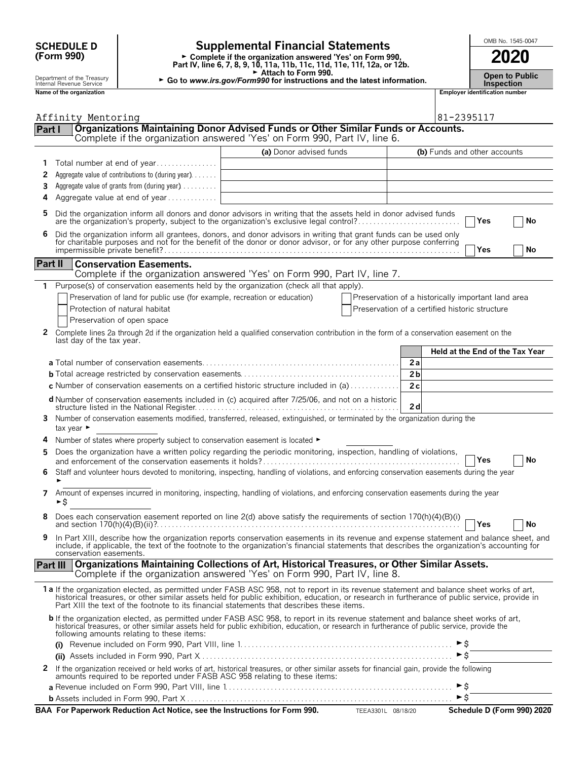| <b>SCHEDULE D</b> |  |
|-------------------|--|
| (Form 990)        |  |

## **Supplemental Financial Statements**<br>
Somplete if the organization answered Yes' on Form 990,

**Part IV, line 6, 7, 8, 9, 10, 11a, 11b, 11c, 11d, 11e, 11f, 12a, or 12b.**<br>
Part IV, line 6, 7, 8, 9, 10, 11a, 11b, 11c, 11d, 11e, 11f, 12a, or 12b.

Attach to Form 990.

|              | Department of the Treasury<br>Internal Revenue Service |                                                                               | ► Attach to Form 990.<br>► Go to www.irs.gov/Form990 for instructions and the latest information.                                                                                                                                                                                                                                                                                      |                |                                                    | <b>Open to Public</b><br><b>Inspection</b> |
|--------------|--------------------------------------------------------|-------------------------------------------------------------------------------|----------------------------------------------------------------------------------------------------------------------------------------------------------------------------------------------------------------------------------------------------------------------------------------------------------------------------------------------------------------------------------------|----------------|----------------------------------------------------|--------------------------------------------|
|              | Name of the organization                               |                                                                               |                                                                                                                                                                                                                                                                                                                                                                                        |                | <b>Employer identification number</b>              |                                            |
|              |                                                        |                                                                               |                                                                                                                                                                                                                                                                                                                                                                                        |                |                                                    |                                            |
| Part I       | Affinity Mentoring                                     |                                                                               | Organizations Maintaining Donor Advised Funds or Other Similar Funds or Accounts.                                                                                                                                                                                                                                                                                                      |                | 81-2395117                                         |                                            |
|              |                                                        |                                                                               | Complete if the organization answered 'Yes' on Form 990, Part IV, line 6.                                                                                                                                                                                                                                                                                                              |                |                                                    |                                            |
|              |                                                        |                                                                               | (a) Donor advised funds                                                                                                                                                                                                                                                                                                                                                                |                | (b) Funds and other accounts                       |                                            |
| 1            |                                                        | Total number at end of year                                                   |                                                                                                                                                                                                                                                                                                                                                                                        |                |                                                    |                                            |
| 2            |                                                        | Aggregate value of contributions to (during year).                            |                                                                                                                                                                                                                                                                                                                                                                                        |                |                                                    |                                            |
| 3            |                                                        | Aggregate value of grants from (during year)                                  |                                                                                                                                                                                                                                                                                                                                                                                        |                |                                                    |                                            |
| 4            |                                                        | Aggregate value at end of year                                                |                                                                                                                                                                                                                                                                                                                                                                                        |                |                                                    |                                            |
| 5            |                                                        |                                                                               | Did the organization inform all donors and donor advisors in writing that the assets held in donor advised funds<br>are the organization's property, subject to the organization's exclusive legal control?                                                                                                                                                                            |                | <b>Yes</b>                                         | No                                         |
| 6            |                                                        |                                                                               | Did the organization inform all grantees, donors, and donor advisors in writing that grant funds can be used only<br>for charitable purposes and not for the benefit of the donor or donor advisor, or for any other purpose conferring                                                                                                                                                |                | Yes                                                | No                                         |
| Part II      |                                                        | <b>Conservation Easements.</b>                                                |                                                                                                                                                                                                                                                                                                                                                                                        |                |                                                    |                                            |
|              |                                                        |                                                                               | Complete if the organization answered 'Yes' on Form 990, Part IV, line 7.                                                                                                                                                                                                                                                                                                              |                |                                                    |                                            |
|              |                                                        |                                                                               | 1 Purpose(s) of conservation easements held by the organization (check all that apply).                                                                                                                                                                                                                                                                                                |                |                                                    |                                            |
|              |                                                        | Preservation of land for public use (for example, recreation or education)    |                                                                                                                                                                                                                                                                                                                                                                                        |                | Preservation of a historically important land area |                                            |
|              |                                                        | Protection of natural habitat                                                 |                                                                                                                                                                                                                                                                                                                                                                                        |                | Preservation of a certified historic structure     |                                            |
|              |                                                        | Preservation of open space                                                    |                                                                                                                                                                                                                                                                                                                                                                                        |                |                                                    |                                            |
| 2            | last day of the tax year.                              |                                                                               | Complete lines 2a through 2d if the organization held a qualified conservation contribution in the form of a conservation easement on the                                                                                                                                                                                                                                              |                |                                                    |                                            |
|              |                                                        |                                                                               |                                                                                                                                                                                                                                                                                                                                                                                        |                | Held at the End of the Tax Year                    |                                            |
|              |                                                        |                                                                               |                                                                                                                                                                                                                                                                                                                                                                                        | 2a             |                                                    |                                            |
|              |                                                        |                                                                               |                                                                                                                                                                                                                                                                                                                                                                                        | 2 <sub>b</sub> |                                                    |                                            |
|              |                                                        |                                                                               | <b>c</b> Number of conservation easements on a certified historic structure included in (a) $\dots \dots \dots$                                                                                                                                                                                                                                                                        | 2c             |                                                    |                                            |
|              |                                                        |                                                                               | d Number of conservation easements included in (c) acquired after 7/25/06, and not on a historic                                                                                                                                                                                                                                                                                       | 2d             |                                                    |                                            |
| 3.           | tax year ►                                             |                                                                               | Number of conservation easements modified, transferred, released, extinguished, or terminated by the organization during the                                                                                                                                                                                                                                                           |                |                                                    |                                            |
|              |                                                        | Number of states where property subject to conservation easement is located ▶ |                                                                                                                                                                                                                                                                                                                                                                                        |                |                                                    |                                            |
| 5            |                                                        |                                                                               | Does the organization have a written policy regarding the periodic monitoring, inspection, handling of violations,                                                                                                                                                                                                                                                                     |                | <b>Yes</b>                                         | No                                         |
| 6            |                                                        |                                                                               | Staff and volunteer hours devoted to monitoring, inspecting, handling of violations, and enforcing conservation easements during the year                                                                                                                                                                                                                                              |                |                                                    |                                            |
| 7            |                                                        |                                                                               | Amount of expenses incurred in monitoring, inspecting, handling of violations, and enforcing conservation easements during the year                                                                                                                                                                                                                                                    |                |                                                    |                                            |
|              | ►ఫ                                                     |                                                                               |                                                                                                                                                                                                                                                                                                                                                                                        |                |                                                    |                                            |
| 8            |                                                        |                                                                               | Does each conservation easement reported on line 2(d) above satisfy the requirements of section 170(h)(4)(B)(i)                                                                                                                                                                                                                                                                        |                | Yes                                                | No                                         |
| 9            | conservation easements.                                |                                                                               | In Part XIII, describe how the organization reports conservation easements in its revenue and expense statement and balance sheet, and<br>include, if applicable, the text of the footnote to the organization's financial statements that describes the organization's accounting for                                                                                                 |                |                                                    |                                            |
|              |                                                        |                                                                               | Part III   Organizations Maintaining Collections of Art, Historical Treasures, or Other Similar Assets.                                                                                                                                                                                                                                                                                |                |                                                    |                                            |
|              |                                                        |                                                                               | Complete if the organization answered 'Yes' on Form 990, Part IV, line 8.                                                                                                                                                                                                                                                                                                              |                |                                                    |                                            |
|              |                                                        |                                                                               | 1a If the organization elected, as permitted under FASB ASC 958, not to report in its revenue statement and balance sheet works of art,<br>historical treasures, or other similar assets held for public exhibition, education, or research in furtherance of public service, provide in<br>Part XIII the text of the footnote to its financial statements that describes these items. |                |                                                    |                                            |
|              |                                                        | following amounts relating to these items:                                    | b If the organization elected, as permitted under FASB ASC 958, to report in its revenue statement and balance sheet works of art,<br>historical treasures, or other similar assets held for public exhibition, education, or research in furtherance of public service, provide the                                                                                                   |                |                                                    |                                            |
|              |                                                        |                                                                               |                                                                                                                                                                                                                                                                                                                                                                                        |                |                                                    |                                            |
|              |                                                        |                                                                               |                                                                                                                                                                                                                                                                                                                                                                                        |                | $\triangleright$ \$                                |                                            |
| $\mathbf{z}$ |                                                        |                                                                               | If the organization received or held works of art, historical treasures, or other similar assets for financial gain, provide the following<br>amounts required to be reported under FASB ASC 958 relating to these items:                                                                                                                                                              |                |                                                    |                                            |
|              |                                                        |                                                                               |                                                                                                                                                                                                                                                                                                                                                                                        |                | ► \$<br>$\triangleright$ \$                        |                                            |
|              |                                                        |                                                                               |                                                                                                                                                                                                                                                                                                                                                                                        |                |                                                    |                                            |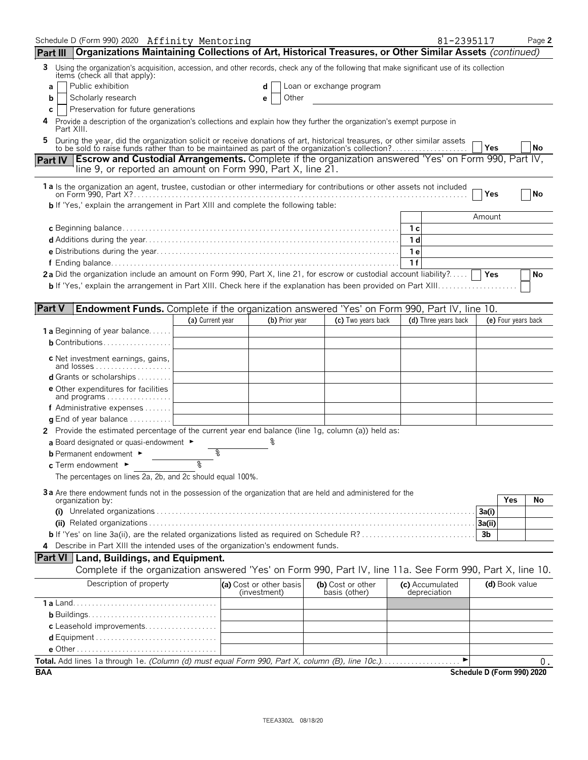| Schedule D (Form 990) 2020 Affinity Mentoring                                                                                                                                                                             |                  |                                         |                                    | 81-2395117                      |                            | Page 2 |
|---------------------------------------------------------------------------------------------------------------------------------------------------------------------------------------------------------------------------|------------------|-----------------------------------------|------------------------------------|---------------------------------|----------------------------|--------|
| Part III   Organizations Maintaining Collections of Art, Historical Treasures, or Other Similar Assets (continued)                                                                                                        |                  |                                         |                                    |                                 |                            |        |
| 3 Using the organization's acquisition, accession, and other records, check any of the following that make significant use of its collection<br>items (check all that apply):                                             |                  |                                         |                                    |                                 |                            |        |
| Public exhibition<br>a                                                                                                                                                                                                    |                  | d                                       | Loan or exchange program           |                                 |                            |        |
| Scholarly research<br>b                                                                                                                                                                                                   |                  | Other<br>е                              |                                    |                                 |                            |        |
| Preservation for future generations<br>С<br>Provide a description of the organization's collections and explain how they further the organization's exempt purpose in                                                     |                  |                                         |                                    |                                 |                            |        |
| Part XIII.<br>5                                                                                                                                                                                                           |                  |                                         |                                    |                                 |                            |        |
| During the year, did the organization solicit or receive donations of art, historical treasures, or other similar assets to be sold to raise funds rather than to be maintained as part of the organization's collection? |                  |                                         |                                    |                                 | Yes                        | No     |
| <b>Escrow and Custodial Arrangements.</b> Complete if the organization answered 'Yes' on Form 990, Part IV,<br><b>Part IV</b><br>line 9, or reported an amount on Form 990, Part X, line 21.                              |                  |                                         |                                    |                                 |                            |        |
| 1a Is the organization an agent, trustee, custodian or other intermediary for contributions or other assets not included                                                                                                  |                  |                                         |                                    |                                 | Yes                        | No     |
| <b>b</b> If 'Yes,' explain the arrangement in Part XIII and complete the following table:                                                                                                                                 |                  |                                         |                                    |                                 |                            |        |
|                                                                                                                                                                                                                           |                  |                                         |                                    |                                 | Amount                     |        |
|                                                                                                                                                                                                                           |                  |                                         |                                    | <b>1 c</b>                      |                            |        |
|                                                                                                                                                                                                                           |                  |                                         |                                    | 1 <sub>d</sub>                  |                            |        |
|                                                                                                                                                                                                                           |                  |                                         |                                    | 1 e<br>1f                       |                            |        |
| 2a Did the organization include an amount on Form 990, Part X, line 21, for escrow or custodial account liability?                                                                                                        |                  |                                         |                                    |                                 | Yes                        | No     |
|                                                                                                                                                                                                                           |                  |                                         |                                    |                                 |                            |        |
|                                                                                                                                                                                                                           |                  |                                         |                                    |                                 |                            |        |
| <b>Part V</b><br>Endowment Funds. Complete if the organization answered 'Yes' on Form 990, Part IV, line 10.                                                                                                              |                  |                                         |                                    |                                 |                            |        |
|                                                                                                                                                                                                                           | (a) Current year | (b) Prior year                          | (c) Two years back                 | (d) Three years back            | (e) Four years back        |        |
| <b>1 a</b> Beginning of year balance                                                                                                                                                                                      |                  |                                         |                                    |                                 |                            |        |
| <b>b</b> Contributions                                                                                                                                                                                                    |                  |                                         |                                    |                                 |                            |        |
| c Net investment earnings, gains,<br>and losses                                                                                                                                                                           |                  |                                         |                                    |                                 |                            |        |
| d Grants or scholarships                                                                                                                                                                                                  |                  |                                         |                                    |                                 |                            |        |
| <b>e</b> Other expenditures for facilities<br>and programs                                                                                                                                                                |                  |                                         |                                    |                                 |                            |        |
| <b>f</b> Administrative expenses $\dots$                                                                                                                                                                                  |                  |                                         |                                    |                                 |                            |        |
| <b>g</b> End of year balance $\ldots \ldots \ldots$                                                                                                                                                                       |                  |                                         |                                    |                                 |                            |        |
| 2 Provide the estimated percentage of the current year end balance (line 1g, column (a)) held as:                                                                                                                         |                  |                                         |                                    |                                 |                            |        |
| a Board designated or quasi-endowment $\blacktriangleright$                                                                                                                                                               |                  |                                         |                                    |                                 |                            |        |
| <b>b</b> Permanent endowment ►                                                                                                                                                                                            |                  |                                         |                                    |                                 |                            |        |
| c Term endowment ►                                                                                                                                                                                                        | ०                |                                         |                                    |                                 |                            |        |
| The percentages on lines 2a, 2b, and 2c should equal 100%.                                                                                                                                                                |                  |                                         |                                    |                                 |                            |        |
| 3a Are there endowment funds not in the possession of the organization that are held and administered for the                                                                                                             |                  |                                         |                                    |                                 |                            |        |
| organization by:                                                                                                                                                                                                          |                  |                                         |                                    |                                 | <b>Yes</b>                 | No     |
|                                                                                                                                                                                                                           |                  |                                         |                                    |                                 | 3a(i)<br>3a(ii)            |        |
|                                                                                                                                                                                                                           |                  |                                         |                                    |                                 | 3 <sub>b</sub>             |        |
| 4 Describe in Part XIII the intended uses of the organization's endowment funds.                                                                                                                                          |                  |                                         |                                    |                                 |                            |        |
| <b>Part VI</b> Land, Buildings, and Equipment.                                                                                                                                                                            |                  |                                         |                                    |                                 |                            |        |
| Complete if the organization answered 'Yes' on Form 990, Part IV, line 11a. See Form 990, Part X, line 10.                                                                                                                |                  |                                         |                                    |                                 |                            |        |
| Description of property                                                                                                                                                                                                   |                  | (a) Cost or other basis<br>(investment) | (b) Cost or other<br>basis (other) | (c) Accumulated<br>depreciation | (d) Book value             |        |
|                                                                                                                                                                                                                           |                  |                                         |                                    |                                 |                            |        |
|                                                                                                                                                                                                                           |                  |                                         |                                    |                                 |                            |        |
| c Leasehold improvements                                                                                                                                                                                                  |                  |                                         |                                    |                                 |                            |        |
|                                                                                                                                                                                                                           |                  |                                         |                                    |                                 |                            |        |
|                                                                                                                                                                                                                           |                  |                                         |                                    |                                 |                            |        |
|                                                                                                                                                                                                                           |                  |                                         |                                    | ▶                               |                            | 0.     |
| BAA                                                                                                                                                                                                                       |                  |                                         |                                    |                                 | Schedule D (Form 990) 2020 |        |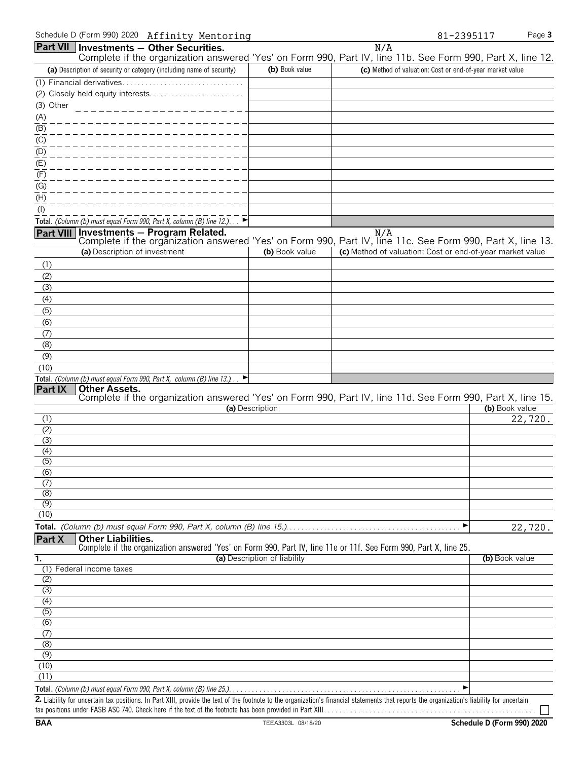|                  | <b>Part VII   Investments - Other Securities.</b>                                                                                                                                  |                              | N/A                                                       |                |
|------------------|------------------------------------------------------------------------------------------------------------------------------------------------------------------------------------|------------------------------|-----------------------------------------------------------|----------------|
|                  | Complete if the organization answered 'Yes' on Form 990, Part IV, line 11b. See Form 990, Part X, line 12.<br>(a) Description of security or category (including name of security) | (b) Book value               | (c) Method of valuation: Cost or end-of-year market value |                |
|                  |                                                                                                                                                                                    |                              |                                                           |                |
|                  |                                                                                                                                                                                    |                              |                                                           |                |
| (3) Other        |                                                                                                                                                                                    |                              |                                                           |                |
| (A)              |                                                                                                                                                                                    |                              |                                                           |                |
| (B)              |                                                                                                                                                                                    |                              |                                                           |                |
| (C)              |                                                                                                                                                                                    |                              |                                                           |                |
| (D)              |                                                                                                                                                                                    |                              |                                                           |                |
| (E)              |                                                                                                                                                                                    |                              |                                                           |                |
| (F)              |                                                                                                                                                                                    |                              |                                                           |                |
| (G)              |                                                                                                                                                                                    |                              |                                                           |                |
| (H)              |                                                                                                                                                                                    |                              |                                                           |                |
| $($ l $)$        |                                                                                                                                                                                    |                              |                                                           |                |
|                  | Total. (Column (b) must equal Form 990, Part X, column (B) line 12.)<br>▶                                                                                                          |                              |                                                           |                |
|                  | Part VIII Investments - Program Related.<br>Complete if the organization answered 'Yes' on Form 990, Part IV, line 11c. See Form 990, Part X, line 13.                             |                              | N/A                                                       |                |
|                  | (a) Description of investment                                                                                                                                                      | (b) Book value               | (c) Method of valuation: Cost or end-of-year market value |                |
| (1)              |                                                                                                                                                                                    |                              |                                                           |                |
| (2)              |                                                                                                                                                                                    |                              |                                                           |                |
| (3)              |                                                                                                                                                                                    |                              |                                                           |                |
| (4)              |                                                                                                                                                                                    |                              |                                                           |                |
| (5)              |                                                                                                                                                                                    |                              |                                                           |                |
| (6)              |                                                                                                                                                                                    |                              |                                                           |                |
| (7)              |                                                                                                                                                                                    |                              |                                                           |                |
| (8)              |                                                                                                                                                                                    |                              |                                                           |                |
| (9)              |                                                                                                                                                                                    |                              |                                                           |                |
| (10)             |                                                                                                                                                                                    |                              |                                                           |                |
| <b>Part IX</b>   | Total. (Column (b) must equal Form 990, Part X, column (B) line 13.) $\Box$<br>Other Assets.                                                                                       |                              |                                                           |                |
|                  | Complete if the organization answered 'Yes' on Form 990, Part IV, line 11d. See Form 990, Part X, line 15.                                                                         |                              |                                                           |                |
|                  |                                                                                                                                                                                    | (a) Description              |                                                           | (b) Book value |
| (1)              |                                                                                                                                                                                    |                              |                                                           | 22,720.        |
| (2)<br>(3)       |                                                                                                                                                                                    |                              |                                                           |                |
| (4)              |                                                                                                                                                                                    |                              |                                                           |                |
| $\overline{(5)}$ |                                                                                                                                                                                    |                              |                                                           |                |
| (6)              |                                                                                                                                                                                    |                              |                                                           |                |
| (7)              |                                                                                                                                                                                    |                              |                                                           |                |
| (8)<br>(9)       |                                                                                                                                                                                    |                              |                                                           |                |
| (10)             |                                                                                                                                                                                    |                              |                                                           |                |
|                  | Total. (Column (b) must equal Form 990, Part X, column (B) line 15.)                                                                                                               |                              | ▶                                                         | 22,720.        |
| Part X           | <b>Other Liabilities.</b>                                                                                                                                                          |                              |                                                           |                |
|                  | Complete if the organization answered 'Yes' on Form 990, Part IV, line 11e or 11f. See Form 990, Part X, line 25.                                                                  |                              |                                                           |                |
| 1.               |                                                                                                                                                                                    | (a) Description of liability |                                                           | (b) Book value |
|                  | (1) Federal income taxes                                                                                                                                                           |                              |                                                           |                |
| (2)<br>(3)       |                                                                                                                                                                                    |                              |                                                           |                |
| (4)              |                                                                                                                                                                                    |                              |                                                           |                |
| (5)              |                                                                                                                                                                                    |                              |                                                           |                |
| (6)              |                                                                                                                                                                                    |                              |                                                           |                |
| (7)              |                                                                                                                                                                                    |                              |                                                           |                |
| (8)              |                                                                                                                                                                                    |                              |                                                           |                |
| (9)              |                                                                                                                                                                                    |                              |                                                           |                |
| (10)<br>(11)     |                                                                                                                                                                                    |                              |                                                           |                |
|                  |                                                                                                                                                                                    |                              | ▶                                                         |                |
|                  |                                                                                                                                                                                    |                              |                                                           |                |

**2.** Liability for uncertain tax positions. In Part XIII, provide the text of the footnote to the organization's financial statements that reports the organization's liability for uncertain tax positions under FASB ASC 740. Check here if the text of the footnote has been provided in Part XIII. . . . . . . . . . . . . . . . . . . . . . . . . . . . . . . . . . . . . . . . . . . . . . . . . . . . . . . .

 $\Box$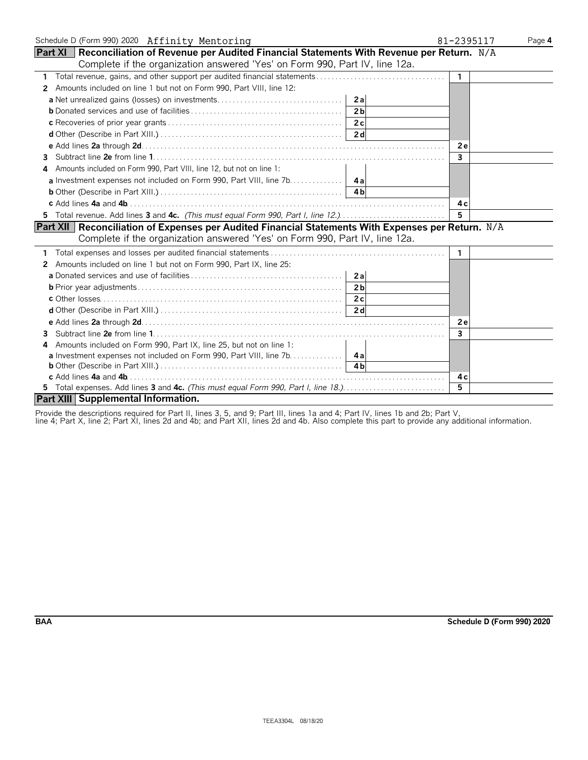| Schedule D (Form 990) 2020 Affinity Mentoring                                                              | 81-2395117   | Page 4 |
|------------------------------------------------------------------------------------------------------------|--------------|--------|
| <b>Part XI</b>   Reconciliation of Revenue per Audited Financial Statements With Revenue per Return. $N/A$ |              |        |
| Complete if the organization answered 'Yes' on Form 990, Part IV, line 12a.                                |              |        |
| 1                                                                                                          | $\mathbf{1}$ |        |
| Amounts included on line 1 but not on Form 990, Part VIII, line 12:<br>2                                   |              |        |
|                                                                                                            |              |        |
| 2 <sub>h</sub>                                                                                             |              |        |
|                                                                                                            |              |        |
|                                                                                                            |              |        |
|                                                                                                            | 2e           |        |
| 3                                                                                                          | 3            |        |
| Amounts included on Form 990, Part VIII, line 12, but not on line 1:<br>4                                  |              |        |
|                                                                                                            |              |        |
|                                                                                                            |              |        |
|                                                                                                            | 4 c          |        |
| 5 Total revenue. Add lines 3 and 4c. (This must equal Form 990, Part I, line 12.)                          | 5            |        |
| Part XII Reconciliation of Expenses per Audited Financial Statements With Expenses per Return. N/A         |              |        |
| Complete if the organization answered 'Yes' on Form 990, Part IV, line 12a.                                |              |        |
|                                                                                                            | -1           |        |
| Amounts included on line 1 but not on Form 990, Part IX, line 25:<br>2                                     |              |        |
| 2a                                                                                                         |              |        |
| 2 <sub>b</sub>                                                                                             |              |        |
|                                                                                                            |              |        |
|                                                                                                            |              |        |
|                                                                                                            | <b>2e</b>    |        |
| 3.                                                                                                         | 3            |        |
| Amounts included on Form 990, Part IX, line 25, but not on line 1:<br>4                                    |              |        |
| <b>a</b> Investment expenses not included on Form 990, Part VIII, line 7b. 4a                              |              |        |
|                                                                                                            |              |        |
|                                                                                                            | 4 c          |        |
|                                                                                                            | 5            |        |
| Part XIII Supplemental Information.                                                                        |              |        |

Provide the descriptions required for Part II, lines 3, 5, and 9; Part III, lines 1a and 4; Part IV, lines 1b and 2b; Part V,

line 4; Part X, line 2; Part XI, lines 2d and 4b; and Part XII, lines 2d and 4b. Also complete this part to provide any additional information.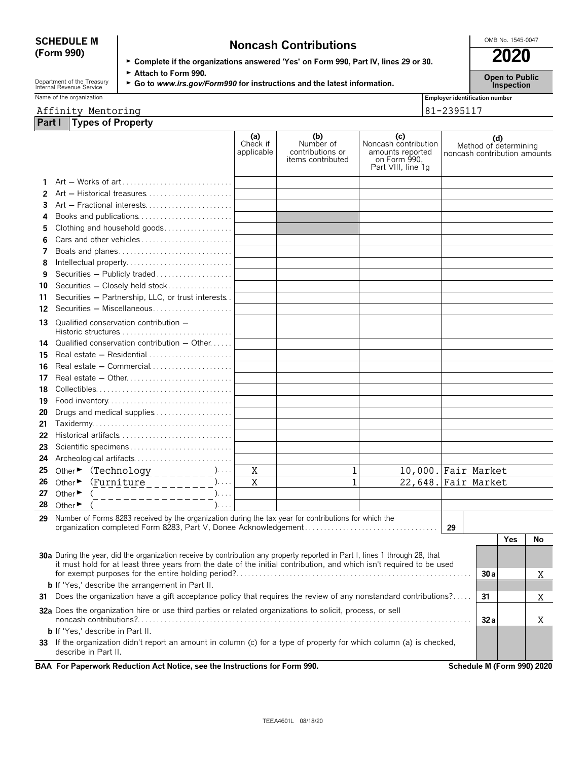| <b>SCHEDULE M</b> | <b>Noncash Contributions</b>                                                         | OMB No. 1545-0047 |
|-------------------|--------------------------------------------------------------------------------------|-------------------|
| (Form 990)        | ► Complete if the organizations answered 'Yes' on Form 990, Part IV, lines 29 or 30. | 2020              |
|                   |                                                                                      |                   |

Department of the Treasury **Cause 1 Captual Revenue Service Captual Revenue Service Copen to Public**<br>Internal Revenue Service **Inspection** 

| Name of the organization        |        |        |        | <b>Employer identification number</b> |
|---------------------------------|--------|--------|--------|---------------------------------------|
| Affinity Mentoring              |        |        |        | 81-2395117                            |
| <b>Part I</b> Types of Property |        |        |        |                                       |
|                                 | $\sim$ | $\sim$ | $\sim$ | $\cdots$                              |

|     |                                                                                                                                                                                                                                    | (a)<br>Check if<br>applicable | (b)<br>Number of<br>contributions or<br><i>items</i> contributed | (c)<br>Noncash contribution<br>amounts reported<br>on Form 990,<br>Part VIII, line 1g | noncash contribution amounts | (d)  | Method of determining |          |
|-----|------------------------------------------------------------------------------------------------------------------------------------------------------------------------------------------------------------------------------------|-------------------------------|------------------------------------------------------------------|---------------------------------------------------------------------------------------|------------------------------|------|-----------------------|----------|
|     |                                                                                                                                                                                                                                    |                               |                                                                  |                                                                                       |                              |      |                       |          |
| 2   |                                                                                                                                                                                                                                    |                               |                                                                  |                                                                                       |                              |      |                       |          |
| 3   | Art - Fractional interests                                                                                                                                                                                                         |                               |                                                                  |                                                                                       |                              |      |                       |          |
| 4   |                                                                                                                                                                                                                                    |                               |                                                                  |                                                                                       |                              |      |                       |          |
| 5.  | Clothing and household goods                                                                                                                                                                                                       |                               |                                                                  |                                                                                       |                              |      |                       |          |
| 6   | Cars and other vehicles                                                                                                                                                                                                            |                               |                                                                  |                                                                                       |                              |      |                       |          |
| 7   | Boats and planes                                                                                                                                                                                                                   |                               |                                                                  |                                                                                       |                              |      |                       |          |
| 8   |                                                                                                                                                                                                                                    |                               |                                                                  |                                                                                       |                              |      |                       |          |
| 9   | Securities - Publicly traded                                                                                                                                                                                                       |                               |                                                                  |                                                                                       |                              |      |                       |          |
| 10  | Securities - Closely held stock                                                                                                                                                                                                    |                               |                                                                  |                                                                                       |                              |      |                       |          |
| 11  | Securities - Partnership, LLC, or trust interests.                                                                                                                                                                                 |                               |                                                                  |                                                                                       |                              |      |                       |          |
| 12  | Securities - Miscellaneous                                                                                                                                                                                                         |                               |                                                                  |                                                                                       |                              |      |                       |          |
| 13. | Qualified conservation contribution -                                                                                                                                                                                              |                               |                                                                  |                                                                                       |                              |      |                       |          |
| 14  | Qualified conservation contribution $-$ Other $\dots$                                                                                                                                                                              |                               |                                                                  |                                                                                       |                              |      |                       |          |
| 15  | Real estate - Residential                                                                                                                                                                                                          |                               |                                                                  |                                                                                       |                              |      |                       |          |
| 16  | Real estate - Commercial                                                                                                                                                                                                           |                               |                                                                  |                                                                                       |                              |      |                       |          |
| 17  |                                                                                                                                                                                                                                    |                               |                                                                  |                                                                                       |                              |      |                       |          |
| 18  |                                                                                                                                                                                                                                    |                               |                                                                  |                                                                                       |                              |      |                       |          |
| 19  |                                                                                                                                                                                                                                    |                               |                                                                  |                                                                                       |                              |      |                       |          |
| 20  | Drugs and medical supplies                                                                                                                                                                                                         |                               |                                                                  |                                                                                       |                              |      |                       |          |
| 21  |                                                                                                                                                                                                                                    |                               |                                                                  |                                                                                       |                              |      |                       |          |
| 22  |                                                                                                                                                                                                                                    |                               |                                                                  |                                                                                       |                              |      |                       |          |
| 23  |                                                                                                                                                                                                                                    |                               |                                                                  |                                                                                       |                              |      |                       |          |
| 24  |                                                                                                                                                                                                                                    |                               |                                                                  |                                                                                       |                              |      |                       |          |
| 25  | Other $\triangleright$ $(Technology$ <sub>________</sub> )                                                                                                                                                                         | Χ                             | 1                                                                | 10,000. Fair Market                                                                   |                              |      |                       |          |
| 26  | Other $\sqrt{Furnight}$ $(Furnight)$                                                                                                                                                                                               | $\mathbf X$                   | $\mathbf 1$                                                      | 22,648. Fair Market                                                                   |                              |      |                       |          |
| 27  | Other $\triangleright$ (________________<br>$). \ldots$                                                                                                                                                                            |                               |                                                                  |                                                                                       |                              |      |                       |          |
| 28  | Other $\blacktriangleright$<br>$). \ldots$                                                                                                                                                                                         |                               |                                                                  |                                                                                       |                              |      |                       |          |
| 29  | Number of Forms 8283 received by the organization during the tax year for contributions for which the                                                                                                                              |                               |                                                                  |                                                                                       | 29                           |      |                       |          |
|     |                                                                                                                                                                                                                                    |                               |                                                                  |                                                                                       |                              |      | Yes                   | No       |
|     |                                                                                                                                                                                                                                    |                               |                                                                  |                                                                                       |                              |      |                       |          |
|     | 30a During the year, did the organization receive by contribution any property reported in Part I, lines 1 through 28, that                                                                                                        |                               |                                                                  |                                                                                       |                              |      |                       |          |
|     | it must hold for at least three years from the date of the initial contribution, and which isn't required to be used                                                                                                               |                               |                                                                  |                                                                                       |                              | 30a  |                       | Χ        |
|     | <b>b</b> If 'Yes,' describe the arrangement in Part II.                                                                                                                                                                            |                               |                                                                  |                                                                                       |                              |      |                       |          |
|     | 31 Does the organization have a gift acceptance policy that requires the review of any nonstandard contributions?                                                                                                                  |                               |                                                                  |                                                                                       |                              | 31   |                       | Χ        |
|     | 32a Does the organization hire or use third parties or related organizations to solicit, process, or sell                                                                                                                          |                               |                                                                  |                                                                                       |                              |      |                       |          |
|     |                                                                                                                                                                                                                                    |                               |                                                                  |                                                                                       |                              | 32 a |                       | Χ        |
|     | <b>b</b> If 'Yes,' describe in Part II.                                                                                                                                                                                            |                               |                                                                  |                                                                                       |                              |      |                       |          |
|     | 33 If the organization didn't report an amount in column (c) for a type of property for which column (a) is checked,<br>describe in Part II.<br><b>DAA</b> Fou Demonstrated Deduction Act Notice age the Instructions for Form 000 |                               |                                                                  |                                                                                       |                              |      |                       | 0.003000 |

**BAA For Paperwork Reduction Act Notice, see the Instructions for Form 990. Schedule M (Form 990) 2020**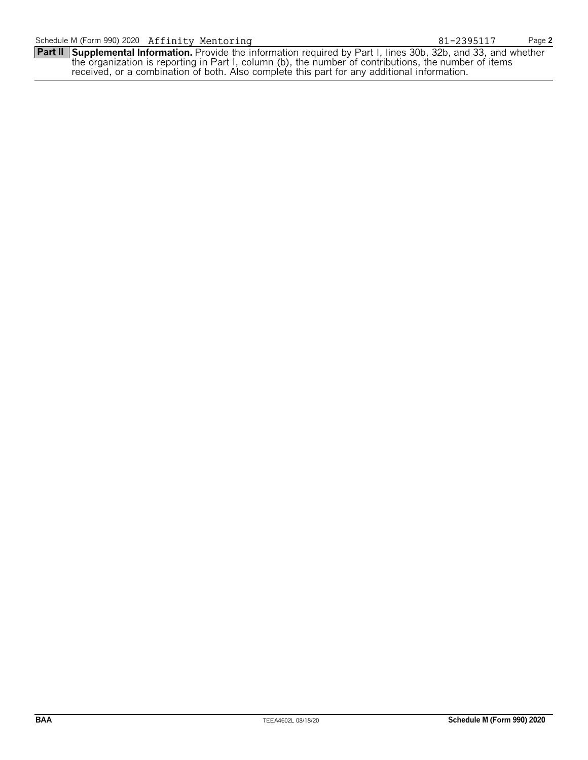**Part II Supplemental Information.** Provide the information required by Part I, lines 30b, 32b, and 33, and whether the organization is reporting in Part I, column (b), the number of contributions, the number of items received, or a combination of both. Also complete this part for any additional information.